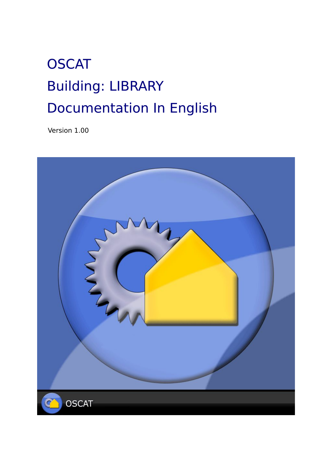# **OSCAT** Building: LIBRARY Documentation In English

<span id="page-0-0"></span>Version 1.00

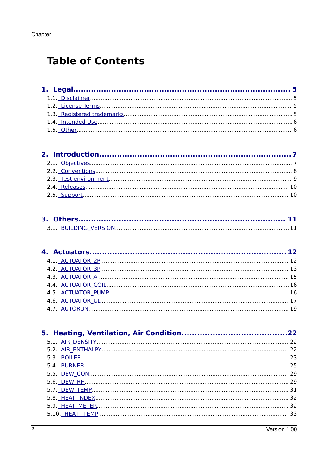# **Table of Contents**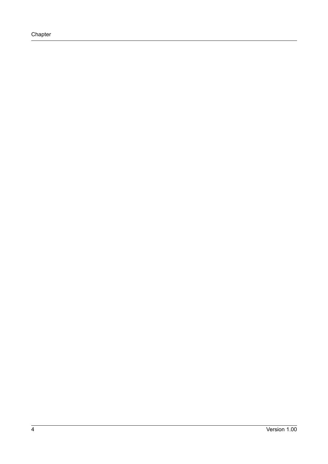Chapter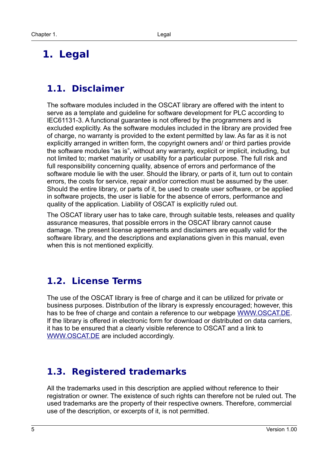# <span id="page-4-3"></span> **1. Legal**

#### <span id="page-4-2"></span>**1.1. Disclaimer**

The software modules included in the OSCAT library are offered with the intent to serve as a template and guideline for software development for PLC according to IEC61131-3. A functional guarantee is not offered by the programmers and is excluded explicitly. As the software modules included in the library are provided free of charge, no warranty is provided to the extent permitted by law. As far as it is not explicitly arranged in written form, the copyright owners and/ or third parties provide the software modules "as is", without any warranty, explicit or implicit, including, but not limited to; market maturity or usability for a particular purpose. The full risk and full responsibility concerning quality, absence of errors and performance of the software module lie with the user. Should the library, or parts of it, turn out to contain errors, the costs for service, repair and/or correction must be assumed by the user. Should the entire library, or parts of it, be used to create user software, or be applied in software projects, the user is liable for the absence of errors, performance and quality of the application. Liability of OSCAT is explicitly ruled out.

The OSCAT library user has to take care, through suitable tests, releases and quality assurance measures, that possible errors in the OSCAT library cannot cause damage. The present license agreements and disclaimers are equally valid for the software library, and the descriptions and explanations given in this manual, even when this is not mentioned explicitly.

#### <span id="page-4-1"></span>**1.2. License Terms**

The use of the OSCAT library is free of charge and it can be utilized for private or business purposes. Distribution of the library is expressly encouraged; however, this has to be free of charge and contain a reference to our webpage [WWW.OSCAT.DE.](http://WWW.OSCAT.DE/) If the library is offered in electronic form for download or distributed on data carriers, it has to be ensured that a clearly visible reference to OSCAT and a link to [WWW.OSCAT.DE](http://WWW.OSCAT.DE/) are included accordingly.

#### <span id="page-4-0"></span>**1.3. Registered trademarks**

All the trademarks used in this description are applied without reference to their registration or owner. The existence of such rights can therefore not be ruled out. The used trademarks are the property of their respective owners. Therefore, commercial use of the description, or excerpts of it, is not permitted.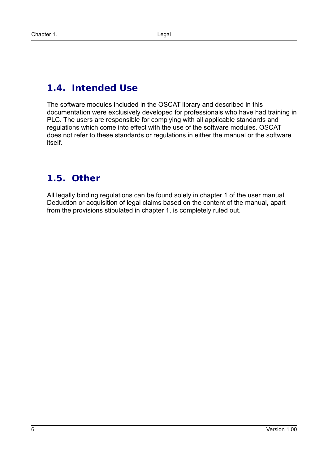#### <span id="page-5-1"></span>**1.4. Intended Use**

The software modules included in the OSCAT library and described in this documentation were exclusively developed for professionals who have had training in PLC. The users are responsible for complying with all applicable standards and regulations which come into effect with the use of the software modules. OSCAT does not refer to these standards or regulations in either the manual or the software itself.

#### <span id="page-5-0"></span>**1.5. Other**

All legally binding regulations can be found solely in chapter 1 of the user manual. Deduction or acquisition of legal claims based on the content of the manual, apart from the provisions stipulated in chapter 1, is completely ruled out.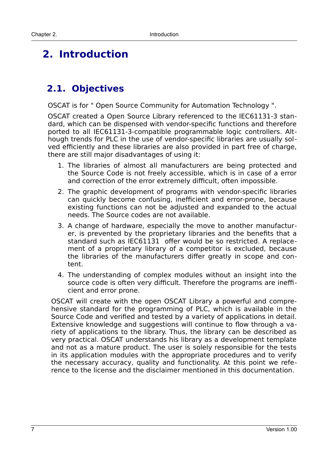# <span id="page-6-1"></span> **2. Introduction**

#### <span id="page-6-0"></span>**2.1. Objectives**

OSCAT is for " Open Source Community for Automation Technology ".

OSCAT created a Open Source Library referenced to the IEC61131-3 standard, which can be dispensed with vendor-specifc functions and therefore ported to all IEC61131-3-compatible programmable logic controllers. Although trends for PLC in the use of vendor-specifc libraries are usually solved efficiently and these libraries are also provided in part free of charge, there are still major disadvantages of using it:

- 1. The libraries of almost all manufacturers are being protected and the Source Code is not freely accessible, which is in case of a error and correction of the error extremely difficult, often impossible.
- 2. The graphic development of programs with vendor-specifc libraries can quickly become confusing, inefficient and error-prone, because existing functions can not be adjusted and expanded to the actual needs. The Source codes are not available.
- 3. A change of hardware, especially the move to another manufacturer, is prevented by the proprietary libraries and the benefts that a standard such as IEC61131 offer would be so restricted. A replacement of a proprietary library of a competitor is excluded, because the libraries of the manufacturers difer greatly in scope and content.
- 4. The understanding of complex modules without an insight into the source code is often very difficult. Therefore the programs are inefficient and error prone.

OSCAT will create with the open OSCAT Library a powerful and comprehensive standard for the programming of PLC, which is available in the Source Code and verifed and tested by a variety of applications in detail. Extensive knowledge and suggestions will continue to flow through a variety of applications to the library. Thus, the library can be described as very practical. OSCAT understands his library as a development template and not as a mature product. The user is solely responsible for the tests in its application modules with the appropriate procedures and to verify the necessary accuracy, quality and functionality. At this point we reference to the license and the disclaimer mentioned in this documentation.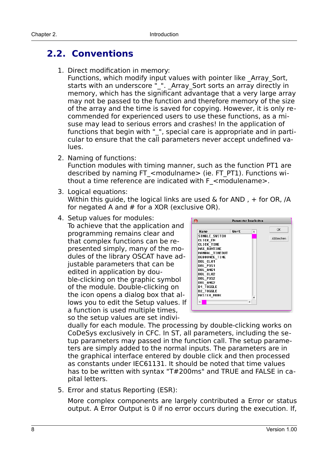#### **2.2. Conventions**

<span id="page-7-0"></span>1. Direct modifcation in memory:

Functions, which modify input values with pointer like Array Sort, starts with an underscore "\_". \_Array\_Sort sorts an array directly in memory, which has the significant advantage that a very large array may not be passed to the function and therefore memory of the size of the array and the time is saved for copying. However, it is only recommended for experienced users to use these functions, as a misuse may lead to serious errors and crashes! In the application of functions that begin with "\_", special care is appropriate and in particular to ensure that the call parameters never accept undefned values.

2. Naming of functions:

Function modules with timing manner, such as the function PT1 are described by naming FT\_<modulname> (ie. FT\_PT1). Functions without a time reference are indicated with  $F <$  modulename $>$ .

- 3. Logical equations: Within this guide, the logical links are used  $\&$  for AND, + for OR, /A for negated A and # for a XOR (exclusive OR).
- 4. Setup values for modules: To achieve that the application and programming remains clear and that complex functions can be represented simply, many of the modules of the library OSCAT have adjustable parameters that can be edited in application by double-clicking on the graphic symbol of the module. Double-clicking on the icon opens a dialog box that allows you to edit the Setup values. If a function is used multiple times, so the setup values are set indivi-



dually for each module. The processing by double-clicking works on CoDeSys exclusively in CFC. In ST, all parameters, including the setup parameters may passed in the function call. The setup parameters are simply added to the normal inputs. The parameters are in the graphical interface entered by double click and then processed as constants under IEC61131. It should be noted that time values has to be written with syntax "T#200ms" and TRUE and FALSE in capital letters.

5. Error and status Reporting (ESR):

More complex components are largely contributed a Error or status output. A Error Output is 0 if no error occurs during the execution. If,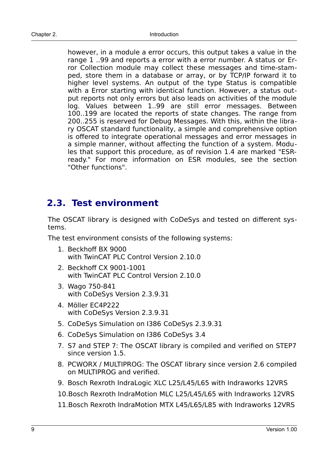however, in a module a error occurs, this output takes a value in the range 1 ..99 and reports a error with a error number. A status or Error Collection module may collect these messages and time-stamped, store them in a database or array, or by TCP/IP forward it to higher level systems. An output of the type Status is compatible with a Error starting with identical function. However, a status output reports not only errors but also leads on activities of the module log. Values between 1..99 are still error messages. Between 100..199 are located the reports of state changes. The range from 200..255 is reserved for Debug Messages. With this, within the library OSCAT standard functionality, a simple and comprehensive option is offered to integrate operational messages and error messages in a simple manner, without afecting the function of a system. Modules that support this procedure, as of revision 1.4 are marked "ESRready." For more information on ESR modules, see the section "Other functions".

#### <span id="page-8-0"></span>**2.3. Test environment**

The OSCAT library is designed with CoDeSys and tested on diferent systems.

The test environment consists of the following systems:

- 1. Beckhoff BX 9000 with TwinCAT PLC Control Version 2.10.0
- 2. Beckhoff CX 9001-1001 with TwinCAT PLC Control Version 2.10.0
- 3. Wago 750-841 with CoDeSys Version 2.3.9.31
- 4. Möller EC4P222 with CoDeSys Version 2.3.9.31
- 5. CoDeSys Simulation on I386 CoDeSys 2.3.9.31
- 6. CoDeSys Simulation on I386 CoDeSys 3.4
- 7. S7 and STEP 7: The OSCAT library is compiled and verifed on STEP7 since version 1.5.
- 8. PCWORX / MULTIPROG: The OSCAT library since version 2.6 compiled on MULTIPROG and verifed.
- 9. Bosch Rexroth IndraLogic XLC L25/L45/L65 with Indraworks 12VRS
- 10.Bosch Rexroth IndraMotion MLC L25/L45/L65 with Indraworks 12VRS
- 11.Bosch Rexroth IndraMotion MTX L45/L65/L85 with Indraworks 12VRS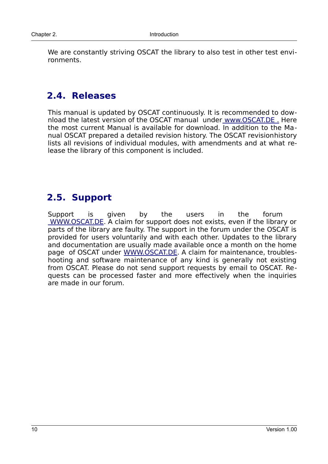We are constantly striving OSCAT the library to also test in other test environments.

#### <span id="page-9-1"></span>**2.4. Releases**

This manual is updated by OSCAT continuously. It is recommended to download the latest version of the OSCAT manual under [www.OSCAT.DE .](http://www.oscat.de/) Here the most current Manual is available for download. In addition to the Manual OSCAT prepared a detailed revision history. The OSCAT revisionhistory lists all revisions of individual modules, with amendments and at what release the library of this component is included.

#### <span id="page-9-0"></span>**2.5. Support**

Support is given by the users in the forum  [WWW.OSCAT.DE.](http://www.oscat.de/) A claim for support does not exists, even if the library or parts of the library are faulty. The support in the forum under the OSCAT is provided for users voluntarily and with each other. Updates to the library and documentation are usually made available once a month on the home page of OSCAT under [WWW.OSCAT.DE.](http://www.oscat.de/) A claim for maintenance, troubleshooting and software maintenance of any kind is generally not existing from OSCAT. Please do not send support requests by email to OSCAT. Requests can be processed faster and more efectively when the inquiries are made in our forum.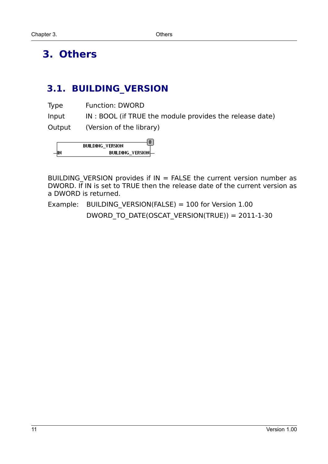# <span id="page-10-1"></span> **3. Others**

#### <span id="page-10-0"></span>**3.1. BUILDING\_VERSION**

Type Function: DWORD

Input IN : BOOL (if TRUE the module provides the release date)

Output (Version of the library)



BUILDING VERSION provides if  $IN = FALSE$  the current version number as DWORD. If IN is set to TRUE then the release date of the current version as a DWORD is returned.

Example: BUILDING\_VERSION(FALSE) = 100 for Version 1.00 DWORD\_TO\_DATE(OSCAT\_VERSION(TRUE)) = 2011-1-30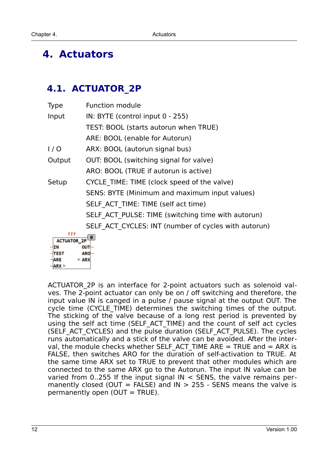# <span id="page-11-1"></span> **4. Actuators**

## <span id="page-11-0"></span>**4.1. ACTUATOR\_2P**

| Type   | <b>Function module</b>                               |
|--------|------------------------------------------------------|
| Input  | IN: BYTE (control input 0 - 255)                     |
|        | TEST: BOOL (starts autorun when TRUE)                |
|        | ARE: BOOL (enable for Autorun)                       |
| 1/0    | ARX: BOOL (autorun signal bus)                       |
| Output | OUT: BOOL (switching signal for valve)               |
|        | ARO: BOOL (TRUE if autorun is active)                |
| Setup  | CYCLE TIME: TIME (clock speed of the valve)          |
|        | SENS: BYTE (Minimum and maximum input values)        |
|        | SELF ACT TIME: TIME (self act time)                  |
|        | SELF ACT PULSE: TIME (switching time with autorun)   |
|        | SELF ACT CYCLES: INT (number of cycles with autorun) |
| ,,,    |                                                      |

|       | <b>ACTUATOR_2P</b> |
|-------|--------------------|
| ΙN    | OUT                |
| itest | <b>ARO</b>         |
| ARE   | <b>PARX</b>        |
| ARX ⊵ |                    |

ACTUATOR\_2P is an interface for 2-point actuators such as solenoid valves. The 2-point actuator can only be on / off switching and therefore, the input value IN is canged in a pulse / pause signal at the output OUT. The cycle time (CYCLE\_TIME) determines the switching times of the output. The sticking of the valve because of a long rest period is prevented by using the self act time (SELF ACT TIME) and the count of self act cycles (SELF ACT CYCLES) and the pulse duration (SELF ACT PULSE). The cycles runs automatically and a stick of the valve can be avoided. After the interval, the module checks whether SELF ACT TIME ARE = TRUE and = ARX is FALSE, then switches ARO for the duration of self-activation to TRUE. At the same time ARX set to TRUE to prevent that other modules which are connected to the same ARX go to the Autorun. The input IN value can be varied from  $0.255$  If the input signal IN < SENS, the valve remains permanently closed (OUT = FALSE) and  $IN > 255$  - SENS means the valve is  $permanently open (OUT = TRUE).$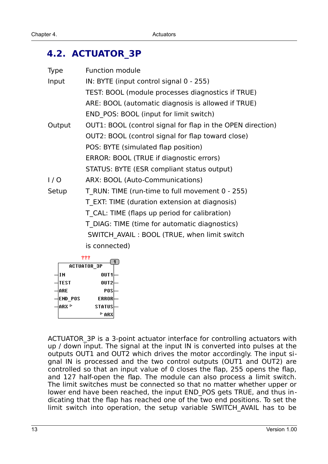## <span id="page-12-0"></span>**4.2. ACTUATOR\_3P**

| <b>Type</b> | <b>Function module</b>                                     |
|-------------|------------------------------------------------------------|
| Input       | IN: BYTE (input control signal 0 - 255)                    |
|             | TEST: BOOL (module processes diagnostics if TRUE)          |
|             | ARE: BOOL (automatic diagnosis is allowed if TRUE)         |
|             | END POS: BOOL (input for limit switch)                     |
| Output      | OUT1: BOOL (control signal for flap in the OPEN direction) |
|             | OUT2: BOOL (control signal for flap toward close)          |
|             | POS: BYTE (simulated flap position)                        |
|             | ERROR: BOOL (TRUE if diagnostic errors)                    |
|             | STATUS: BYTE (ESR compliant status output)                 |
| 1/0         | ARX: BOOL (Auto-Communications)                            |
| Setup       | T RUN: TIME (run-time to full movement 0 - 255)            |
|             | T EXT: TIME (duration extension at diagnosis)              |
|             | T CAL: TIME (flaps up period for calibration)              |
|             | T DIAG: TIME (time for automatic diagnostics)              |
|             | SWITCH AVAIL : BOOL (TRUE, when limit switch               |
|             | is connected)                                              |
|             | ???                                                        |



ACTUATOR\_3P is a 3-point actuator interface for controlling actuators with up / down input. The signal at the input IN is converted into pulses at the outputs OUT1 and OUT2 which drives the motor accordingly. The input signal IN is processed and the two control outputs (OUT1 and OUT2) are controlled so that an input value of 0 closes the fap, 255 opens the fap, and 127 half-open the fap. The module can also process a limit switch. The limit switches must be connected so that no matter whether upper or lower end have been reached, the input END POS gets TRUE, and thus indicating that the fap has reached one of the two end positions. To set the limit switch into operation, the setup variable SWITCH\_AVAIL has to be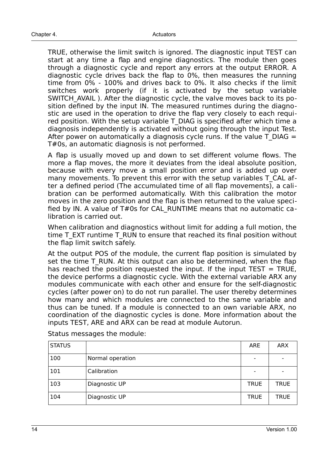TRUE, otherwise the limit switch is ignored. The diagnostic input TEST can start at any time a flap and engine diagnostics. The module then goes through a diagnostic cycle and report any errors at the output ERROR. A diagnostic cycle drives back the fap to 0%, then measures the running time from 0% - 100% and drives back to 0%. It also checks if the limit switches work properly (if it is activated by the setup variable SWITCH\_AVAIL ). After the diagnostic cycle, the valve moves back to its position defned by the input IN. The measured runtimes during the diagnostic are used in the operation to drive the fap very closely to each required position. With the setup variable T\_DIAG is specifed after which time a diagnosis independently is activated without going through the input Test. After power on automatically a diagnosis cycle runs. If the value  $T$  DIAG = T#0s, an automatic diagnosis is not performed.

A fap is usually moved up and down to set diferent volume fows. The more a flap moves, the more it deviates from the ideal absolute position, because with every move a small position error and is added up over many movements. To prevent this error with the setup variables T CAL after a defned period (The accumulated time of all fap movements), a calibration can be performed automatically. With this calibration the motor moves in the zero position and the fap is then returned to the value specifed by IN. A value of T#0s for CAL\_RUNTIME means that no automatic calibration is carried out.

When calibration and diagnostics without limit for adding a full motion, the time T\_EXT runtime T\_RUN to ensure that reached its final position without the fap limit switch safely.

At the output POS of the module, the current fap position is simulated by set the time T\_RUN. At this output can also be determined, when the flap has reached the position requested the input. If the input TEST  $=$  TRUE, the device performs a diagnostic cycle. With the external variable ARX any modules communicate with each other and ensure for the self-diagnostic cycles (after power on) to do not run parallel. The user thereby determines how many and which modules are connected to the same variable and thus can be tuned. If a module is connected to an own variable ARX, no coordination of the diagnostic cycles is done. More information about the inputs TEST, ARE and ARX can be read at module Autorun.

| <b>STATUS</b> |                  | <b>ARE</b>  | <b>ARX</b>  |
|---------------|------------------|-------------|-------------|
| 100           | Normal operation | -           |             |
| 101           | Calibration      |             |             |
| 103           | Diagnostic UP    | <b>TRUE</b> | <b>TRUE</b> |
| 104           | Diagnostic UP    | <b>TRUE</b> | <b>TRUE</b> |

Status messages the module: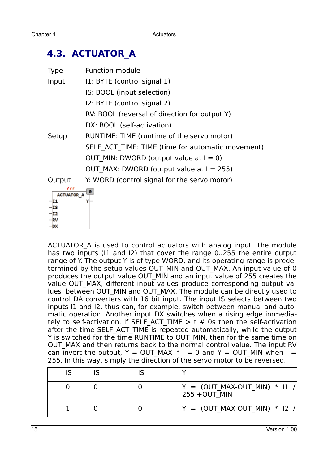-kv -|DX

#### <span id="page-14-0"></span>**4.3. ACTUATOR\_A**

| <b>Type</b>                    | <b>Function module</b>                            |
|--------------------------------|---------------------------------------------------|
| Input                          | I1: BYTE (control signal 1)                       |
|                                | IS: BOOL (input selection)                        |
|                                | I2: BYTE (control signal 2)                       |
|                                | RV: BOOL (reversal of direction for output Y)     |
|                                | DX: BOOL (self-activation)                        |
| Setup                          | RUNTIME: TIME (runtime of the servo motor)        |
|                                | SELF ACT TIME: TIME (time for automatic movement) |
|                                | OUT MIN: DWORD (output value at $I = 0$ )         |
|                                | OUT MAX: DWORD (output value at $I = 255$ )       |
| Output                         | Y: WORD (control signal for the servo motor)      |
| <b>ACTUATOR</b>                |                                                   |
| ⊣11                            |                                                   |
| $\mathbf{I}$ s<br>$\mathbf{H}$ |                                                   |

ACTUATOR\_A is used to control actuators with analog input. The module has two inputs (I1 and I2) that cover the range 0..255 the entire output range of Y. The output Y is of type WORD, and its operating range is predetermined by the setup values OUT\_MIN and OUT\_MAX. An input value of 0 produces the output value OUT MIN and an input value of 255 creates the value OUT MAX, different input values produce corresponding output values between OUT MIN and OUT MAX. The module can be directly used to control DA converters with 16 bit input. The input IS selects between two inputs I1 and I2, thus can, for example, switch between manual and automatic operation. Another input DX switches when a rising edge immediately to self-activation. If SELF ACT TIME  $> t$  # 0s then the self-activation after the time SELF ACT TIME is repeated automatically, while the output Y is switched for the time RUNTIME to OUT MIN, then for the same time on OUT MAX and then returns back to the normal control value. The input RV can invert the output, Y = OUT MAX if I = 0 and Y = OUT MIN when I = 255. In this way, simply the direction of the servo motor to be reversed.

| IS |  |                                                 |
|----|--|-------------------------------------------------|
|    |  | $Y = (OUT MAX-OUT MIN) * I1 /$<br>255 + OUT MIN |
|    |  | $Y = (OUT MAX-OUT MIN) * I2 /$                  |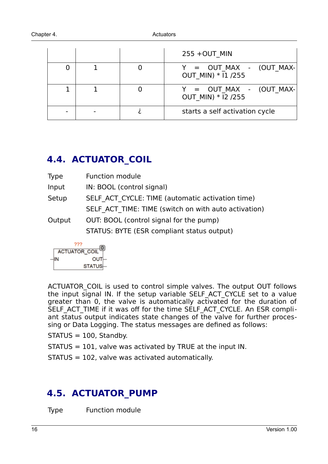|  | 255 + OUT MIN                                   |
|--|-------------------------------------------------|
|  | Y = OUT_MAX - (OUT_MAX-<br>OUT MIN) $*$ 11 /255 |
|  | $Y = OUT_MAX - (OUT_MAX -OUT_MIN)* I2 /255$     |
|  | starts a self activation cycle                  |

#### <span id="page-15-1"></span>**4.4. ACTUATOR\_COIL**

| <b>Function module</b>                               |
|------------------------------------------------------|
| IN: BOOL (control signal)                            |
| SELF ACT CYCLE: TIME (automatic activation time)     |
| SELF ACT TIME: TIME (switch on with auto activation) |
| OUT: BOOL (control signal for the pump)              |
| STATUS: BYTE (ESR compliant status output)           |
| <sup>777</sup><br>ACTUATOR COIL                      |
|                                                      |



ACTUATOR COIL is used to control simple valves. The output OUT follows the input signal IN. If the setup variable SELF ACT CYCLE set to a value greater than 0, the valve is automatically activated for the duration of SELF\_ACT\_TIME if it was off for the time SELF\_ACT\_CYCLE. An ESR compliant status output indicates state changes of the valve for further processing or Data Logging. The status messages are defned as follows:

 $STATUS = 100$ , Standby.

STATUS = 101, valve was activated by TRUE at the input IN.

STATUS = 102, valve was activated automatically.

#### <span id="page-15-0"></span>**4.5. ACTUATOR\_PUMP**

Type Function module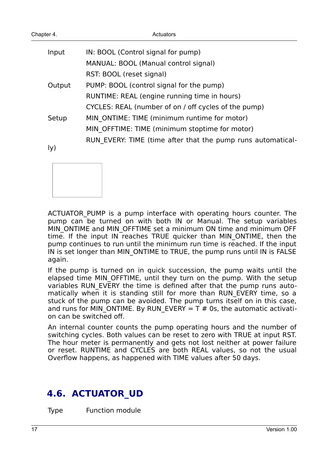| Chapter 4. | Actuators                                                   |
|------------|-------------------------------------------------------------|
| Input      | IN: BOOL (Control signal for pump)                          |
|            | MANUAL: BOOL (Manual control signal)                        |
|            | RST: BOOL (reset signal)                                    |
| Output     | PUMP: BOOL (control signal for the pump)                    |
|            | RUNTIME: REAL (engine running time in hours)                |
|            | CYCLES: REAL (number of on / off cycles of the pump)        |
| Setup      | MIN ONTIME: TIME (minimum runtime for motor)                |
|            | MIN OFFTIME: TIME (minimum stoptime for motor)              |
| ly)        | RUN EVERY: TIME (time after that the pump runs automatical- |



ACTUATOR\_PUMP is a pump interface with operating hours counter. The pump can be turned on with both IN or Manual. The setup variables MIN\_ONTIME and MIN\_OFFTIME set a minimum ON time and minimum OFF time. If the input IN reaches TRUE quicker than MIN\_ONTIME, then the pump continues to run until the minimum run time is reached. If the input IN is set longer than MIN ONTIME to TRUE, the pump runs until IN is FALSE again.

If the pump is turned on in quick succession, the pump waits until the elapsed time MIN OFFTIME, until they turn on the pump. With the setup variables RUN EVERY the time is defined after that the pump runs automatically when it is standing still for more than RUN EVERY time, so a stuck of the pump can be avoided. The pump turns itself on in this case, and runs for MIN\_ONTIME. By RUN\_EVERY = T # 0s, the automatic activation can be switched of.

An internal counter counts the pump operating hours and the number of switching cycles. Both values can be reset to zero with TRUE at input RST. The hour meter is permanently and gets not lost neither at power failure or reset. RUNTIME and CYCLES are both REAL values, so not the usual Overflow happens, as happened with TIME values after 50 days.

#### <span id="page-16-0"></span>**4.6. ACTUATOR\_UD**

Type Function module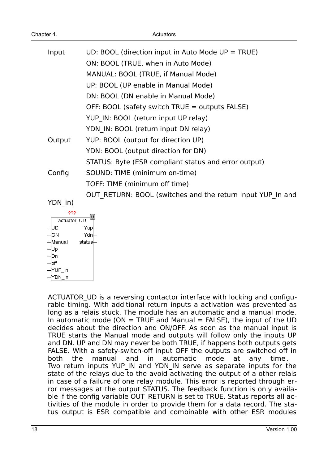| Input   | UD: BOOL (direction input in Auto Mode $UP = TRUE$ )       |
|---------|------------------------------------------------------------|
|         | ON: BOOL (TRUE, when in Auto Mode)                         |
|         | MANUAL: BOOL (TRUE, if Manual Mode)                        |
|         | UP: BOOL (UP enable in Manual Mode)                        |
|         | DN: BOOL (DN enable in Manual Mode)                        |
|         | OFF: BOOL (safety switch TRUE = outputs FALSE)             |
|         | YUP IN: BOOL (return input UP relay)                       |
|         | YDN IN: BOOL (return input DN relay)                       |
| Output  | YUP: BOOL (output for direction UP)                        |
|         | YDN: BOOL (output direction for DN)                        |
|         | STATUS: Byte (ESR compliant status and error output)       |
| Config  | SOUND: TIME (minimum on-time)                              |
|         | TOFF: TIME (minimum off time)                              |
|         | OUT RETURN: BOOL (switches and the return input YUP_In and |
| YDN in) |                                                            |

| ???         | Ü      |  |
|-------------|--------|--|
| actuator UD |        |  |
| UD          | Yup    |  |
| ON          | Ydn    |  |
| Manual      | status |  |
| Up          |        |  |
| Dn          |        |  |
| off         |        |  |
| YUP<br>in   |        |  |
| DN<br>in    |        |  |

ACTUATOR\_UD is a reversing contactor interface with locking and confgurable timing. With additional return inputs a activation was prevented as long as a relais stuck. The module has an automatic and a manual mode. In automatic mode (ON = TRUE and Manual = FALSE), the input of the UD decides about the direction and ON/OFF. As soon as the manual input is TRUE starts the Manual mode and outputs will follow only the inputs UP and DN. UP and DN may never be both TRUE, if happens both outputs gets FALSE. With a safety-switch-off input OFF the outputs are switched off in both the manual and in automatic mode at any time. Two return inputs YUP IN and YDN IN serve as separate inputs for the state of the relays due to the avoid activating the output of a other relais in case of a failure of one relay module. This error is reported through error messages at the output STATUS. The feedback function is only available if the config variable OUT\_RETURN is set to TRUE. Status reports all activities of the module in order to provide them for a data record. The status output is ESR compatible and combinable with other ESR modules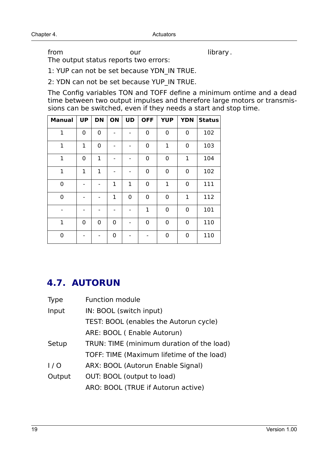from our our library.

The output status reports two errors:

1: YUP can not be set because YDN\_IN TRUE.

2: YDN can not be set because YUP IN TRUE.

The Config variables TON and TOFF define a minimum ontime and a dead time between two output impulses and therefore large motors or transmissions can be switched, even if they needs a start and stop time.

| <b>Manual</b>  | <b>UP</b>    | <b>DN</b>    | ON           | <b>UD</b>    | <b>OFF</b>     | <b>YUP</b>   | <b>YDN</b>   | <b>Status</b> |
|----------------|--------------|--------------|--------------|--------------|----------------|--------------|--------------|---------------|
| $\mathbf{1}$   | 0            | 0            |              |              | $\mathbf 0$    | 0            | 0            | 102           |
| $\mathbf 1$    | $\mathbf{1}$ | $\mathbf 0$  |              |              | $\mathbf 0$    | $\mathbf{1}$ | 0            | 103           |
| $\mathbf 1$    | 0            | $\mathbf{1}$ |              |              | $\mathbf 0$    | 0            | $\mathbf 1$  | 104           |
| $\mathbf{1}$   | $\mathbf 1$  | $\mathbf{1}$ |              |              | $\mathbf 0$    | 0            | 0            | 102           |
| $\overline{0}$ |              |              | $\mathbf{1}$ | $\mathbf{1}$ | $\overline{0}$ | $\mathbf{1}$ | 0            | 111           |
| $\mathbf 0$    |              |              | $\mathbf{1}$ | 0            | $\mathbf 0$    | 0            | $\mathbf{1}$ | 112           |
|                |              |              |              |              | $\mathbf{1}$   | 0            | 0            | 101           |
| $\mathbf 1$    | 0            | $\Omega$     | $\Omega$     |              | 0              | 0            | 0            | 110           |
| 0              |              |              | $\Omega$     |              |                | 0            | 0            | 110           |

#### <span id="page-18-0"></span>**4.7. AUTORUN**

| Type   | <b>Function module</b>                    |
|--------|-------------------------------------------|
| Input  | IN: BOOL (switch input)                   |
|        | TEST: BOOL (enables the Autorun cycle)    |
|        | ARE: BOOL (Enable Autorun)                |
| Setup  | TRUN: TIME (minimum duration of the load) |
|        | TOFF: TIME (Maximum lifetime of the load) |
| 1/0    | ARX: BOOL (Autorun Enable Signal)         |
| Output | OUT: BOOL (output to load)                |
|        | ARO: BOOL (TRUE if Autorun active)        |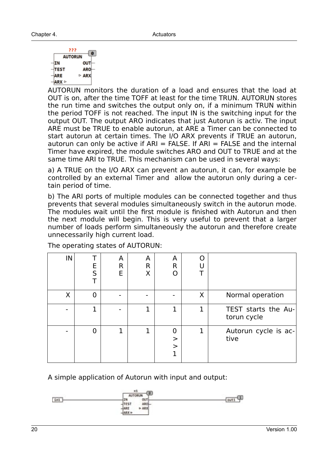|       | <b>AUTORUN</b> |
|-------|----------------|
| ΙN    | OUT            |
| ⊣TEST | <b>ARO</b>     |
| ARE   | <b>PARX</b>    |
| \RX ⊳ |                |

AUTORUN monitors the duration of a load and ensures that the load at OUT is on, after the time TOFF at least for the time TRUN. AUTORUN stores the run time and switches the output only on, if a minimum TRUN within the period TOFF is not reached. The input IN is the switching input for the output OUT. The output ARO indicates that just Autorun is activ. The input ARE must be TRUE to enable autorun, at ARE a Timer can be connected to start autorun at certain times. The I/O ARX prevents if TRUE an autorun, autorun can only be active if  $ARI = FALSE$ . If  $ARI = FALSE$  and the internal Timer have expired, the module switches ARO and OUT to TRUE and at the same time ARI to TRUE. This mechanism can be used in several ways:

a) A TRUE on the I/O ARX can prevent an autorun, it can, for example be controlled by an external Timer and allow the autorun only during a certain period of time.

b) The ARI ports of multiple modules can be connected together and thus prevents that several modules simultaneously switch in the autorun mode. The modules wait until the first module is finished with Autorun and then the next module will begin. This is very useful to prevent that a larger number of loads perform simultaneously the autorun and therefore create unnecessarily high current load.

| IN | т<br>Е<br>S<br>т | Α<br>$\mathsf{R}$<br>E | Α<br>$\overline{R}$<br>X | А<br>$\mathsf{R}$ |   |                                    |
|----|------------------|------------------------|--------------------------|-------------------|---|------------------------------------|
| X  | 0                |                        |                          |                   | X | Normal operation                   |
|    | 1                |                        | 1                        | 1                 | 1 | TEST starts the Au-<br>torun cycle |
|    | 0                |                        | 1                        | 0<br>><br>>       |   | Autorun cycle is ac-<br>tive       |

The operating states of AUTORUN:

A simple application of Autorun with input and output:

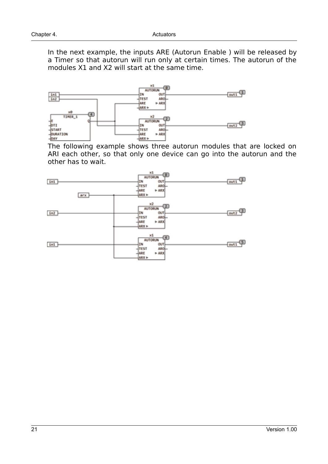In the next example, the inputs ARE (Autorun Enable ) will be released by a Timer so that autorun will run only at certain times. The autorun of the modules X1 and X2 will start at the same time.



The following example shows three autorun modules that are locked on ARI each other, so that only one device can go into the autorun and the other has to wait.

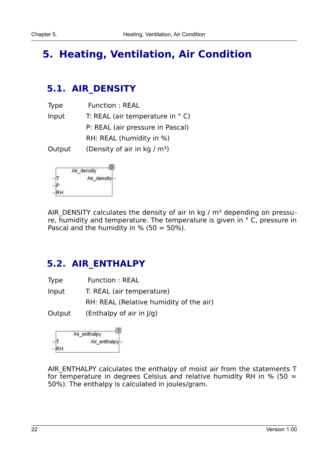# <span id="page-21-2"></span> **5. Heating, Ventilation, Air Condition**

# <span id="page-21-1"></span>**5.1. AIR\_DENSITY**

| <b>Function: REAL</b><br>Type |
|-------------------------------|
|-------------------------------|

Input T: REAL (air temperature in  $\degree$  C)

P: REAL (air pressure in Pascal)

RH: REAL (humidity in %)

Output (Density of air in kg  $/m<sup>3</sup>$ )



AIR DENSITY calculates the density of air in kg /  $m<sup>3</sup>$  depending on pressure, humidity and temperature. The temperature is given in ° C, pressure in Pascal and the humidity in %  $(50 = 50\%)$ .

## <span id="page-21-0"></span>**5.2. AIR\_ENTHALPY**

Type Function : REAL

Input T: REAL (air temperature)

RH: REAL (Relative humidity of the air)

Output (Enthalpy of air in J/g)



AIR ENTHALPY calculates the enthalpy of moist air from the statements T for temperature in degrees Celsius and relative humidity RH in % (50  $=$ 50%). The enthalpy is calculated in joules/gram.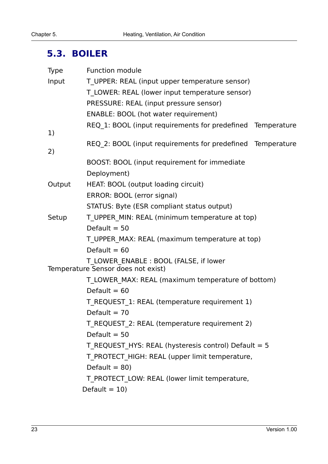# <span id="page-22-0"></span>**5.3. BOILER**

| Type   | <b>Function module</b>                                                       |  |  |  |  |  |
|--------|------------------------------------------------------------------------------|--|--|--|--|--|
| Input  | T_UPPER: REAL (input upper temperature sensor)                               |  |  |  |  |  |
|        | T LOWER: REAL (lower input temperature sensor)                               |  |  |  |  |  |
|        | PRESSURE: REAL (input pressure sensor)                                       |  |  |  |  |  |
|        | ENABLE: BOOL (hot water requirement)                                         |  |  |  |  |  |
| 1)     | REQ 1: BOOL (input requirements for predefined<br>Temperature                |  |  |  |  |  |
| 2)     | REQ 2: BOOL (input requirements for predefined Temperature                   |  |  |  |  |  |
|        | BOOST: BOOL (input requirement for immediate                                 |  |  |  |  |  |
|        | Deployment)                                                                  |  |  |  |  |  |
| Output | HEAT: BOOL (output loading circuit)                                          |  |  |  |  |  |
|        | ERROR: BOOL (error signal)                                                   |  |  |  |  |  |
|        | STATUS: Byte (ESR compliant status output)                                   |  |  |  |  |  |
| Setup  | T UPPER MIN: REAL (minimum temperature at top)                               |  |  |  |  |  |
|        | Default $= 50$                                                               |  |  |  |  |  |
|        | T UPPER MAX: REAL (maximum temperature at top)                               |  |  |  |  |  |
|        | Default = $60$                                                               |  |  |  |  |  |
|        | T LOWER ENABLE : BOOL (FALSE, if lower<br>Temperature Sensor does not exist) |  |  |  |  |  |
|        | T_LOWER_MAX: REAL (maximum temperature of bottom)                            |  |  |  |  |  |
|        | Default = $60$                                                               |  |  |  |  |  |
|        | T REQUEST 1: REAL (temperature requirement 1)                                |  |  |  |  |  |
|        | Default = $70$                                                               |  |  |  |  |  |
|        | T_REQUEST_2: REAL (temperature requirement 2)                                |  |  |  |  |  |
|        | Default $= 50$                                                               |  |  |  |  |  |
|        | T REQUEST HYS: REAL (hysteresis control) Default = $5$                       |  |  |  |  |  |
|        | T_PROTECT_HIGH: REAL (upper limit temperature,                               |  |  |  |  |  |
|        | Default = $80$ )                                                             |  |  |  |  |  |
|        | T PROTECT LOW: REAL (lower limit temperature,                                |  |  |  |  |  |
|        | Default $= 10$ )                                                             |  |  |  |  |  |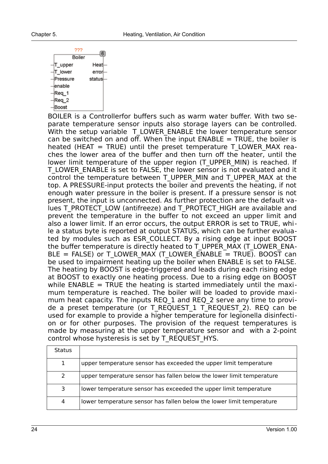| 222      | 6      |
|----------|--------|
| Boiler   |        |
| T_upper  | Heat   |
| T_lower  | error  |
| Pressure | status |
| enable   |        |
| Reg 1    |        |
| Req_2    |        |
| Boost    |        |

BOILER is a Controllerfor buffers such as warm water buffer. With two separate temperature sensor inputs also storage layers can be controlled. With the setup variable T LOWER ENABLE the lower temperature sensor can be switched on and off. When the input  $ENABLE = TRUE$ , the boiler is heated (HEAT = TRUE) until the preset temperature T LOWER MAX reaches the lower area of the buffer and then turn off the heater, until the lower limit temperature of the upper region (T\_UPPER\_MIN) is reached. If T\_LOWER\_ENABLE is set to FALSE, the lower sensor is not evaluated and it control the temperature between T\_UPPER\_MIN and T\_UPPER\_MAX at the top. A PRESSURE-input protects the boiler and prevents the heating, if not enough water pressure in the boiler is present. If a pressure sensor is not present, the input is unconnected. As further protection are the default values T\_PROTECT\_LOW (antifreeze) and T\_PROTECT\_HIGH are available and prevent the temperature in the buffer to not exceed an upper limit and also a lower limit. If an error occurs, the output ERROR is set to TRUE, while a status byte is reported at output STATUS, which can be further evaluated by modules such as ESR\_COLLECT. By a rising edge at input BOOST the buffer temperature is directly heated to T\_UPPER\_MAX (T\_LOWER\_ENA-BLE = FALSE) or T LOWER MAX (T LOWER ENABLE = TRUE). BOOST can be used to impairment heating up the boiler when ENABLE is set to FALSE. The heating by BOOST is edge-triggered and leads during each rising edge at BOOST to exactly one heating process. Due to a rising edge on BOOST while ENABLE  $=$  TRUE the heating is started immediately until the maximum temperature is reached. The boiler will be loaded to provide maximum heat capacity. The inputs REQ\_1 and REQ\_2 serve any time to provide a preset temperature (or T\_REQUEST\_1 T\_REQUEST\_2). REQ can be used for example to provide a higher temperature for legionella disinfection or for other purposes. The provision of the request temperatures is made by measuring at the upper temperature sensor and with a 2-point control whose hysteresis is set by T\_REQUEST\_HYS.

| <b>Status</b> |                                                                       |
|---------------|-----------------------------------------------------------------------|
| 1             | upper temperature sensor has exceeded the upper limit temperature     |
| 2             | upper temperature sensor has fallen below the lower limit temperature |
| 3             | lower temperature sensor has exceeded the upper limit temperature     |
| 4             | lower temperature sensor has fallen below the lower limit temperature |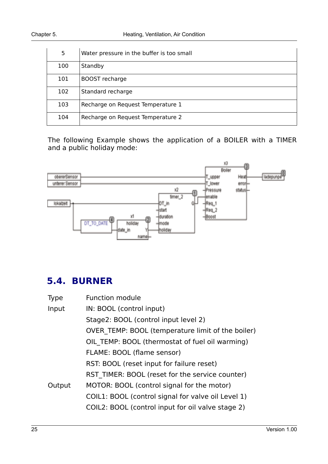| 5   | Water pressure in the buffer is too small |
|-----|-------------------------------------------|
| 100 | Standby                                   |
| 101 | <b>BOOST</b> recharge                     |
| 102 | Standard recharge                         |
| 103 | Recharge on Request Temperature 1         |
| 104 | Recharge on Request Temperature 2         |

The following Example shows the application of a BOILER with a TIMER and a public holiday mode:



#### <span id="page-24-0"></span>**5.4. BURNER**

| Type   | <b>Function module</b>                             |  |  |  |  |
|--------|----------------------------------------------------|--|--|--|--|
| Input  | IN: BOOL (control input)                           |  |  |  |  |
|        | Stage2: BOOL (control input level 2)               |  |  |  |  |
|        | OVER TEMP: BOOL (temperature limit of the boiler)  |  |  |  |  |
|        | OIL TEMP: BOOL (thermostat of fuel oil warming)    |  |  |  |  |
|        | FLAME: BOOL (flame sensor)                         |  |  |  |  |
|        | RST: BOOL (reset input for failure reset)          |  |  |  |  |
|        | RST TIMER: BOOL (reset for the service counter)    |  |  |  |  |
| Output | MOTOR: BOOL (control signal for the motor)         |  |  |  |  |
|        | COIL1: BOOL (control signal for valve oil Level 1) |  |  |  |  |
|        | COIL2: BOOL (control input for oil valve stage 2)  |  |  |  |  |
|        |                                                    |  |  |  |  |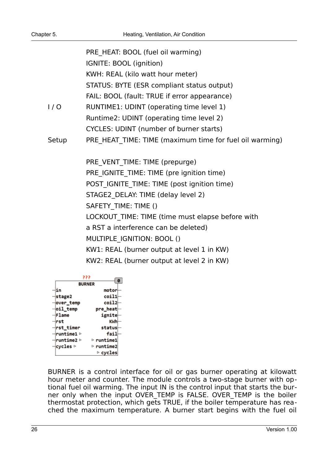|       | PRE HEAT: BOOL (fuel oil warming)                       |
|-------|---------------------------------------------------------|
|       | IGNITE: BOOL (ignition)                                 |
|       | KWH: REAL (kilo watt hour meter)                        |
|       | STATUS: BYTE (ESR compliant status output)              |
|       | FAIL: BOOL (fault: TRUE if error appearance)            |
| 1/0   | RUNTIME1: UDINT (operating time level 1)                |
|       | Runtime2: UDINT (operating time level 2)                |
|       | CYCLES: UDINT (number of burner starts)                 |
| Setup | PRE HEAT TIME: TIME (maximum time for fuel oil warming) |
|       | PRE VENT TIME: TIME (prepurge)                          |
|       | PRE IGNITE TIME: TIME (pre ignition time)               |
|       | POST_IGNITE_TIME: TIME (post ignition time)             |
|       | STAGE2 DELAY: TIME (delay level 2)                      |
|       | SAFETY TIME: TIME ()                                    |
|       | LOCKOUT TIME: TIME (time must elapse before with        |
|       | a RST a interference can be deleted)                    |
|       | MULTIPLE IGNITION: BOOL ()                              |
|       | KW1: REAL (burner output at level 1 in KW)              |
|       | KW2: REAL (burner output at level 2 in KW)              |
|       |                                                         |

| ???                                            |                           |
|------------------------------------------------|---------------------------|
| <b>BURNER</b>                                  |                           |
| in                                             | motor                     |
| $\lnot$ stage2                                 | coil1                     |
| <b>⊣over_temp</b>                              | coil2                     |
| $\mathbin{{\dashdot}}$ loi $\mathbf{l}\_$ temp | pre_heat                  |
| $-I$ Flame                                     | ignite                    |
| ⊣rst                                           | KWh                       |
| $\neg$ rst_timer                               | status                    |
| $\neg$ runtime1 $\triangleright$               | fail                      |
| $\neg$ runtime2 $\neg$                         | ⊳ runtime1                |
| cycles b                                       | $\triangleright$ runtime2 |
|                                                | $\triangleright$ cycles   |

BURNER is a control interface for oil or gas burner operating at kilowatt hour meter and counter. The module controls a two-stage burner with optional fuel oil warming. The input IN is the control input that starts the burner only when the input OVER TEMP is FALSE. OVER TEMP is the boiler thermostat protection, which gets TRUE, if the boiler temperature has reached the maximum temperature. A burner start begins with the fuel oil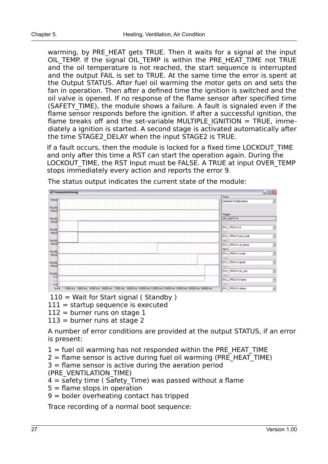warming, by PRE HEAT gets TRUE. Then it waits for a signal at the input OIL TEMP. If the signal OIL TEMP is within the PRE HEAT TIME not TRUE and the oil temperature is not reached, the start sequence is interrupted and the output FAIL is set to TRUE. At the same time the error is spent at the Output STATUS. After fuel oil warming the motor gets on and sets the fan in operation. Then after a defned time the ignition is switched and the oil valve is opened. If no response of the fame sensor after specifed time (SAFETY TIME), the module shows a failure. A fault is signaled even if the fame sensor responds before the ignition. If after a successful ignition, the flame breaks off and the set-variable MULTIPLE IGNITION  $=$  TRUE, immediately a ignition is started. A second stage is activated automatically after the time STAGE2\_DELAY when the input STAGE2 is TRUE.

If a fault occurs, then the module is locked for a fixed time LOCKOUT TIME and only after this time a RST can start the operation again. During the LOCKOUT TIME, the RST Input must be FALSE. A TRUE at input OVER TEMP stops immediately every action and reports the error 9.



The status output indicates the current state of the module:

 $110 =$  Wait for Start signal (Standby)

 $111 =$  startup sequence is executed

 $112 =$  burner runs on stage 1

 $113$  = burner runs at stage 2

A number of error conditions are provided at the output STATUS, if an error is present:

- $1$  = fuel oil warming has not responded within the PRE HEAT TIME
- $2$  = flame sensor is active during fuel oil warming (PRE HEAT TIME)

 $3$  = flame sensor is active during the aeration period

(PRE\_VENTILATION\_TIME)

 $4 =$  safety time (Safety Time) was passed without a flame

- $5$  = flame stops in operation
- 9 = boiler overheating contact has tripped

Trace recording of a normal boot sequence: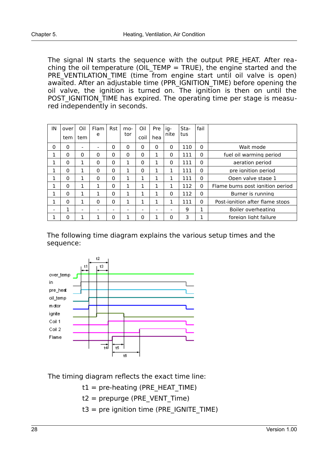The signal IN starts the sequence with the output PRE HEAT. After reaching the oil temperature (OIL\_TEMP = TRUE), the engine started and the PRE VENTILATION TIME (time from engine start until oil valve is open) awaited. After an adjustable time (PPR\_IGNITION\_TIME) before opening the oil valve, the ignition is turned on. The ignition is then on until the POST IGNITION TIME has expired. The operating time per stage is measured independently in seconds.

| IN | over     | Oil                      | Flam                     | <b>Rst</b> | mo- | Oil                      | Pre      | iq-      | Sta- | fail     |                                  |
|----|----------|--------------------------|--------------------------|------------|-----|--------------------------|----------|----------|------|----------|----------------------------------|
|    | tem      | tem                      | e                        |            | tor | coil                     | hea      | nite     | tus  |          |                                  |
| 0  | $\Omega$ | $\overline{\phantom{a}}$ | $\overline{\phantom{0}}$ | $\Omega$   | 0   | 0                        | $\Omega$ | 0        | 110  | 0        | Wait mode                        |
| 1  | $\Omega$ | $\Omega$                 | $\Omega$                 | $\Omega$   | 0   | 0                        | 1        | 0        | 111  | 0        | fuel oil warming period          |
| 1  | 0        | 1                        | $\Omega$                 | $\Omega$   | 1   | 0                        | 1        | 0        | 111  | 0        | aeration period                  |
| 1  | 0        | 1                        | $\Omega$                 | $\Omega$   | 1   | 0                        | 1        | 1        | 111  | 0        | pre janition period              |
| 1  | $\Omega$ | 1                        | $\Omega$                 | $\Omega$   | 1   | 1                        | 1        | 1        | 111  | 0        | Open valve stage 1               |
| 1  | 0        | 1                        | 1                        | $\Omega$   | 1   | 1                        | 1        | 1        | 112  | 0        | Flame burns post janition period |
| 1  | $\Omega$ | 1                        | 1                        | $\Omega$   | 1   | 1                        | 1        | $\Omega$ | 112  | 0        | Burner is running                |
| 1  | 0        | 1                        | $\Omega$                 | $\Omega$   | 1   | 1                        | 1        | 1        | 111  | $\Omega$ | Post-janition after flame stops  |
|    | 1        | $\overline{ }$           |                          |            |     | $\overline{\phantom{a}}$ |          |          | 9    | 1        | Boiler overheating               |
|    | 0        | 1                        |                          | $\Omega$   |     | 0                        | 1        | 0        | 3    | 1        | foreign light failure            |

The following time diagram explains the various setup times and the sequence:



The timing diagram refects the exact time line:

```
t1 = pre\text{-heating (PRE HEAT TIME)}
```
- $t2 =$  prepurge (PRE VENT Time)
- $t3$  = pre ignition time (PRE IGNITE TIME)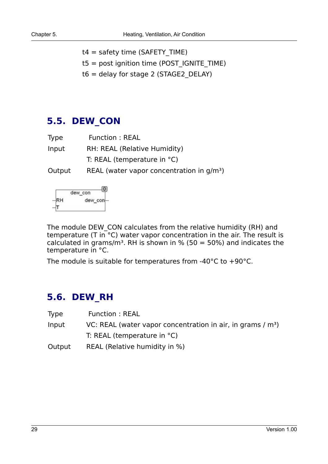- $t4 = s$ afety time (SAFETY TIME)
- $t5$  = post ignition time (POST IGNITE TIME)
- $t6 =$  delay for stage 2 (STAGE2 DELAY)

#### <span id="page-28-1"></span>**5.5. DEW\_CON**

- Type Function : REAL
- Input RH: REAL (Relative Humidity)
	- T: REAL (temperature in °C)
- Output REAL (water vapor concentration in  $g/m<sup>3</sup>$ )



The module DEW\_CON calculates from the relative humidity (RH) and temperature (T in °C) water vapor concentration in the air. The result is calculated in grams/m<sup>3</sup>. RH is shown in % (50 = 50%) and indicates the temperature in °C.

The module is suitable for temperatures from -40 $^{\circ}$ C to +90 $^{\circ}$ C.

#### <span id="page-28-0"></span>**5.6. DEW\_RH**

| <b>Type</b> | <b>Function: REAL</b>                                         |
|-------------|---------------------------------------------------------------|
| Input       | VC: REAL (water vapor concentration in air, in grams / $m3$ ) |
|             | T: REAL (temperature in $^{\circ}$ C)                         |
| Output      | REAL (Relative humidity in %)                                 |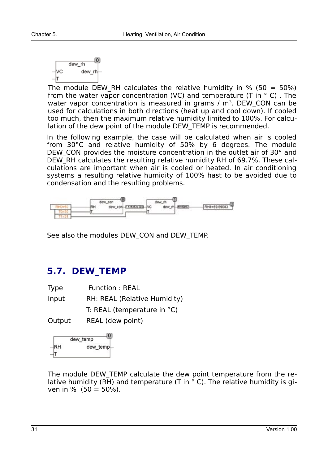

The module DEW RH calculates the relative humidity in % (50 = 50%) from the water vapor concentration (VC) and temperature (T in  $\degree$  C). The water vapor concentration is measured in grams  $/m<sup>3</sup>$ . DEW CON can be used for calculations in both directions (heat up and cool down). If cooled too much, then the maximum relative humidity limited to 100%. For calculation of the dew point of the module DEW\_TEMP is recommended.

In the following example, the case will be calculated when air is cooled from 30°C and relative humidity of 50% by 6 degrees. The module DEW CON provides the moisture concentration in the outlet air of 30° and DEW RH calculates the resulting relative humidity RH of 69.7%. These calculations are important when air is cooled or heated. In air conditioning systems a resulting relative humidity of 100% hast to be avoided due to condensation and the resulting problems.



See also the modules DEW\_CON and DEW\_TEMP.

## <span id="page-30-0"></span>**5.7. DEW\_TEMP**

Type Function : REAL

Input RH: REAL (Relative Humidity)

T: REAL (temperature in °C)

Output REAL (dew point)



The module DEW TEMP calculate the dew point temperature from the relative humidity (RH) and temperature (T in  $\degree$  C). The relative humidity is given in %  $(50 = 50\%)$ .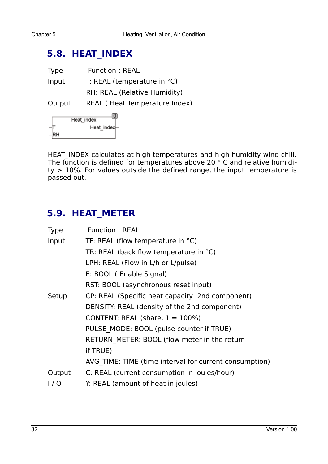## <span id="page-31-1"></span>**5.8. HEAT\_INDEX**

| <b>Type</b> | <b>Function: REAL</b>                 |  |  |  |  |
|-------------|---------------------------------------|--|--|--|--|
| Input       | T: REAL (temperature in $^{\circ}$ C) |  |  |  |  |
|             | RH: REAL (Relative Humidity)          |  |  |  |  |
| Output      | REAL (Heat Temperature Index)         |  |  |  |  |
| Heat index  | Heat index-                           |  |  |  |  |
|             |                                       |  |  |  |  |

HEAT\_INDEX calculates at high temperatures and high humidity wind chill. The function is defined for temperatures above 20 ° C and relative humidity > 10%. For values outside the defned range, the input temperature is passed out.

#### <span id="page-31-0"></span>**5.9. HEAT\_METER**

| <b>Type</b> | <b>Function: REAL</b>                                  |  |  |  |  |  |
|-------------|--------------------------------------------------------|--|--|--|--|--|
| Input       | TF: REAL (flow temperature in $^{\circ}$ C)            |  |  |  |  |  |
|             | TR: REAL (back flow temperature in °C)                 |  |  |  |  |  |
|             | LPH: REAL (Flow in L/h or L/pulse)                     |  |  |  |  |  |
|             | E: BOOL (Enable Signal)                                |  |  |  |  |  |
|             | RST: BOOL (asynchronous reset input)                   |  |  |  |  |  |
| Setup       | CP: REAL (Specific heat capacity 2nd component)        |  |  |  |  |  |
|             | DENSITY: REAL (density of the 2nd component)           |  |  |  |  |  |
|             | CONTENT: REAL (share, $1 = 100\%$ )                    |  |  |  |  |  |
|             | PULSE MODE: BOOL (pulse counter if TRUE)               |  |  |  |  |  |
|             | RETURN METER: BOOL (flow meter in the return           |  |  |  |  |  |
|             | if TRUE)                                               |  |  |  |  |  |
|             | AVG TIME: TIME (time interval for current consumption) |  |  |  |  |  |
| Output      | C: REAL (current consumption in joules/hour)           |  |  |  |  |  |
| 1/0         | Y: REAL (amount of heat in joules)                     |  |  |  |  |  |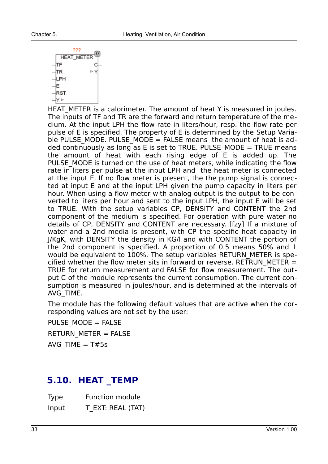$$
\begin{array}{c}\n\begin{array}{c}\n\text{777} \\
\text{100} \\
\text{110} \\
\text{120} \\
\text{130} \\
\text{140} \\
\text{150} \\
\text{160} \\
\text{170} \\
\text{180} \\
\text{190} \\
\text{100} \\
\text{100} \\
\text{100} \\
\text{100} \\
\text{100} \\
\text{100} \\
\text{100} \\
\text{100} \\
\text{100} \\
\text{100} \\
\text{100} \\
\text{100} \\
\text{100} \\
\text{100} \\
\text{100} \\
\text{100} \\
\text{100} \\
\text{100} \\
\text{100} \\
\text{100} \\
\text{100} \\
\text{100} \\
\text{100} \\
\text{100} \\
\text{100} \\
\text{100} \\
\text{100} \\
\text{100} \\
\text{100} \\
\text{100} \\
\text{100} \\
\text{100} \\
\text{100} \\
\text{100} \\
\text{100} \\
\text{100} \\
\text{100} \\
\text{100} \\
\text{100} \\
\text{100} \\
\text{100} \\
\text{100} \\
\text{100} \\
\text{100} \\
\text{100} \\
\text{100} \\
\text{100} \\
\text{100} \\
\text{100} \\
\text{100} \\
\text{100} \\
\text{100} \\
\text{100} \\
\text{100} \\
\text{100} \\
\text{100} \\
\text{100} \\
\text{100} \\
\text{100} \\
\text{100} \\
\text{100} \\
\text{100} \\
\text{100} \\
\text{100} \\
\text{100} \\
\text{100} \\
\text{100} \\
\text{100} \\
\text{100} \\
\text{100} \\
\text{100} \\
\text{100} \\
\text{100} \\
\text{100} \\
\text{100} \\
\text{100} \\
\text{100} \\
\text{100} \\
\text{100} \\
\text{100} \\
\text{100} \\
\text{100} \\
$$

HEAT METER is a calorimeter. The amount of heat Y is measured in joules. The inputs of TF and TR are the forward and return temperature of the medium. At the input LPH the fow rate in liters/hour, resp. the fow rate per pulse of E is specifed. The property of E is determined by the Setup Variable PULSE MODE. PULSE MODE = FALSE means the amount of heat is added continuously as long as E is set to TRUE. PULSE MODE  $=$  TRUE means the amount of heat with each rising edge of E is added up. The PULSE MODE is turned on the use of heat meters, while indicating the flow rate in liters per pulse at the input LPH and the heat meter is connected at the input E. If no flow meter is present, the the pump signal is connected at input E and at the input LPH given the pump capacity in liters per hour. When using a flow meter with analog output is the output to be converted to liters per hour and sent to the input LPH, the input E will be set to TRUE. With the setup variables CP, DENSITY and CONTENT the 2nd component of the medium is specifed. For operation with pure water no details of CP, DENSITY and CONTENT are necessary. [fzy] If a mixture of water and a 2nd media is present, with CP the specific heat capacity in J/KgK, with DENSITY the density in KG/l and with CONTENT the portion of the 2nd component is specifed. A proportion of 0.5 means 50% and 1 would be equivalent to 100%. The setup variables RETURN\_METER is specified whether the flow meter sits in forward or reverse. RETRUN METER  $=$ TRUE for return measurement and FALSE for flow measurement. The output C of the module represents the current consumption. The current consumption is measured in joules/hour, and is determined at the intervals of AVG\_TIME.

The module has the following default values that are active when the corresponding values are not set by the user:

PULSE  $MODE = FALSE$ RETURN\_METER = FALSE AVG TIME  $= T#5s$ 

#### <span id="page-32-0"></span>**5.10. HEAT \_TEMP**

Type Function module Input T\_EXT: REAL (TAT)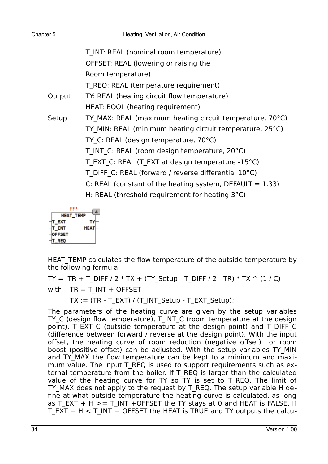|        | T INT: REAL (nominal room temperature)                      |
|--------|-------------------------------------------------------------|
|        | OFFSET: REAL (lowering or raising the                       |
|        | Room temperature)                                           |
|        | T REQ: REAL (temperature requirement)                       |
| Output | TY: REAL (heating circuit flow temperature)                 |
|        | HEAT: BOOL (heating requirement)                            |
| Setup  | TY MAX: REAL (maximum heating circuit temperature, 70°C)    |
|        | TY MIN: REAL (minimum heating circuit temperature, 25°C)    |
|        | TY C: REAL (design temperature, 70°C)                       |
|        | T INT C: REAL (room design temperature, 20°C)               |
|        | T EXT C: REAL (T EXT at design temperature -15°C)           |
|        | T DIFF C: REAL (forward / reverse differential 10°C)        |
|        | C: REAL (constant of the heating system, DEFAULT = $1.33$ ) |
|        | H: REAL (threshold requirement for heating $3^{\circ}$ C)   |
|        |                                                             |

| <b>HEAT TEMP</b> |             |  |
|------------------|-------------|--|
| T EXT            |             |  |
| T_INT            | <b>HEAT</b> |  |
| <b>OFFSET</b>    |             |  |
| T REO            |             |  |

HEAT TEMP calculates the flow temperature of the outside temperature by the following formula:

TY = TR + T\_DIFF / 2 \* TX + (TY\_Setup - T\_DIFF / 2 - TR) \* TX ^ (1 / C) with:  $TR = T INT + OFFSET$ 

TX := (TR - T\_EXT) / (T\_INT\_Setup - T\_EXT\_Setup);

The parameters of the heating curve are given by the setup variables TY C (design flow temperature), T INT C (room temperature at the design point), T\_EXT\_C (outside temperature at the design point) and T\_DIFF\_C (diference between forward / reverse at the design point). With the input offset, the heating curve of room reduction (negative offset) or room boost (positive offset) can be adjusted. With the setup variables TY MIN and TY MAX the flow temperature can be kept to a minimum and maximum value. The input T REQ is used to support requirements such as external temperature from the boiler. If T\_REQ is larger than the calculated value of the heating curve for TY so  $TY$  is set to T REQ. The limit of TY MAX does not apply to the request by T\_REQ. The setup variable H defne at what outside temperature the heating curve is calculated, as long as T\_EXT + H  $>=$  T\_INT +OFFSET the TY stays at 0 and HEAT is FALSE. If T\_EXT + H < T\_INT + OFFSET the HEAT is TRUE and TY outputs the calcu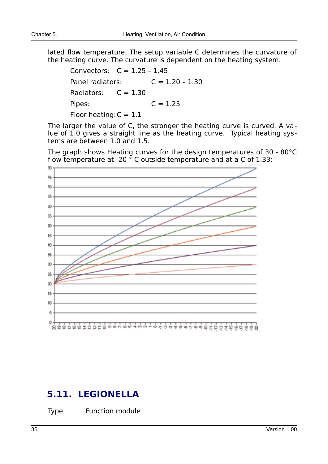lated flow temperature. The setup variable C determines the curvature of the heating curve. The curvature is dependent on the heating system.

Convectors:  $C = 1.25 - 1.45$ Panel radiators:  $C = 1.20 - 1.30$ Radiators:  $C = 1.30$ Pipes:  $C = 1.25$ Floor heating:  $C = 1.1$ 

The larger the value of C, the stronger the heating curve is curved. A value of 1.0 gives a straight line as the heating curve. Typical heating systems are between 1.0 and 1.5.

The graph shows Heating curves for the design temperatures of 30 - 80°C flow temperature at -20<sup>°</sup> C outside temperature and at a C of 1.33:



#### <span id="page-34-0"></span>**5.11. LEGIONELLA**

Type Function module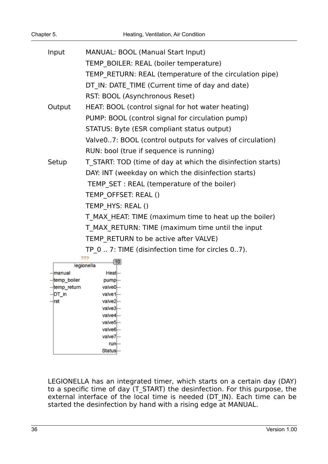| Input  | MANUAL: BOOL (Manual Start Input)                           |
|--------|-------------------------------------------------------------|
|        | TEMP BOILER: REAL (boiler temperature)                      |
|        | TEMP RETURN: REAL (temperature of the circulation pipe)     |
|        | DT IN: DATE TIME (Current time of day and date)             |
|        | RST: BOOL (Asynchronous Reset)                              |
| Output | HEAT: BOOL (control signal for hot water heating)           |
|        | PUMP: BOOL (control signal for circulation pump)            |
|        | STATUS: Byte (ESR compliant status output)                  |
|        | Valve07: BOOL (control outputs for valves of circulation)   |
|        | RUN: bool (true if sequence is running)                     |
| Setup  | T START: TOD (time of day at which the disinfection starts) |
|        | DAY: INT (weekday on which the disinfection starts)         |
|        | TEMP SET : REAL (temperature of the boiler)                 |
|        | TEMP OFFSET: REAL ()                                        |
|        | TEMP HYS: REAL ()                                           |
|        | T MAX HEAT: TIME (maximum time to heat up the boiler)       |
|        | T MAX RETURN: TIME (maximum time until the input            |
|        | TEMP RETURN to be active after VALVE)                       |
|        | TP 0  7: TIME (disinfection time for circles 07).           |
|        | ???<br>(10)                                                 |

|             | 10            |
|-------------|---------------|
| legionella  |               |
| manual      | Heat          |
| temp boiler | pump          |
| temp_return | valve0        |
| DT in       | valve1        |
| rst         | valve2        |
|             | valve3        |
|             | valve4        |
|             | valve5        |
|             | valve6        |
|             | valve7        |
|             | run           |
|             | <b>Status</b> |

LEGIONELLA has an integrated timer, which starts on a certain day (DAY) to a specific time of day (T\_START) the desinfection. For this purpose, the external interface of the local time is needed (DT\_IN). Each time can be started the desinfection by hand with a rising edge at MANUAL.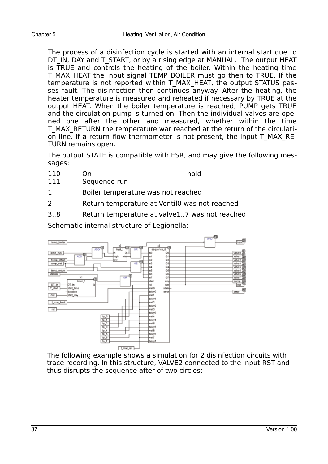The process of a disinfection cycle is started with an internal start due to DT IN, DAY and T\_START, or by a rising edge at MANUAL. The output HEAT is TRUE and controls the heating of the boiler. Within the heating time T\_MAX\_HEAT the input signal TEMP\_BOILER must go then to TRUE. If the temperature is not reported within T\_MAX\_HEAT, the output STATUS passes fault. The disinfection then continues anyway. After the heating, the heater temperature is measured and reheated if necessary by TRUE at the output HEAT. When the boiler temperature is reached, PUMP gets TRUE and the circulation pump is turned on. Then the individual valves are opened one after the other and measured, whether within the time T\_MAX\_RETURN the temperature war reached at the return of the circulation line. If a return flow thermometer is not present, the input T MAX RE-TURN remains open.

The output STATE is compatible with ESR, and may give the following messages:

110 On hold

- 111 Sequence run
- 1 Boiler temperature was not reached
- 2 Return temperature at Ventil0 was not reached
- 3..8 Return temperature at valve1..7 was not reached

Schematic internal structure of Legionella:



The following example shows a simulation for 2 disinfection circuits with trace recording. In this structure, VALVE2 connected to the input RST and thus disrupts the sequence after of two circles: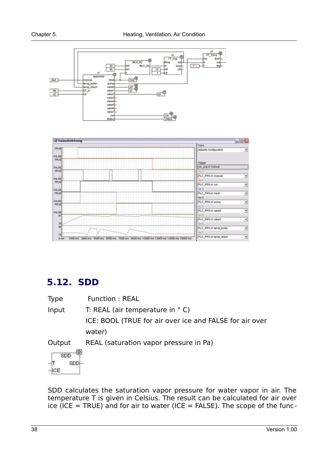

### **5.12. SDD**

Type Function : REAL

Input T: REAL (air temperature in °C)

ICE: BOOL (TRUE for air over ice and FALSE for air over water)

Output REAL (saturation vapor pressure in Pa)



SDD calculates the saturation vapor pressure for water vapor in air. The temperature T is given in Celsius. The result can be calculated for air over ice (ICE = TRUE) and for air to water (ICE = FALSE). The scope of the func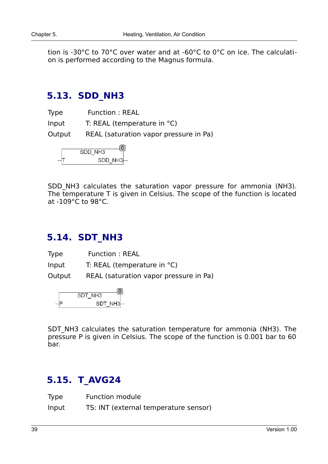tion is -30°C to 70°C over water and at -60°C to 0°C on ice. The calculation is performed according to the Magnus formula.

### **5.13. SDD\_NH3**

Type Function : REAL

Input T: REAL (temperature in °C)

Output REAL (saturation vapor pressure in Pa)



SDD NH3 calculates the saturation vapor pressure for ammonia (NH3). The temperature T is given in Celsius. The scope of the function is located at -109°C to 98°C.

### **5.14. SDT\_NH3**

Type Function : REAL

Input T: REAL (temperature in °C)

Output REAL (saturation vapor pressure in Pa)



SDT\_NH3 calculates the saturation temperature for ammonia (NH3). The pressure P is given in Celsius. The scope of the function is 0.001 bar to 60 bar.

# **5.15. T\_AVG24**

| <b>Type</b> | Function module                       |
|-------------|---------------------------------------|
| Input       | TS: INT (external temperature sensor) |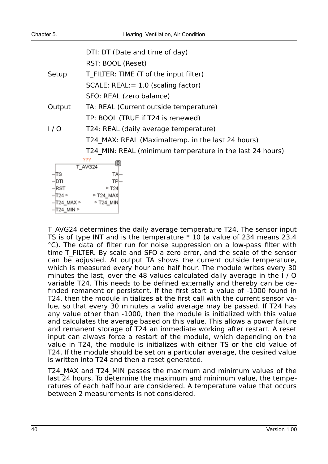|                             | DTI: DT (Date and time of day)                           |
|-----------------------------|----------------------------------------------------------|
|                             | RST: BOOL (Reset)                                        |
| Setup                       | T FILTER: TIME (T of the input filter)                   |
|                             | $SCALE: REAL := 1.0$ (scaling factor)                    |
|                             | SFO: REAL (zero balance)                                 |
| Output                      | TA: REAL (Current outside temperature)                   |
|                             | TP: BOOL (TRUE if T24 is renewed)                        |
| 1/0                         | T24: REAL (daily average temperature)                    |
|                             | T24 MAX: REAL (Maximaltemp. in the last 24 hours)        |
|                             | T24 MIN: REAL (minimum temperature in the last 24 hours) |
|                             | ???<br>T_AVG24                                           |
| $-\mathsf{TS}$              | TA⊦                                                      |
| $-DTI$                      | ТP                                                       |
| $-$ RST                     | ⊳ Т24                                                    |
| $-T24$                      | $\triangleright$ T24 MAX                                 |
| $-T24$ MAX $\triangleright$ | $\triangleright$ T24_MIN                                 |
| –IT24 MIN ⊵                 |                                                          |

T\_AVG24 determines the daily average temperature T24. The sensor input TS is of type INT and is the temperature \* 10 (a value of 234 means 23.4 °C). The data of flter run for noise suppression on a low-pass flter with time T FILTER. By scale and SFO a zero error, and the scale of the sensor can be adjusted. At output TA shows the current outside temperature, which is measured every hour and half hour. The module writes every 30 minutes the last, over the 48 values calculated daily average in the I / O variable T24. This needs to be defned externally and thereby can be defnded remanent or persistent. If the frst start a value of -1000 found in T24, then the module initializes at the first call with the current sensor value, so that every 30 minutes a valid average may be passed. If T24 has any value other than -1000, then the module is initialized with this value and calculates the average based on this value. This allows a power failure and remanent storage of T24 an immediate working after restart. A reset input can always force a restart of the module, which depending on the value in T24, the module is initializes with either TS or the old value of T24. If the module should be set on a particular average, the desired value is written into T24 and then a reset generated.

T24\_MAX and T24\_MIN passes the maximum and minimum values of the last 24 hours. To determine the maximum and minimum value, the temperatures of each half hour are considered. A temperature value that occurs between 2 measurements is not considered.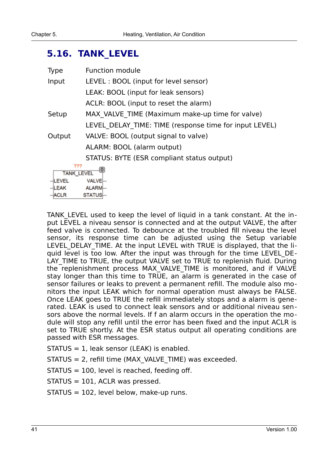**ACLR** 

# **5.16. TANK\_LEVEL**

**STATUS** 

| Type              | <b>Function module</b>                                 |
|-------------------|--------------------------------------------------------|
| Input             | LEVEL : BOOL (input for level sensor)                  |
|                   | LEAK: BOOL (input for leak sensors)                    |
|                   | ACLR: BOOL (input to reset the alarm)                  |
| Setup             | MAX VALVE TIME (Maximum make-up time for valve)        |
|                   | LEVEL DELAY TIME: TIME (response time for input LEVEL) |
| Output            | VALVE: BOOL (output signal to valve)                   |
|                   | ALARM: BOOL (alarm output)                             |
|                   | STATUS: BYTE (ESR compliant status output)             |
| <b>TANK LEVEL</b> |                                                        |
| <b>FVFL</b>       | VALVE-                                                 |
| ⊪ ⊏∧⊮             | AL A PM                                                |

TANK LEVEL used to keep the level of liquid in a tank constant. At the input LEVEL a niveau sensor is connected and at the output VALVE, the after feed valve is connected. To debounce at the troubled fll niveau the level sensor, its response time can be adjusted using the Setup variable LEVEL DELAY TIME. At the input LEVEL with TRUE is displayed, that the liquid level is too low. After the input was through for the time LEVEL\_DE-LAY TIME to TRUE, the output VALVE set to TRUE to replenish fluid. During the replenishment process MAX VALVE TIME is monitored, and if VALVE stay longer than this time to TRUE, an alarm is generated in the case of sensor failures or leaks to prevent a permanent refll. The module also monitors the input LEAK which for normal operation must always be FALSE. Once LEAK goes to TRUE the refll immediately stops and a alarm is generated. LEAK is used to connect leak sensors and or additional niveau sensors above the normal levels. If f an alarm occurs in the operation the module will stop any refill until the error has been fixed and the input ACLR is set to TRUE shortly. At the ESR status output all operating conditions are passed with ESR messages.

 $STATUS = 1$ , leak sensor (LEAK) is enabled.

 $STATUS = 2$ , refill time (MAX VALVE TIME) was exceeded.

 $STATUS = 100$ , level is reached, feeding off.

 $STATUS = 101$ , ACLR was pressed.

 $STATUS = 102$ , level below, make-up runs.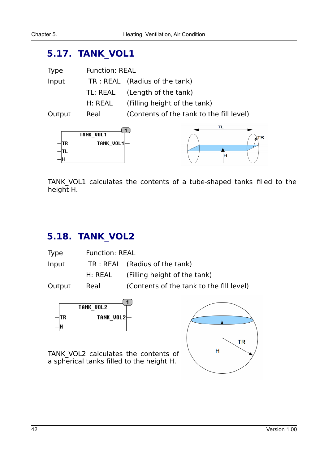# **5.17. TANK\_VOL1**

| Type   | <b>Function: REAL</b>         |                                          |
|--------|-------------------------------|------------------------------------------|
| Input  |                               | TR : REAL (Radius of the tank)           |
|        | TL: REAL                      | (Length of the tank)                     |
|        | H: REAL                       | (Filling height of the tank)             |
| Output | Real                          | (Contents of the tank to the fill level) |
| ΓR     | <b>TANK VOL1</b><br>TANK VOL1 | TL<br>TR<br>н                            |

TANK VOL1 calculates the contents of a tube-shaped tanks filled to the height H.

# **5.18. TANK\_VOL2**

| Type | <b>Function: REAL</b> |
|------|-----------------------|
|      |                       |

- Input TR : REAL (Radius of the tank)
	- H: REAL (Filling height of the tank)

Output Real (Contents of the tank to the fll level)

|    | TANK VOL2 |
|----|-----------|
| ТR | TANK VOL2 |
|    |           |

TANK\_VOL2 calculates the contents of a spherical tanks flled to the height H.

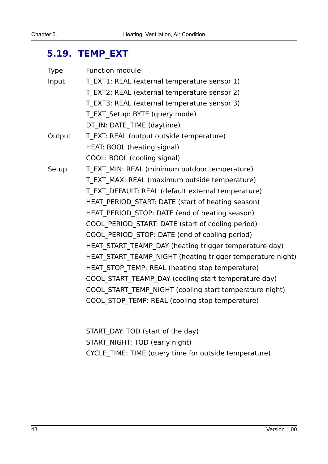# **5.19. TEMP\_EXT**

| Type   | Function module                                            |
|--------|------------------------------------------------------------|
| Input  | T EXT1: REAL (external temperature sensor 1)               |
|        | T EXT2: REAL (external temperature sensor 2)               |
|        | T_EXT3: REAL (external temperature sensor 3)               |
|        | T_EXT_Setup: BYTE (query mode)                             |
|        | DT_IN: DATE_TIME (daytime)                                 |
| Output | T_EXT: REAL (output outside temperature)                   |
|        | HEAT: BOOL (heating signal)                                |
|        | COOL: BOOL (cooling signal)                                |
| Setup  | T EXT MIN: REAL (minimum outdoor temperature)              |
|        | T EXT MAX: REAL (maximum outside temperature)              |
|        | T_EXT_DEFAULT: REAL (default external temperature)         |
|        | HEAT_PERIOD_START: DATE (start of heating season)          |
|        | HEAT PERIOD STOP: DATE (end of heating season)             |
|        | COOL PERIOD START: DATE (start of cooling period)          |
|        | COOL_PERIOD_STOP: DATE (end of cooling period)             |
|        | HEAT_START_TEAMP_DAY (heating trigger temperature day)     |
|        | HEAT_START_TEAMP_NIGHT (heating trigger temperature night) |
|        | HEAT STOP TEMP: REAL (heating stop temperature)            |
|        | COOL_START_TEAMP_DAY (cooling start temperature day)       |
|        | COOL_START_TEMP_NIGHT (cooling start temperature night)    |
|        | COOL_STOP_TEMP: REAL (cooling stop temperature)            |
|        |                                                            |
|        |                                                            |

START\_DAY: TOD (start of the day) START\_NIGHT: TOD (early night) CYCLE\_TIME: TIME (query time for outside temperature)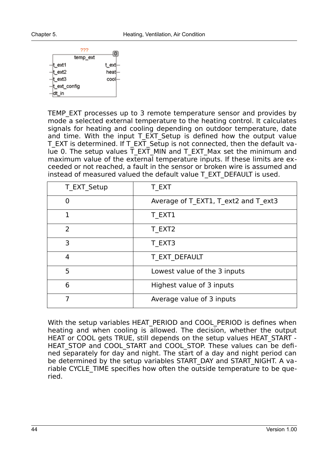|              | 0     |
|--------------|-------|
| temp_ext     |       |
| t ext1       | t_ext |
| t_ext2       | heat  |
| t_ext3       | cool  |
| t_ext_config |       |
| dt in        |       |

TEMP EXT processes up to 3 remote temperature sensor and provides by mode a selected external temperature to the heating control. It calculates signals for heating and cooling depending on outdoor temperature, date and time. With the input T EXT Setup is defined how the output value T\_EXT is determined. If T\_EXT\_Setup is not connected, then the default value 0. The setup values  $\bar{T}$  EXT MIN and T EXT Max set the minimum and maximum value of the external temperature inputs. If these limits are exceeded or not reached, a fault in the sensor or broken wire is assumed and instead of measured valued the default value T\_EXT\_DEFAULT is used.

| T EXT Setup | T EXT                                |
|-------------|--------------------------------------|
| 0           | Average of T EXT1, T ext2 and T ext3 |
| 1           | T EXT1                               |
| 2           | T EXT2                               |
| 3           | T EXT3                               |
| 4           | T EXT DEFAULT                        |
| 5           | Lowest value of the 3 inputs         |
| 6           | Highest value of 3 inputs            |
| 7           | Average value of 3 inputs            |

With the setup variables HEAT PERIOD and COOL PERIOD is defines when heating and when cooling is allowed. The decision, whether the output HEAT or COOL gets TRUE, still depends on the setup values HEAT START -HEAT STOP and COOL START and COOL STOP. These values can be defined separately for day and night. The start of a day and night period can be determined by the setup variables START\_DAY and START\_NIGHT. A variable CYCLE TIME specifies how often the outside temperature to be queried.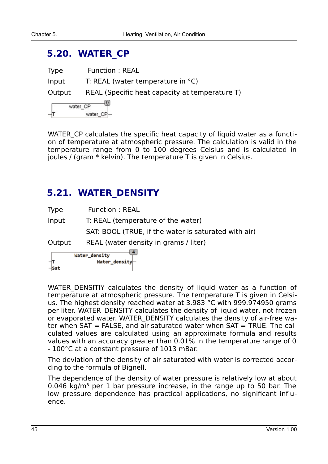### **5.20. WATER\_CP**

Type Function : REAL Input T: REAL (water temperature in °C) Output REAL (Specifc heat capacity at temperature T)  $\Omega$ water\_CP water CP

WATER CP calculates the specific heat capacity of liquid water as a function of temperature at atmospheric pressure. The calculation is valid in the temperature range from 0 to 100 degrees Celsius and is calculated in joules / (gram \* kelvin). The temperature T is given in Celsius.

### **5.21. WATER\_DENSITY**

Type Function : REAL

Input T: REAL (temperature of the water)

SAT: BOOL (TRUE, if the water is saturated with air)

Output REAL (water density in grams / liter)

|  | Water_density |
|--|---------------|
|  | Water_density |
|  |               |

WATER DENSITIY calculates the density of liquid water as a function of temperature at atmospheric pressure. The temperature T is given in Celsius. The highest density reached water at 3.983 °C with 999.974950 grams per liter. WATER DENSITY calculates the density of liquid water, not frozen or evaporated water. WATER\_DENSITY calculates the density of air-free water when SAT = FALSE, and air-saturated water when SAT = TRUE. The calculated values are calculated using an approximate formula and results values with an accuracy greater than 0.01% in the temperature range of 0 - 100°C at a constant pressure of 1013 mBar.

The deviation of the density of air saturated with water is corrected according to the formula of Bignell.

The dependence of the density of water pressure is relatively low at about 0.046 kg/m<sup>3</sup> per 1 bar pressure increase, in the range up to 50 bar. The low pressure dependence has practical applications, no signifcant infuence.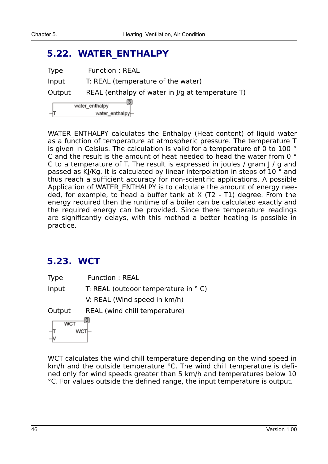# **5.22. WATER\_ENTHALPY**

Type Function : REAL

Input T: REAL (temperature of the water)

Output REAL (enthalpy of water in J/g at temperature T)

water enthalpy water enthalpy -іт

WATER ENTHALPY calculates the Enthalpy (Heat content) of liquid water as a function of temperature at atmospheric pressure. The temperature T is given in Celsius. The calculation is valid for a temperature of 0 to 100 ° C and the result is the amount of heat needed to head the water from 0 ° C to a temperature of T. The result is expressed in joules / gram J / g and passed as KJ/Kg. It is calculated by linear interpolation in steps of 10 ° and thus reach a sufficient accuracy for non-scientific applications. A possible Application of WATER\_ENTHALPY is to calculate the amount of energy needed, for example, to head a buffer tank at  $X(T2 - T1)$  degree. From the energy required then the runtime of a boiler can be calculated exactly and the required energy can be provided. Since there temperature readings are signifcantly delays, with this method a better heating is possible in practice.

# **5.23. WCT**

| Type       | <b>Function: REAL</b>                        |
|------------|----------------------------------------------|
| Input      | T: REAL (outdoor temperature in $\degree$ C) |
|            | V: REAL (Wind speed in km/h)                 |
| Output     | REAL (wind chill temperature)                |
| <b>WCT</b> |                                              |
|            | WC <sup>-</sup>                              |
|            |                                              |

WCT calculates the wind chill temperature depending on the wind speed in km/h and the outside temperature °C. The wind chill temperature is defined only for wind speeds greater than 5 km/h and temperatures below 10 °C. For values outside the defned range, the input temperature is output.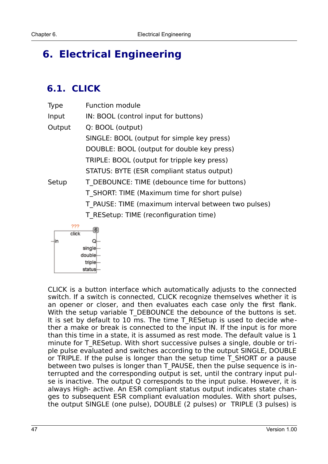# **6. Electrical Engineering**

# **6.1. CLICK**

status

| Type   | <b>Function module</b>                              |
|--------|-----------------------------------------------------|
| Input  | IN: BOOL (control input for buttons)                |
| Output | Q: BOOL (output)                                    |
|        | SINGLE: BOOL (output for simple key press)          |
|        | DOUBLE: BOOL (output for double key press)          |
|        | TRIPLE: BOOL (output for tripple key press)         |
|        | STATUS: BYTE (ESR compliant status output)          |
| Setup  | T DEBOUNCE: TIME (debounce time for buttons)        |
|        | T SHORT: TIME (Maximum time for short pulse)        |
|        | T PAUSE: TIME (maximum interval between two pulses) |
|        | T RESetup: TIME (reconfiguration time)              |
| ???    |                                                     |
| —ın    | click                                               |
|        | single                                              |
|        | double-                                             |
|        | triple-                                             |

CLICK is a button interface which automatically adjusts to the connected switch. If a switch is connected, CLICK recognize themselves whether it is an opener or closer, and then evaluates each case only the first flank. With the setup variable T\_DEBOUNCE the debounce of the buttons is set. It is set by default to 10 ms. The time T\_RESetup is used to decide whether a make or break is connected to the input IN. If the input is for more than this time in a state, it is assumed as rest mode. The default value is 1 minute for T\_RESetup. With short successive pulses a single, double or triple pulse evaluated and switches according to the output SINGLE, DOUBLE or TRIPLE. If the pulse is longer than the setup time T\_SHORT or a pause between two pulses is longer than T PAUSE, then the pulse sequence is interrupted and the corresponding output is set, until the contrary input pulse is inactive. The output Q corresponds to the input pulse. However, it is always High- active. An ESR compliant status output indicates state changes to subsequent ESR compliant evaluation modules. With short pulses, the output SINGLE (one pulse), DOUBLE (2 pulses) or TRIPLE (3 pulses) is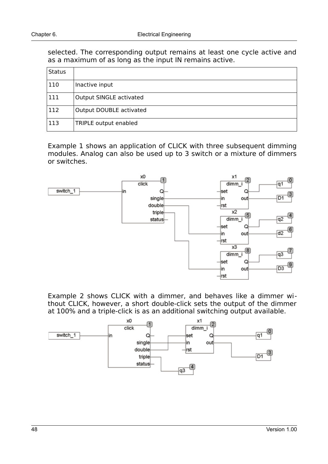selected. The corresponding output remains at least one cycle active and as a maximum of as long as the input IN remains active.

| <b>Status</b> |                         |
|---------------|-------------------------|
| 110           | Inactive input          |
| 111           | Output SINGLE activated |
| 112           | Output DOUBLE activated |
| 113           | TRIPLE output enabled   |

Example 1 shows an application of CLICK with three subsequent dimming modules. Analog can also be used up to 3 switch or a mixture of dimmers or switches.



Example 2 shows CLICK with a dimmer, and behaves like a dimmer without CLICK, however, a short double-click sets the output of the dimmer at 100% and a triple-click is as an additional switching output available.

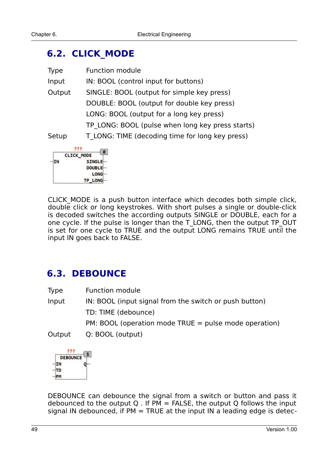# **6.2. CLICK\_MODE**

| <b>Type</b> | <b>Function module</b>                           |
|-------------|--------------------------------------------------|
| Input       | IN: BOOL (control input for buttons)             |
| Output      | SINGLE: BOOL (output for simple key press)       |
|             | DOUBLE: BOOL (output for double key press)       |
|             | LONG: BOOL (output for a long key press)         |
|             | TP LONG: BOOL (pulse when long key press starts) |
| Schun       | T LONG: TIME (decoding time for long key press)  |

Setup T\_LONG: TIME (decoding time for long key press)



CLICK MODE is a push button interface which decodes both simple click, double click or long keystrokes. With short pulses a single or double-click is decoded switches the according outputs SINGLE or DOUBLE, each for a one cycle. If the pulse is longer than the T\_LONG, then the output TP\_OUT is set for one cycle to TRUE and the output LONG remains TRUE until the input IN goes back to FALSE.

# **6.3. DEBOUNCE**

- Type Function module
- Input IN: BOOL (input signal from the switch or push button) TD: TIME (debounce) PM: BOOL (operation mode TRUE = pulse mode operation)

Output Q: BOOL (output)



DEBOUNCE can debounce the signal from a switch or button and pass it debounced to the output Q . If  $PM = FALSE$ , the output Q follows the input signal IN debounced, if  $PM = TRUE$  at the input IN a leading edge is detec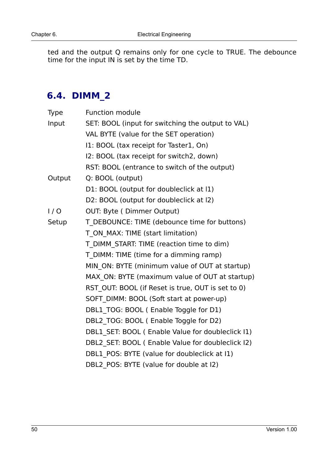ted and the output Q remains only for one cycle to TRUE. The debounce time for the input IN is set by the time TD.

# **6.4. DIMM\_2**

| <b>Function module</b>                            |  |  |  |  |  |
|---------------------------------------------------|--|--|--|--|--|
| SET: BOOL (input for switching the output to VAL) |  |  |  |  |  |
| VAL BYTE (value for the SET operation)            |  |  |  |  |  |
| I1: BOOL (tax receipt for Taster1, On)            |  |  |  |  |  |
| I2: BOOL (tax receipt for switch2, down)          |  |  |  |  |  |
| RST: BOOL (entrance to switch of the output)      |  |  |  |  |  |
| Q: BOOL (output)                                  |  |  |  |  |  |
| D1: BOOL (output for doubleclick at I1)           |  |  |  |  |  |
| D2: BOOL (output for doubleclick at I2)           |  |  |  |  |  |
| <b>OUT: Byte ( Dimmer Output)</b>                 |  |  |  |  |  |
| T_DEBOUNCE: TIME (debounce time for buttons)      |  |  |  |  |  |
| T ON MAX: TIME (start limitation)                 |  |  |  |  |  |
| T DIMM START: TIME (reaction time to dim)         |  |  |  |  |  |
| T DIMM: TIME (time for a dimming ramp)            |  |  |  |  |  |
| MIN ON: BYTE (minimum value of OUT at startup)    |  |  |  |  |  |
| MAX ON: BYTE (maximum value of OUT at startup)    |  |  |  |  |  |
| RST OUT: BOOL (if Reset is true, OUT is set to 0) |  |  |  |  |  |
| SOFT DIMM: BOOL (Soft start at power-up)          |  |  |  |  |  |
| DBL1_TOG: BOOL ( Enable Toggle for D1)            |  |  |  |  |  |
| DBL2_TOG: BOOL ( Enable Toggle for D2)            |  |  |  |  |  |
| DBL1_SET: BOOL ( Enable Value for doubleclick I1) |  |  |  |  |  |
| DBL2_SET: BOOL ( Enable Value for doubleclick I2) |  |  |  |  |  |
| DBL1 POS: BYTE (value for doubleclick at I1)      |  |  |  |  |  |
| DBL2 POS: BYTE (value for double at I2)           |  |  |  |  |  |
|                                                   |  |  |  |  |  |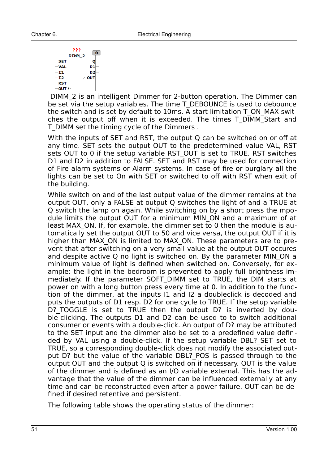|            | ???                | ø                    |
|------------|--------------------|----------------------|
|            | <b>DIMM</b><br>- 2 |                      |
| SET        |                    |                      |
| VAL        |                    | D1                   |
| 11         |                    | D <sub>2</sub>       |
| 12         |                    | $\triangleright$ OUT |
| <b>RST</b> |                    |                      |
| OUT ⊵      |                    |                      |
|            | ٠                  | ٠                    |

 DIMM\_2 is an intelligent Dimmer for 2-button operation. The Dimmer can be set via the setup variables. The time T\_DEBOUNCE is used to debounce the switch and is set by default to 10ms. A start limitation T\_ON\_MAX switches the output off when it is exceeded. The times T DIMM Start and T\_DIMM set the timing cycle of the Dimmers .

With the inputs of SET and RST, the output Q can be switched on or off at any time. SET sets the output OUT to the predetermined value VAL, RST sets OUT to 0 if the setup variable RST\_OUT is set to TRUE. RST switches D1 and D2 in addition to FALSE. SET and RST may be used for connection of Fire alarm systems or Alarm systems. In case of fre or burglary all the lights can be set to On with SET or switched to off with RST when exit of the building.

While switch on and of the last output value of the dimmer remains at the output OUT, only a FALSE at output Q switches the light of and a TRUE at Q switch the lamp on again. While switching on by a short press the mpodule limits the output OUT for a minimum MIN\_ON and a maximum of at least MAX ON. If, for example, the dimmer set to 0 then the module is automatically set the output OUT to 50 and vice versa, the output OUT if it is higher than MAX ON is limited to MAX ON. These parameters are to prevent that after switching-on a very small value at the output OUT occures and despite active Q no light is switched on. By the parameter MIN ON a minimum value of light is defned when switched on. Conversely, for example: the light in the bedroom is prevented to apply full brightness immediately. If the parameter SOFT DIMM set to TRUE, the DIM starts at power on with a long button press every time at 0. In addition to the function of the dimmer, at the inputs I1 and I2 a doubleclick is decoded and puts the outputs of D1 resp. D2 for one cycle to TRUE. If the setup variable D? TOGGLE is set to TRUE then the output D? is inverted by double-clicking. The outputs D1 and D2 can be used to to switch additional consumer or events with a double-click. An output of D? may be attributed to the SET input and the dimmer also be set to a predefned value defnded by VAL using a double-click. If the setup variable DBL? SET set to TRUE, so a corresponding double-click does not modify the associated output D? but the value of the variable DBL? POS is passed through to the output OUT and the output Q is switched on if necessary. OUT is the value of the dimmer and is defned as an I/O variable external. This has the advantage that the value of the dimmer can be infuenced externally at any time and can be reconstructed even after a power failure. OUT can be defned if desired retentive and persistent.

The following table shows the operating status of the dimmer: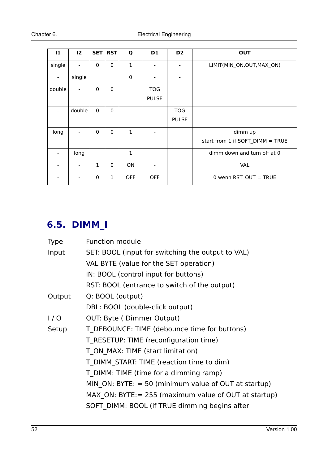| 11             | 12 <sup>2</sup> | SET          | <b>RST</b>   | Q            | D <sub>1</sub> | D <sub>2</sub> | <b>OUT</b>                       |
|----------------|-----------------|--------------|--------------|--------------|----------------|----------------|----------------------------------|
| single         |                 | $\Omega$     | $\mathbf{0}$ | $\mathbf{1}$ |                |                | LIMIT(MIN_ON, OUT, MAX_ON)       |
| $\blacksquare$ | single          |              |              | $\mathbf 0$  | -              |                |                                  |
| double         |                 | $\mathbf 0$  | $\mathbf{0}$ |              | <b>TOG</b>     |                |                                  |
|                |                 |              |              |              | <b>PULSE</b>   |                |                                  |
| $\blacksquare$ | double          | $\Omega$     | $\mathbf{0}$ |              |                | <b>TOG</b>     |                                  |
|                |                 |              |              |              |                | <b>PULSE</b>   |                                  |
| long           |                 | 0            | $\Omega$     | $\mathbf{1}$ |                |                | dimm up                          |
|                |                 |              |              |              |                |                | start from 1 if SOFT_DIMM = TRUE |
|                | long            |              |              | $\mathbf 1$  |                |                | dimm down and turn off at 0      |
|                |                 | 1            | $\mathbf{0}$ | ON           | -              |                | <b>VAL</b>                       |
|                |                 | $\mathbf{0}$ | $\mathbf 1$  | <b>OFF</b>   | <b>OFF</b>     |                | 0 wenn RST_OUT = TRUE            |

# **6.5. DIMM\_I**

| <b>Type</b> | <b>Function module</b>                                 |  |  |  |  |  |
|-------------|--------------------------------------------------------|--|--|--|--|--|
| Input       | SET: BOOL (input for switching the output to VAL)      |  |  |  |  |  |
|             | VAL BYTE (value for the SET operation)                 |  |  |  |  |  |
|             | IN: BOOL (control input for buttons)                   |  |  |  |  |  |
|             | RST: BOOL (entrance to switch of the output)           |  |  |  |  |  |
| Output      | Q: BOOL (output)                                       |  |  |  |  |  |
|             | DBL: BOOL (double-click output)                        |  |  |  |  |  |
| 1/0         | <b>OUT: Byte (Dimmer Output)</b>                       |  |  |  |  |  |
| Setup       | T DEBOUNCE: TIME (debounce time for buttons)           |  |  |  |  |  |
|             | T RESETUP: TIME (reconfiguration time)                 |  |  |  |  |  |
|             | T ON MAX: TIME (start limitation)                      |  |  |  |  |  |
|             | T DIMM START: TIME (reaction time to dim)              |  |  |  |  |  |
|             | T DIMM: TIME (time for a dimming ramp)                 |  |  |  |  |  |
|             | MIN ON: BYTE: $= 50$ (minimum value of OUT at startup) |  |  |  |  |  |
|             | MAX ON: BYTE: = 255 (maximum value of OUT at startup)  |  |  |  |  |  |
|             | SOFT DIMM: BOOL (if TRUE dimming begins after          |  |  |  |  |  |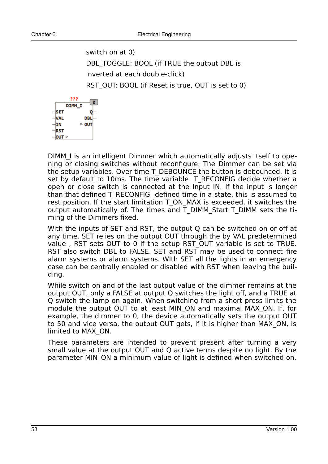switch on at 0) DBL\_TOGGLE: BOOL (if TRUE the output DBL is inverted at each double-click) RST OUT: BOOL (if Reset is true, OUT is set to 0)



DIMM I is an intelligent Dimmer which automatically adjusts itself to opening or closing switches without reconfgure. The Dimmer can be set via the setup variables. Over time T\_DEBOUNCE the button is debounced. It is set by default to 10ms. The time variable T\_RECONFIG decide whether a open or close switch is connected at the Input IN. If the input is longer than that defined T\_RECONFIG defined time in a state, this is assumed to rest position. If the start limitation T\_ON\_MAX is exceeded, it switches the output automatically of. The times and  $\overline{T}$  DIMM Start T\_DIMM sets the timing of the Dimmers fxed.

With the inputs of SET and RST, the output Q can be switched on or off at any time. SET relies on the output OUT through the by VAL predetermined value , RST sets OUT to 0 if the setup RST\_OUT variable is set to TRUE. RST also switch DBL to FALSE. SET and RST may be used to connect fire alarm systems or alarm systems. WIth SET all the lights in an emergency case can be centrally enabled or disabled with RST when leaving the building.

While switch on and of the last output value of the dimmer remains at the output OUT, only a FALSE at output Q switches the light off, and a TRUE at Q switch the lamp on again. When switching from a short press limits the module the output OUT to at least MIN\_ON and maximal MAX\_ON. If, for example, the dimmer to 0, the device automatically sets the output OUT to 50 and vice versa, the output OUT gets, if it is higher than MAX\_ON, is limited to MAX\_ON.

These parameters are intended to prevent present after turning a very small value at the output OUT and Q active terms despite no light. By the parameter MIN ON a minimum value of light is defined when switched on.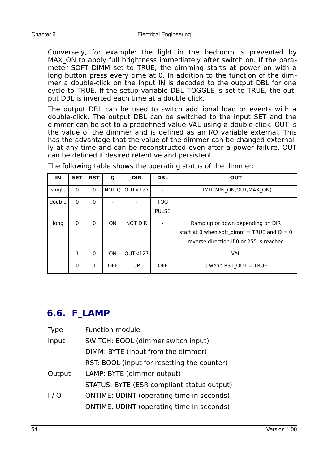Conversely, for example: the light in the bedroom is prevented by MAX ON to apply full brightness immediately after switch on. If the parameter SOFT DIMM set to TRUE, the dimming starts at power on with a long button press every time at 0. In addition to the function of the dimmer a double-click on the input IN is decoded to the output DBL for one cycle to TRUE. If the setup variable DBL\_TOGGLE is set to TRUE, the output DBL is inverted each time at a double click.

The output DBL can be used to switch additional load or events with a double-click. The output DBL can be switched to the input SET and the dimmer can be set to a predefned value VAL using a double-click. OUT is the value of the dimmer and is defned as an I/O variable external. This has the advantage that the value of the dimmer can be changed externally at any time and can be reconstructed even after a power failure. OUT can be defned if desired retentive and persistent.

| IN     | <b>SET</b> | <b>RST</b> | Q          | <b>DIR</b>         | <b>DBL</b>               | <b>OUT</b>                                   |
|--------|------------|------------|------------|--------------------|--------------------------|----------------------------------------------|
| single | 0          | 0          | NOT Q      | OUT<127            | $\overline{\phantom{a}}$ | LIMIT(MIN ON, OUT, MAX ON)                   |
| double | 0          | 0          |            |                    | <b>TOG</b>               |                                              |
|        |            |            |            |                    | <b>PULSE</b>             |                                              |
| long   | 0          | 0          | <b>ON</b>  | <b>NOT DIR</b>     |                          | Ramp up or down depending on DIR             |
|        |            |            |            |                    |                          | start at 0 when soft dimm = TRUE and $Q = 0$ |
|        |            |            |            |                    |                          | reverse direction if 0 or 255 is reached     |
|        | 1          | $\Omega$   | <b>ON</b>  | OUT <sub>127</sub> | $\blacksquare$           | <b>VAL</b>                                   |
|        | 0          | 1          | <b>OFF</b> | UP                 | <b>OFF</b>               | 0 wenn RST $OUT = TRUE$                      |

The following table shows the operating status of the dimmer:

### **6.6. F\_LAMP**

| <b>Type</b> | <b>Function module</b>                      |
|-------------|---------------------------------------------|
| Input       | SWITCH: BOOL (dimmer switch input)          |
|             | DIMM: BYTE (input from the dimmer)          |
|             | RST: BOOL (input for resetting the counter) |
| Output      | LAMP: BYTE (dimmer output)                  |
|             | STATUS: BYTE (ESR compliant status output)  |
| 1/0         | ONTIME: UDINT (operating time in seconds)   |
|             | ONTIME: UDINT (operating time in seconds)   |
|             |                                             |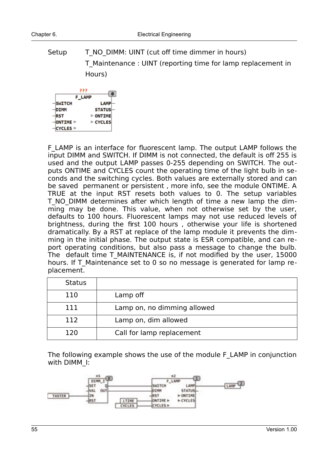Setup T\_NO\_DIMM: UINT (cut off time dimmer in hours) T\_Maintenance : UINT (reporting time for lamp replacement in Hours)

|                 | ???           |                 |  |
|-----------------|---------------|-----------------|--|
|                 | <b>F LAMP</b> |                 |  |
| ⊣SWITCH         |               | LAMP            |  |
| <b>DIMM</b>     |               | <b>STATUS</b>   |  |
| RST             |               | ⊳ ONTIME        |  |
| <b>ONTIME P</b> |               | <b>▷ CYCLES</b> |  |
| CYCLES ▷        |               |                 |  |

F LAMP is an interface for fluorescent lamp. The output LAMP follows the input DIMM and SWITCH. If DIMM is not connected, the default is off 255 is used and the output LAMP passes 0-255 depending on SWITCH. The outputs ONTIME and CYCLES count the operating time of the light bulb in seconds and the switching cycles. Both values are externally stored and can be saved permanent or persistent , more info, see the module ONTIME. A TRUE at the input RST resets both values to 0. The setup variables T\_NO\_DIMM determines after which length of time a new lamp the dimming may be done. This value, when not otherwise set by the user, defaults to 100 hours. Fluorescent lamps may not use reduced levels of brightness, during the first 100 hours, otherwise your life is shortened dramatically. By a RST at replace of the lamp module it prevents the dimming in the initial phase. The output state is ESR compatible, and can report operating conditions, but also pass a message to change the bulb. The default time T\_MAINTENANCE is, if not modified by the user, 15000 hours. If T\_Maintenance set to 0 so no message is generated for lamp replacement.

| <b>Status</b> |                             |
|---------------|-----------------------------|
| 110           | Lamp off                    |
| 111           | Lamp on, no dimming allowed |
| 112           | Lamp on, dim allowed        |
| 120           | Call for lamp replacement   |

The following example shows the use of the module F\_LAMP in conjunction with DIMM\_I:

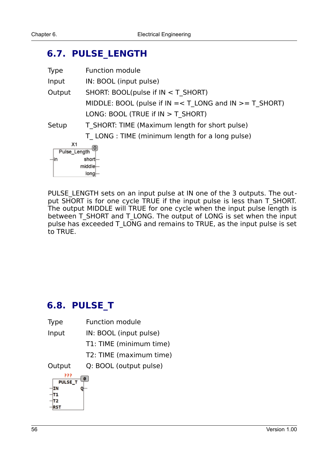# **6.7. PULSE\_LENGTH**

| Type               | <b>Function module</b>                                      |
|--------------------|-------------------------------------------------------------|
| Input              | IN: BOOL (input pulse)                                      |
| Output             | SHORT: BOOL(pulse if $IN < T$ SHORT)                        |
|                    | MIDDLE: BOOL (pulse if $IN = < T$ LONG and $IN = T$ _SHORT) |
|                    | LONG: BOOL (TRUE if $IN > T$ SHORT)                         |
| Setup              | T SHORT: TIME (Maximum length for short pulse)              |
|                    | T LONG : TIME (minimum length for a long pulse)             |
| X1<br>Pulse Length |                                                             |
|                    | short-                                                      |
|                    | middle-                                                     |
|                    | long-                                                       |

PULSE LENGTH sets on an input pulse at IN one of the 3 outputs. The output SHORT is for one cycle TRUE if the input pulse is less than T\_SHORT. The output MIDDLE will TRUE for one cycle when the input pulse length is between T\_SHORT and T\_LONG. The output of LONG is set when the input pulse has exceeded T\_LONG and remains to TRUE, as the input pulse is set to TRUE.

# **6.8. PULSE\_T**

- Type Function module
- Input IN: BOOL (input pulse)
	- T1: TIME (minimum time)
	- T2: TIME (maximum time)
- Output Q: BOOL (output pulse)

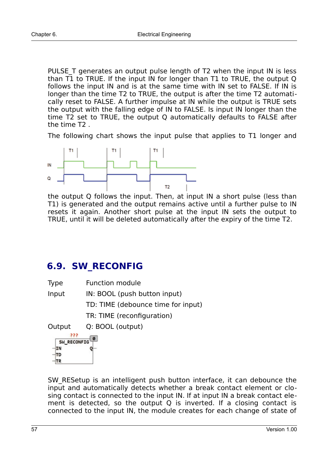PULSE T generates an output pulse length of T2 when the input IN is less than  $\overline{11}$  to TRUE. If the input IN for longer than T1 to TRUE, the output Q follows the input IN and is at the same time with IN set to FALSE. If IN is longer than the time T2 to TRUE, the output is after the time T2 automatically reset to FALSE. A further impulse at IN while the output is TRUE sets the output with the falling edge of IN to FALSE. Is input IN longer than the time T2 set to TRUE, the output Q automatically defaults to FALSE after the time T2 .

The following chart shows the input pulse that applies to T1 longer and



the output Q follows the input. Then, at input IN a short pulse (less than T1) is generated and the output remains active until a further pulse to IN resets it again. Another short pulse at the input IN sets the output to TRUE, until it will be deleted automatically after the expiry of the time T2.

# **6.9. SW\_RECONFIG**

Type Function module

Input IN: BOOL (push button input)

TD: TIME (debounce time for input)

TR: TIME (reconfguration)

Output Q: BOOL (output)



SW\_RESetup is an intelligent push button interface, it can debounce the input and automatically detects whether a break contact element or closing contact is connected to the input IN. If at input IN a break contact element is detected, so the output Q is inverted. If a closing contact is connected to the input IN, the module creates for each change of state of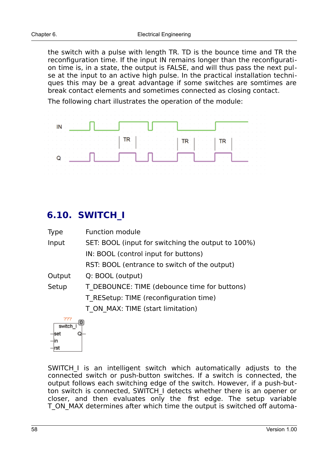the switch with a pulse with length TR. TD is the bounce time and TR the reconfiguration time. If the input IN remains longer than the reconfiguration time is, in a state, the output is FALSE, and will thus pass the next pulse at the input to an active high pulse. In the practical installation techniques this may be a great advantage if some switches are somtimes are break contact elements and sometimes connected as closing contact.

The following chart illustrates the operation of the module:



# **6.10. SWITCH\_I**

| Type        | <b>Function module</b>                             |  |  |
|-------------|----------------------------------------------------|--|--|
| Input       | SET: BOOL (input for switching the output to 100%) |  |  |
|             | IN: BOOL (control input for buttons)               |  |  |
|             | RST: BOOL (entrance to switch of the output)       |  |  |
| Output      | Q: BOOL (output)                                   |  |  |
| Setup       | T DEBOUNCE: TIME (debounce time for buttons)       |  |  |
|             | T RESetup: TIME (reconfiguration time)             |  |  |
|             | T ON MAX: TIME (start limitation)                  |  |  |
| switcl      |                                                    |  |  |
| set<br>lim. |                                                    |  |  |

SWITCH I is an intelligent switch which automatically adjusts to the connected switch or push-button switches. If a switch is connected, the output follows each switching edge of the switch. However, if a push-button switch is connected, SWITCH I detects whether there is an opener or closer, and then evaluates only the first edge. The setup variable T\_ON\_MAX determines after which time the output is switched off automa-

⊣rst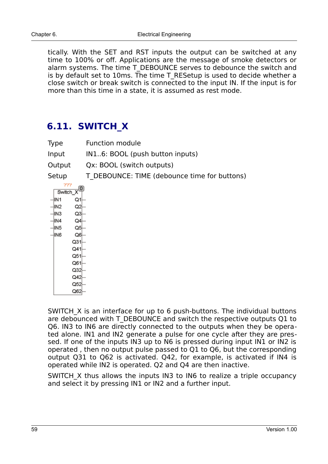tically. With the SET and RST inputs the output can be switched at any time to 100% or off. Applications are the message of smoke detectors or alarm systems. The time T\_DEBOUNCE serves to debounce the switch and is by default set to 10ms. The time T\_RESetup is used to decide whether a close switch or break switch is connected to the input IN. If the input is for more than this time in a state, it is assumed as rest mode.

# **6.11. SWITCH\_X**

| Type | <b>Function module</b> |  |
|------|------------------------|--|
|      |                        |  |

Input IN1..6: BOOL (push button inputs)

Output Qx: BOOL (switch outputs)

Setup T\_DEBOUNCE: TIME (debounce time for buttons)

|         | 77?                   |
|---------|-----------------------|
|         | Switch_X <sup>0</sup> |
| –IN1    | Q1                    |
| ⊣IN2    | Q2                    |
| ⊣IN3    | Q3                    |
| –IN4    | Q4                    |
| $-IIN5$ | Q5                    |
| –IN6    | Q6                    |
|         | Q31                   |
|         | Q41                   |
|         | Q51                   |
|         | Q61                   |
|         | Q32                   |
|         | Q42                   |
|         | Q52                   |
|         | Q62                   |

SWITCH X is an interface for up to 6 push-buttons. The individual buttons are debounced with T\_DEBOUNCE and switch the respective outputs Q1 to Q6. IN3 to IN6 are directly connected to the outputs when they be operated alone. IN1 and IN2 generate a pulse for one cycle after they are pressed. If one of the inputs IN3 up to N6 is pressed during input IN1 or IN2 is operated , then no output pulse passed to Q1 to Q6, but the corresponding output Q31 to Q62 is activated. Q42, for example, is activated if IN4 is operated while IN2 is operated. Q2 and Q4 are then inactive.

SWITCH X thus allows the inputs IN3 to IN6 to realize a triple occupancy and select it by pressing IN1 or IN2 and a further input.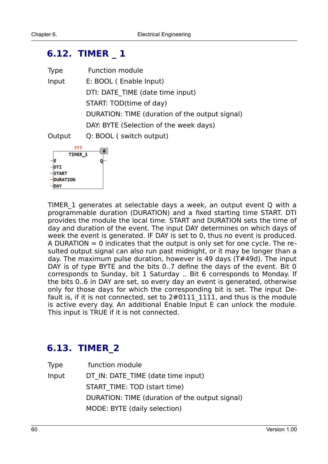### **6.12. TIMER \_ 1**

| <b>Type</b> | <b>Function module</b>                         |
|-------------|------------------------------------------------|
| Input       | E: BOOL (Enable Input)                         |
|             | DTI: DATE TIME (date time input)               |
|             | START: TOD(time of day)                        |
|             | DURATION: TIME (duration of the output signal) |
|             | DAY: BYTE (Selection of the week days)         |
| Output      | Q: BOOL (switch output)                        |



TIMER\_1 generates at selectable days a week, an output event Q with a programmable duration (DURATION) and a fxed starting time START. DTI provides the module the local time. START and DURATION sets the time of day and duration of the event. The input DAY determines on which days of week the event is generated. IF DAY is set to 0, thus no event is produced. A DURATION = 0 indicates that the output is only set for one cycle. The resulted output signal can also run past midnight, or it may be longer than a day. The maximum pulse duration, however is 49 days (T#49d). The input DAY is of type BYTE and the bits 0..7 define the days of the event. Bit 0 corresponds to Sunday, bit 1 Saturday .. Bit 6 corresponds to Monday. If the bits 0..6 in DAY are set, so every day an event is generated, otherwise only for those days for which the corresponding bit is set. The input Default is, if it is not connected, set to  $2#0111$  1111, and thus is the module is active every day. An additional Enable Input E can unlock the module. This input is TRUE if it is not connected.

# **6.13. TIMER\_2**

| <b>Type</b> | function module                                |
|-------------|------------------------------------------------|
| Input       | DT IN: DATE TIME (date time input)             |
|             | START TIME: TOD (start time)                   |
|             | DURATION: TIME (duration of the output signal) |
|             | MODE: BYTE (daily selection)                   |
|             |                                                |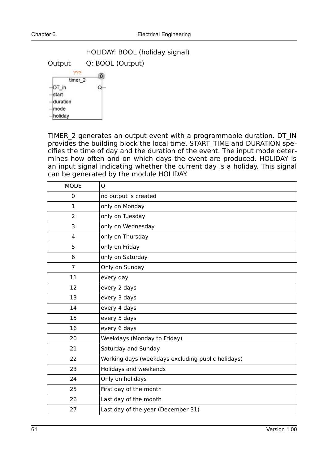|                                                                            | HOLIDAY: BOOL (holiday signal) |
|----------------------------------------------------------------------------|--------------------------------|
| Output                                                                     | Q: BOOL (Output)               |
| 222<br>timer <sub>2</sub><br>DT in<br>start<br>duration<br>mode<br>holiday | υ                              |

TIMER\_2 generates an output event with a programmable duration. DT\_IN provides the building block the local time. START\_TIME and DURATION specifes the time of day and the duration of the event. The input mode determines how often and on which days the event are produced. HOLIDAY is an input signal indicating whether the current day is a holiday. This signal can be generated by the module HOLIDAY.

| <b>MODE</b>    | Q                                                 |
|----------------|---------------------------------------------------|
| 0              | no output is created                              |
| $\mathbf 1$    | only on Monday                                    |
| $\overline{2}$ | only on Tuesday                                   |
| 3              | only on Wednesday                                 |
| 4              | only on Thursday                                  |
| 5              | only on Friday                                    |
| 6              | only on Saturday                                  |
| $\overline{7}$ | Only on Sunday                                    |
| 11             | every day                                         |
| 12             | every 2 days                                      |
| 13             | every 3 days                                      |
| 14             | every 4 days                                      |
| 15             | every 5 days                                      |
| 16             | every 6 days                                      |
| 20             | Weekdays (Monday to Friday)                       |
| 21             | Saturday and Sunday                               |
| 22             | Working days (weekdays excluding public holidays) |
| 23             | Holidays and weekends                             |
| 24             | Only on holidays                                  |
| 25             | First day of the month                            |
| 26             | Last day of the month                             |
| 27             | Last day of the year (December 31)                |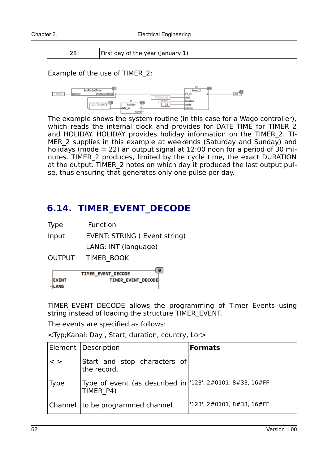28 First day of the year (January 1)

### Example of the use of TIMER\_2:



The example shows the system routine (in this case for a Wago controller), which reads the internal clock and provides for DATE TIME for TIMER 2 and HOLIDAY. HOLIDAY provides holiday information on the TIMER\_2. TI-MER 2 supplies in this example at weekends (Saturday and Sunday) and holidays (mode  $= 22$ ) an output signal at 12:00 noon for a period of 30 minutes. TIMER\_2 produces, limited by the cycle time, the exact DURATION at the output. TIMER\_2 notes on which day it produced the last output pulse, thus ensuring that generates only one pulse per day.

# **6.14. TIMER\_EVENT\_DECODE**

| Type | Function |
|------|----------|
|      |          |

Input EVENT: STRING ( Event string) LANG: INT (language)

OUTPUT TIMER\_BOOK

|              | TIMER_EVENT_DECODE  |
|--------------|---------------------|
| $\neg$ EVENT | TIMER_EVENT_DECODE- |
| $-ILANG$     |                     |

TIMER EVENT DECODE allows the programming of Timer Events using string instead of loading the structure TIMER\_EVENT.

The events are specifed as follows:

<Typ;Kanal; Day , Start, duration, country, Lor>

|               | Element   Description                                                  | <b>Formats</b>                |
|---------------|------------------------------------------------------------------------|-------------------------------|
| $\langle$ $>$ | Start and stop characters of<br>the record.                            |                               |
| <b>Type</b>   | Type of event (as described in '123', 2#0101, 8#33, 16#FF<br>TIMER P4) |                               |
|               | Channel to be programmed channel                                       | $'123'$ , 2#0101, 8#33, 16#FF |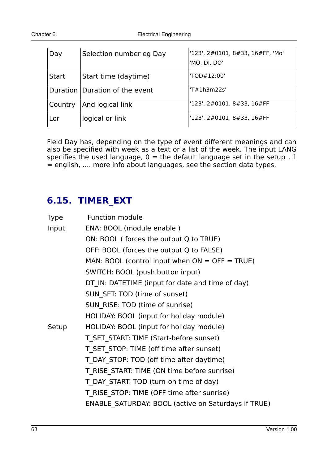| Day     | Selection number eg Day        | '123', 2#0101, 8#33, 16#FF, 'Mo'<br>'MO, DI, DO' |
|---------|--------------------------------|--------------------------------------------------|
| Start   | Start time (daytime)           | 'TOD#12:00'                                      |
|         | Duration Duration of the event | 'T#1h3m22s'                                      |
| Country | And logical link               | '123', 2#0101, 8#33, 16#FF                       |
| Lor     | logical or link                | '123', 2#0101, 8#33, 16#FF                       |

Field Day has, depending on the type of event diferent meanings and can also be specifed with week as a text or a list of the week. The input LANG specifies the used language,  $0$  = the default language set in the setup ,  $1$ = english, .... more info about languages, see the section data types.

# **6.15. TIMER\_EXT**

| Type  | Function module                                            |
|-------|------------------------------------------------------------|
| Input | ENA: BOOL (module enable)                                  |
|       | ON: BOOL (forces the output Q to TRUE)                     |
|       | OFF: BOOL (forces the output Q to FALSE)                   |
|       | MAN: BOOL (control input when $ON = OFF = TRUE$ )          |
|       | SWITCH: BOOL (push button input)                           |
|       | DT IN: DATETIME (input for date and time of day)           |
|       | SUN SET: TOD (time of sunset)                              |
|       | SUN RISE: TOD (time of sunrise)                            |
|       | HOLIDAY: BOOL (input for holiday module)                   |
| Setup | HOLIDAY: BOOL (input for holiday module)                   |
|       | T SET START: TIME (Start-before sunset)                    |
|       | T SET STOP: TIME (off time after sunset)                   |
|       | T DAY STOP: TOD (off time after daytime)                   |
|       | T RISE START: TIME (ON time before sunrise)                |
|       | T DAY START: TOD (turn-on time of day)                     |
|       | T RISE STOP: TIME (OFF time after sunrise)                 |
|       | <b>ENABLE SATURDAY: BOOL (active on Saturdays if TRUE)</b> |
|       |                                                            |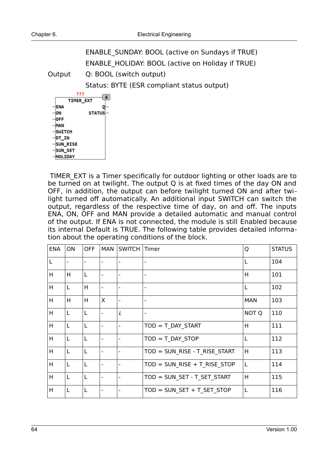$\overline{\hspace{1mm}}$ SUN\_SET **HOLIDAY** 

|                 | <b>ENABLE SUNDAY: BOOL (active on Sundays if TRUE)</b>  |
|-----------------|---------------------------------------------------------|
|                 | <b>ENABLE HOLIDAY: BOOL (active on Holiday if TRUE)</b> |
| Output          | Q: BOOL (switch output)                                 |
|                 | Status: BYTE (ESR compliant status output)              |
| $\neg$ ena      | ???<br><b>TIMER_EXT</b>                                 |
| -ON             | <b>STATUS</b>                                           |
| $-$ OFF         |                                                         |
| —IMAN           |                                                         |
| $\neg$ SWITCH   |                                                         |
| ⊣DT IN          |                                                         |
| $\neg$ SUN RISE |                                                         |

 TIMER\_EXT is a Timer specifcally for outdoor lighting or other loads are to be turned on at twilight. The output Q is at fixed times of the day ON and OFF, in addition, the output can before twilight turned ON and after twilight turned off automatically. An additional input SWITCH can switch the output, regardless of the respective time of day, on and off. The inputs ENA, ON, OFF and MAN provide a detailed automatic and manual control of the output. If ENA is not connected, the module is still Enabled because its internal Default is TRUE. The following table provides detailed information about the operating conditions of the block.

| <b>ENA</b>     | ON                           | <b>OFF</b>                   | <b>MAN</b>               | <b>SWITCH</b>            | Timer                          | Q          | <b>STATUS</b> |
|----------------|------------------------------|------------------------------|--------------------------|--------------------------|--------------------------------|------------|---------------|
| L              | $\qquad \qquad \blacksquare$ | $\qquad \qquad \blacksquare$ | $\overline{a}$           | $\overline{\phantom{a}}$ | -                              | L          | 104           |
| H              | H                            | L                            | $\overline{\phantom{a}}$ | $\overline{\phantom{a}}$ | -                              | H          | 101           |
| H              | L                            | H                            | $\overline{\phantom{a}}$ | $\overline{\phantom{a}}$ | -                              | L          | 102           |
| H              | H                            | H                            | X                        | $\overline{\phantom{a}}$ |                                | <b>MAN</b> | 103           |
| H              | L                            | L                            | $\overline{\phantom{a}}$ | ż                        |                                | NOT Q      | 110           |
| H              | L                            | L                            | $\overline{\phantom{a}}$ | $\overline{\phantom{a}}$ | $TOD = T$ DAY START            | H          | 111           |
| H              | L                            | L                            | $\overline{\phantom{a}}$ | $\overline{\phantom{a}}$ | $TOP = T$ DAY STOP             | L          | 112           |
| $\overline{H}$ | L                            | L                            | $\overline{\phantom{a}}$ | $\overline{\phantom{a}}$ | TOD = SUN RISE - T RISE START  | H          | 113           |
| $\overline{H}$ | L                            | L                            | $\overline{\phantom{a}}$ | $\overline{\phantom{a}}$ | $TOD = SUM RISE + T RISE STOP$ | L          | 114           |
| H              | L                            | L                            | $\overline{\phantom{0}}$ | $\overline{\phantom{a}}$ | TOD = SUN SET - T SET START    | H          | 115           |
| $\overline{H}$ | L                            | L                            | $\qquad \qquad$          |                          | $TOD = SUN SET + T SET STOP$   | L          | 116           |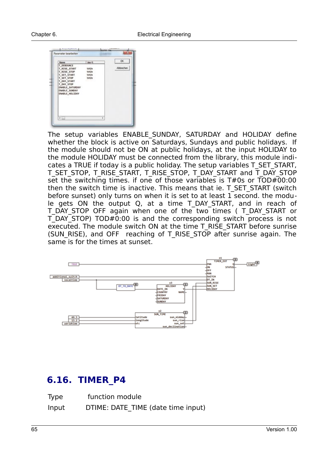

The setup variables ENABLE SUNDAY, SATURDAY and HOLIDAY define whether the block is active on Saturdays, Sundays and public holidays. If the module should not be ON at public holidays, at the input HOLIDAY to the module HOLIDAY must be connected from the library, this module indicates a TRUE if today is a public holiday. The setup variables T\_SET\_START, T\_SET\_STOP, T\_RISE\_START, T\_RISE\_STOP, T\_DAY\_START and T\_DAY\_STOP set the switching times. if one of those variables is T#0s or TOD#00:00 then the switch time is inactive. This means that ie. T\_SET\_START (switch before sunset) only turns on when it is set to at least 1 second. the module gets ON the output Q, at a time T\_DAY\_START, and in reach of T\_DAY\_STOP\_OFF again when one of the two times ( T\_DAY\_START or T\_DAY\_STOP) TOD#0:00 is and the corresponding switch process is not executed. The module switch ON at the time T\_RISE\_START before sunrise (SUN\_RISE), and OFF reaching of T\_RISE\_STOP after sunrise again. The same is for the times at sunset.



### **6.16. TIMER\_P4**

| <b>Type</b> | function module                    |
|-------------|------------------------------------|
| Input       | DTIME: DATE TIME (date time input) |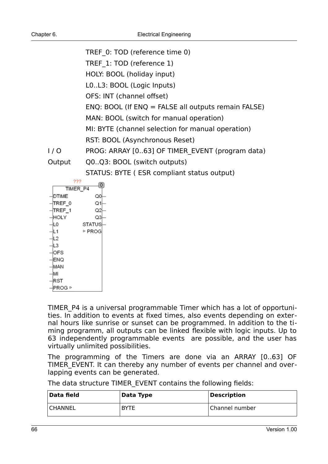TREF 0: TOD (reference time 0) TREF\_1: TOD (reference 1) HOLY: BOOL (holiday input) L0..L3: BOOL (Logic Inputs) OFS: INT (channel offset) ENQ: BOOL (If ENQ = FALSE all outputs remain FALSE) MAN: BOOL (switch for manual operation) MI: BYTE (channel selection for manual operation) RST: BOOL (Asynchronous Reset) I / O PROG: ARRAY [0..63] OF TIMER EVENT (program data)

Output Q0..Q3: BOOL (switch outputs)

STATUS: BYTE ( ESR compliant status output)

|       | 222           | $\mathbf{0}$ |  |
|-------|---------------|--------------|--|
|       | TIMER P4      |              |  |
|       | ⊣ртіме        | Q0           |  |
|       | $-$ TREF_0    | Q1           |  |
|       | $\neg$ TREF_1 | Q2           |  |
|       | ⊣HOLY         | Q3l          |  |
| ⊣L0   |               | STATUS       |  |
| –L1   |               | ⊵ PROG       |  |
| –L2   |               |              |  |
| ⊣L3   |               |              |  |
|       | ⊣OFS          |              |  |
|       | –IENQ         |              |  |
|       | $-MAN$        |              |  |
| $-MI$ |               |              |  |
|       | –lRST         |              |  |
|       | ⊣PROG ⊵       |              |  |

TIMER\_P4 is a universal programmable Timer which has a lot of opportunities. In addition to events at fxed times, also events depending on external hours like sunrise or sunset can be programmed. In addition to the timing programm, all outputs can be linked fexible with logic inputs. Up to 63 independently programmable events are possible, and the user has virtually unlimited possibilities.

The programming of the Timers are done via an ARRAY [0..63] OF TIMER\_EVENT. It can thereby any number of events per channel and overlapping events can be generated.

The data structure TIMER\_EVENT contains the following felds:

| Data field     | Data Type   | <b>Description</b> |
|----------------|-------------|--------------------|
| <b>CHANNEL</b> | <b>BYTE</b> | Channel number     |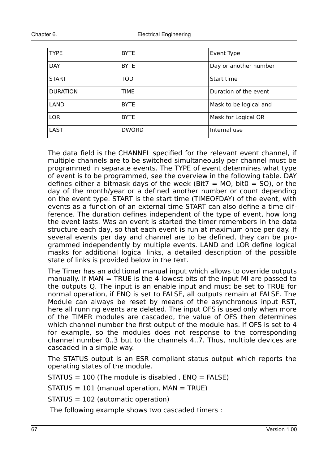| <b>TYPE</b>     | <b>BYTE</b>  | Event Type             |
|-----------------|--------------|------------------------|
| <b>DAY</b>      | <b>BYTE</b>  | Day or another number  |
| <b>START</b>    | <b>TOD</b>   | Start time             |
| <b>DURATION</b> | <b>TIME</b>  | Duration of the event  |
| LAND            | <b>BYTE</b>  | Mask to be logical and |
| <b>LOR</b>      | <b>BYTE</b>  | Mask for Logical OR    |
| <b>LAST</b>     | <b>DWORD</b> | Internal use           |

The data field is the CHANNEL specified for the relevant event channel, if multiple channels are to be switched simultaneously per channel must be programmed in separate events. The TYPE of event determines what type of event is to be programmed, see the overview in the following table. DAY defines either a bitmask days of the week (Bit7 =  $MO$ , bit0 =  $SO$ ), or the day of the month/year or a defned another number or count depending on the event type. START is the start time (TIMEOFDAY) of the event, with events as a function of an external time START can also defne a time difference. The duration defnes independent of the type of event, how long the event lasts. Was an event is started the timer remembers in the data structure each day, so that each event is run at maximum once per day. If several events per day and channel are to be defned, they can be programmed independently by multiple events. LAND and LOR defne logical masks for additional logical links, a detailed description of the possible state of links is provided below in the text.

The Timer has an additional manual input which allows to override outputs manually. If MAN = TRUE is the 4 lowest bits of the input MI are passed to the outputs Q. The input is an enable input and must be set to TRUE for normal operation, if ENQ is set to FALSE, all outputs remain at FALSE. The Module can always be reset by means of the asynchronous input RST, here all running events are deleted. The input OFS is used only when more of the TIMER modules are cascaded, the value of OFS then determines which channel number the first output of the module has. If OFS is set to 4 for example, so the modules does not response to the corresponding channel number 0..3 but to the channels 4..7. Thus, multiple devices are cascaded in a simple way.

The STATUS output is an ESR compliant status output which reports the operating states of the module.

 $STATUS = 100$  (The module is disabled,  $ENQ = FALSE$ )

 $STATUS = 101$  (manual operation, MAN = TRUE)

STATUS = 102 (automatic operation)

The following example shows two cascaded timers :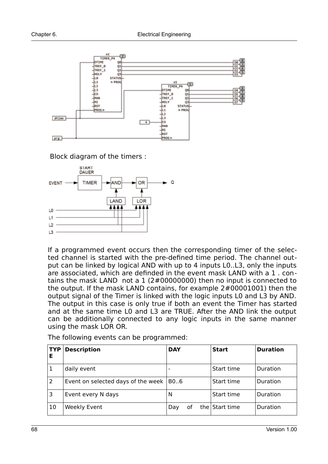

Block diagram of the timers :



If a programmed event occurs then the corresponding timer of the selected channel is started with the pre-defned time period. The channel output can be linked by logical AND with up to 4 inputs L0..L3, only the inputs are associated, which are defnded in the event mask LAND with a 1 . contains the mask LAND not a 1 (2#00000000) then no input is connected to the output. If the mask LAND contains, for example 2#00001001) then the output signal of the Timer is linked with the logic inputs L0 and L3 by AND. The output in this case is only true if both an event the Timer has started and at the same time L0 and L3 are TRUE. After the AND link the output can be additionally connected to any logic inputs in the same manner using the mask LOR OR.

| <b>TYP</b><br>Е | <b>Description</b>                 | <b>DAY</b> | <b>Start</b>   | <b>Duration</b> |
|-----------------|------------------------------------|------------|----------------|-----------------|
|                 | daily event                        |            | Start time     | Duration        |
| 2               | Event on selected days of the week | B06        | Start time     | Duration        |
| 3               | Event every N days                 | N          | Start time     | Duration        |
| 10              | <b>Weekly Event</b>                | Day<br>οt  | the Start time | Duration        |

The following events can be programmed: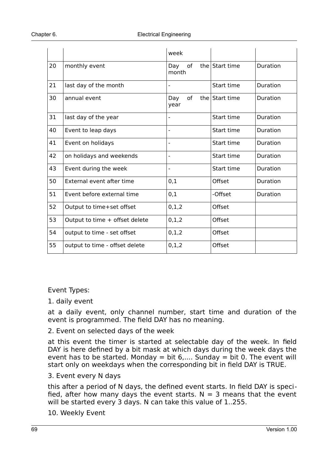|    |                                | week                         |                |          |
|----|--------------------------------|------------------------------|----------------|----------|
| 20 | monthly event                  | Day of<br>month              | the Start time | Duration |
| 21 | last day of the month          | $\overline{\phantom{a}}$     | Start time     | Duration |
| 30 | annual event                   | of<br>Day<br>year            | the Start time | Duration |
| 31 | last day of the year           | $\qquad \qquad \blacksquare$ | Start time     | Duration |
| 40 | Event to leap days             | $\overline{\phantom{a}}$     | Start time     | Duration |
| 41 | Event on holidays              |                              | Start time     | Duration |
| 42 | on holidays and weekends       | $\qquad \qquad \blacksquare$ | Start time     | Duration |
| 43 | Event during the week          | $\overline{\phantom{0}}$     | Start time     | Duration |
| 50 | External event after time      | 0,1                          | Offset         | Duration |
| 51 | Event before external time     | 0,1                          | -Offset        | Duration |
| 52 | Output to time+set offset      | 0, 1, 2                      | Offset         |          |
| 53 | Output to time + offset delete | 0, 1, 2                      | Offset         |          |
| 54 | output to time - set offset    | 0, 1, 2                      | Offset         |          |
| 55 | output to time - offset delete | 0, 1, 2                      | Offset         |          |

Event Types:

1. daily event

at a daily event, only channel number, start time and duration of the event is programmed. The field DAY has no meaning.

2. Event on selected days of the week

at this event the timer is started at selectable day of the week. In feld DAY is here defned by a bit mask at which days during the week days the event has to be started. Monday = bit  $6$ ,.... Sunday = bit 0. The event will start only on weekdays when the corresponding bit in feld DAY is TRUE.

3. Event every N days

this after a period of N days, the defned event starts. In feld DAY is specified, after how many days the event starts.  $N = 3$  means that the event will be started every 3 days. N can take this value of 1..255.

10. Weekly Event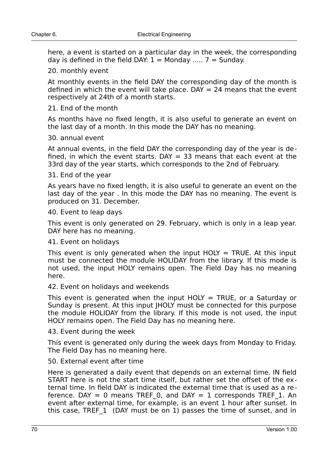here, a event is started on a particular day in the week, the corresponding day is defined in the field DAY:  $1 =$  Monday .....  $7 =$  Sunday.

### 20. monthly event

At monthly events in the field DAY the corresponding day of the month is defined in which the event will take place. DAY  $= 24$  means that the event respectively at 24th of a month starts.

### 21. End of the month

As months have no fxed length, it is also useful to generate an event on the last day of a month. In this mode the DAY has no meaning.

#### 30. annual event

At annual events, in the field DAY the corresponding day of the year is defined, in which the event starts. DAY  $=$  33 means that each event at the 33rd day of the year starts, which corresponds to the 2nd of February.

#### 31. End of the year

As years have no fxed length, it is also useful to generate an event on the last day of the year . In this mode the DAY has no meaning. The event is produced on 31. December.

#### 40. Event to leap days

This event is only generated on 29. February, which is only in a leap year. DAY here has no meaning.

#### 41. Event on holidays

This event is only generated when the input  $HOLY = TRUE$ . At this input must be connected the module HOLIDAY from the library. If this mode is not used, the input HOLY remains open. The Field Day has no meaning here.

### 42. Event on holidays and weekends

This event is generated when the input HOLY = TRUE, or a Saturday or Sunday is present. At this input IHOLY must be connected for this purpose the module HOLIDAY from the library. If this mode is not used, the input HOLY remains open. The Field Day has no meaning here.

#### 43. Event during the week

This event is generated only during the week days from Monday to Friday. The Field Day has no meaning here.

#### 50. External event after time

Here is generated a daily event that depends on an external time. IN feld START here is not the start time itself, but rather set the offset of the external time. In feld DAY is indicated the external time that is used as a reference. DAY = 0 means TREF 0, and DAY = 1 corresponds TREF 1. An event after external time, for example, is an event 1 hour after sunset. In this case, TREF 1 (DAY must be on 1) passes the time of sunset, and in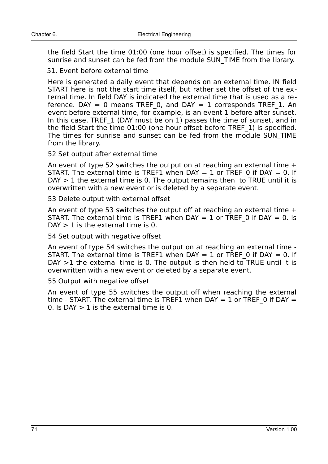the field Start the time 01:00 (one hour offset) is specified. The times for sunrise and sunset can be fed from the module SUN\_TIME from the library.

51. Event before external time

Here is generated a daily event that depends on an external time. IN feld START here is not the start time itself, but rather set the offset of the external time. In feld DAY is indicated the external time that is used as a reference. DAY = 0 means TREF 0, and DAY = 1 corresponds TREF 1. An event before external time, for example, is an event 1 before after sunset. In this case, TREF 1 (DAY must be on 1) passes the time of sunset, and in the field Start the time  $01:00$  (one hour offset before TREF 1) is specified. The times for sunrise and sunset can be fed from the module SUN\_TIME from the library.

52 Set output after external time

An event of type 52 switches the output on at reaching an external time  $+$ START. The external time is TREF1 when DAY = 1 or TREF 0 if DAY = 0. If  $DAY > 1$  the external time is 0. The output remains then to TRUE until it is overwritten with a new event or is deleted by a separate event.

53 Delete output with external offset

An event of type 53 switches the output off at reaching an external time  $+$ START. The external time is TREF1 when DAY = 1 or TREF 0 if DAY = 0. Is  $DAY > 1$  is the external time is 0.

54 Set output with negative offset

An event of type 54 switches the output on at reaching an external time - START. The external time is TREF1 when DAY = 1 or TREF 0 if DAY = 0. If DAY  $>1$  the external time is 0. The output is then held to TRUE until it is overwritten with a new event or deleted by a separate event.

55 Output with negative ofset

An event of type 55 switches the output off when reaching the external time - START. The external time is TREF1 when DAY = 1 or TREF 0 if DAY = 0. Is DAY  $> 1$  is the external time is 0.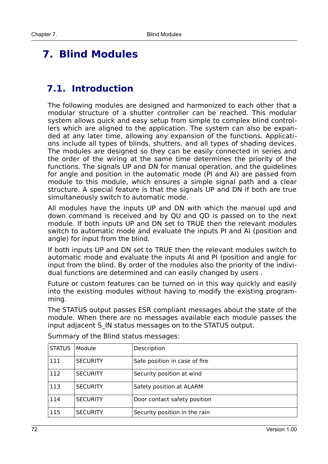# **7. Blind Modules**

# **7.1. Introduction**

The following modules are designed and harmonized to each other that a modular structure of a shutter controller can be reached. This modular system allows quick and easy setup from simple to complex blind controllers which are aligned to the application. The system can also be expanded at any later time, allowing any expansion of the functions. Applications include all types of blinds, shutters, and all types of shading devices. The modules are designed so they can be easily connected in series and the order of the wiring at the same time determines the priority of the functions. The signals UP and DN for manual operation, and the guidelines for angle and position in the automatic mode (PI and AI) are passed from module to this module, which ensures a simple signal path and a clear structure. A special feature is that the signals UP and DN if both are true simultaneously switch to automatic mode.

All modules have the inputs UP and DN with which the manual upd and down command is received and by QU and QD is passed on to the next module. If both inputs UP and DN set to TRUE then the relevant modules switch to automatic mode and evaluate the inputs PI and AI (position and angle) for input from the blind.

If both inputs UP and DN set to TRUE then the relevant modules switch to automatic mode and evaluate the inputs AI and PI (position and angle for input from the blind. By order of the modules also the priority of the individual functions are determined and can easily changed by users .

Future or custom features can be turned on in this way quickly and easily into the existing modules without having to modify the existing programming.

The STATUS output passes ESR compliant messages about the state of the module. When there are no messages available each module passes the input adjacent S IN status messages on to the STATUS output.

| <b>STATUS</b> | Module          | Description                   |
|---------------|-----------------|-------------------------------|
| 111           | <b>SECURITY</b> | Safe position in case of fire |
| 112           | <b>SECURITY</b> | Security position at wind     |
| 113           | <b>SECURITY</b> | Safety position at ALARM      |
| 114           | <b>SECURITY</b> | Door contact safety position  |
| 115           | <b>SECURITY</b> | Security position in the rain |

Summary of the Blind status messages: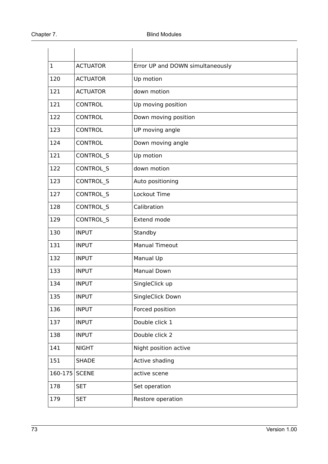| 1       | <b>ACTUATOR</b>  | Error UP and DOWN simultaneously |
|---------|------------------|----------------------------------|
| 120     | <b>ACTUATOR</b>  | Up motion                        |
| 121     | <b>ACTUATOR</b>  | down motion                      |
| 121     | <b>CONTROL</b>   | Up moving position               |
| 122     | <b>CONTROL</b>   | Down moving position             |
| 123     | <b>CONTROL</b>   | UP moving angle                  |
| 124     | <b>CONTROL</b>   | Down moving angle                |
| 121     | <b>CONTROL S</b> | Up motion                        |
| 122     | <b>CONTROL S</b> | down motion                      |
| 123     | <b>CONTROL S</b> | Auto positioning                 |
| 127     | <b>CONTROL S</b> | Lockout Time                     |
| 128     | <b>CONTROL S</b> | Calibration                      |
| 129     | <b>CONTROL S</b> | Extend mode                      |
| 130     | <b>INPUT</b>     | Standby                          |
| 131     | <b>INPUT</b>     | <b>Manual Timeout</b>            |
| 132     | <b>INPUT</b>     | Manual Up                        |
| 133     | <b>INPUT</b>     | <b>Manual Down</b>               |
| 134     | <b>INPUT</b>     | SingleClick up                   |
| 135     | <b>INPUT</b>     | SingleClick Down                 |
| 136     | <b>INPUT</b>     | Forced position                  |
| 137     | <b>INPUT</b>     | Double click 1                   |
| 138     | <b>INPUT</b>     | Double click 2                   |
| 141     | <b>NIGHT</b>     | Night position active            |
| 151     | <b>SHADE</b>     | Active shading                   |
| 160-175 | <b>SCENE</b>     | active scene                     |
| 178     | <b>SET</b>       | Set operation                    |
| 179     | <b>SET</b>       | Restore operation                |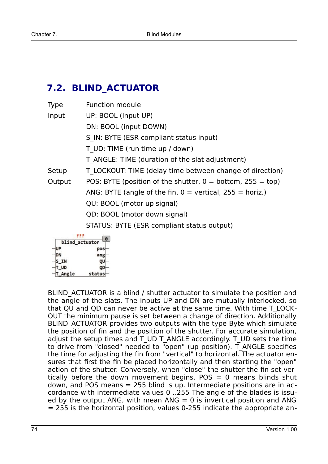## **7.2. BLIND\_ACTUATOR**

Type Function module

Input UP: BOOL (Input UP)

DN: BOOL (input DOWN)

S\_IN: BYTE (ESR compliant status input)

- T\_UD: TIME (run time up / down)
- T\_ANGLE: TIME (duration of the slat adjustment)
- Setup T\_LOCKOUT: TIME (delay time between change of direction)

Output POS: BYTE (position of the shutter,  $0 =$  bottom, 255 = top)

ANG: BYTE (angle of the fin,  $0 =$  vertical, 255 = horiz.)

QU: BOOL (motor up signal)

QD: BOOL (motor down signal)

STATUS: BYTE (ESR compliant status output)

| blind_actuator |        |
|----------------|--------|
| UP             | pos    |
| DN             | ang    |
| S IN           | ou     |
| T UD           | OD     |
| Angle          | status |

BLIND ACTUATOR is a blind / shutter actuator to simulate the position and the angle of the slats. The inputs UP and DN are mutually interlocked, so that QU and QD can never be active at the same time. With time T\_LOCK-OUT the minimum pause is set between a change of direction. Additionally BLIND ACTUATOR provides two outputs with the type Byte which simulate the position of fn and the position of the shutter. For accurate simulation, adjust the setup times and T\_UD T\_ANGLE accordingly. T\_UD sets the time to drive from "closed" needed to "open" (up position). T\_ANGLE specifes the time for adjusting the fin from "vertical" to horizontal. The actuator ensures that first the fin be placed horizontally and then starting the "open" action of the shutter. Conversely, when "close" the shutter the fin set vertically before the down movement begins.  $POS = 0$  means blinds shut down, and POS means  $= 255$  blind is up. Intermediate positions are in accordance with intermediate values 0 ..255 The angle of the blades is issued by the output ANG, with mean ANG  $= 0$  is invertical position and ANG  $= 255$  is the horizontal position, values 0-255 indicate the appropriate an-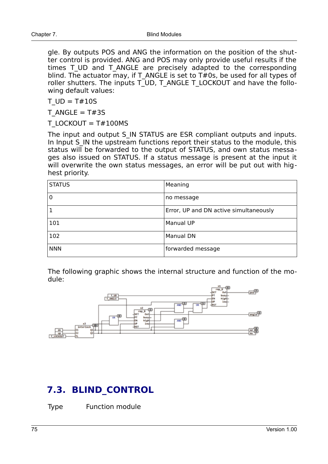gle. By outputs POS and ANG the information on the position of the shutter control is provided. ANG and POS may only provide useful results if the times T\_UD and T\_ANGLE are precisely adapted to the corresponding blind. The actuator may, if T\_ANGLE is set to T#0s, be used for all types of roller shutters. The inputs T\_UD, T\_ANGLE T\_LOCKOUT and have the following default values:

 $T$  UD = T#10S

T ANGLE =  $T#3S$ 

 $T$  LOCKOUT = T#100MS

The input and output S IN STATUS are ESR compliant outputs and inputs. In Input S IN the upstream functions report their status to the module, this status will be forwarded to the output of STATUS, and own status messages also issued on STATUS. If a status message is present at the input it will overwrite the own status messages, an error will be put out with highest priority.

| <b>STATUS</b> | Meaning                                |
|---------------|----------------------------------------|
| 0             | no message                             |
|               | Error, UP and DN active simultaneously |
| 101           | <b>Manual UP</b>                       |
| 102           | Manual DN                              |
| <b>NNN</b>    | forwarded message                      |

The following graphic shows the internal structure and function of the module:



# **7.3. BLIND\_CONTROL**

Type Function module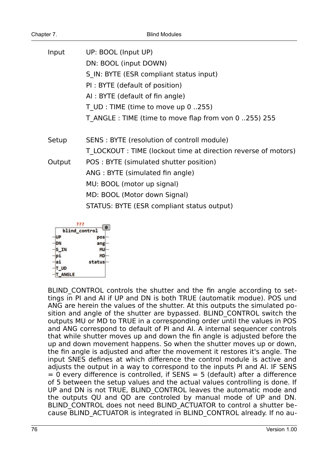| Input  | UP: BOOL (Input UP)                                            |  |  |
|--------|----------------------------------------------------------------|--|--|
|        | DN: BOOL (input DOWN)                                          |  |  |
|        | S IN: BYTE (ESR compliant status input)                        |  |  |
|        | PI : BYTE (default of position)                                |  |  |
|        | AI : BYTE (default of fin angle)                               |  |  |
|        | T UD : TIME (time to move up 0 255)                            |  |  |
|        | T ANGLE : TIME (time to move flap from von 0255) 255           |  |  |
| Setup  | SENS : BYTE (resolution of controll module)                    |  |  |
|        | T LOCKOUT : TIME (lockout time at direction reverse of motors) |  |  |
| Output | POS : BYTE (simulated shutter position)                        |  |  |
|        | ANG : BYTE (simulated fin angle)                               |  |  |
|        | MU: BOOL (motor up signal)                                     |  |  |
|        | MD: BOOL (Motor down Signal)                                   |  |  |
|        | STATUS: BYTE (ESR compliant status output)                     |  |  |
|        |                                                                |  |  |



BLIND CONTROL controls the shutter and the fin angle according to settings in PI and AI if UP and DN is both TRUE (automatik modue). POS und ANG are herein the values of the shutter. At this outputs the simulated position and angle of the shutter are bypassed. BLIND\_CONTROL switch the outputs MU or MD to TRUE in a corresponding order until the values in POS and ANG correspond to default of PI and AI. A internal sequencer controls that while shutter moves up and down the fn angle is adjusted before the up and down movement happens. So when the shutter moves up or down, the fin angle is adjusted and after the movement it restores it's angle. The input SNES defnes at which diference the control module is active and adjusts the output in a way to correspond to the inputs PI and AI. IF SENS  $= 0$  every difference is controlled, if SENS  $= 5$  (default) after a difference of 5 between the setup values and the actual values controlling is done. If UP and DN is not TRUE, BLIND\_CONTROL leaves the automatic mode and the outputs QU and QD are controled by manual mode of UP and DN. BLIND CONTROL does not need BLIND ACTUATOR to control a shutter because BLIND\_ACTUATOR is integrated in BLIND\_CONTROL already. If no au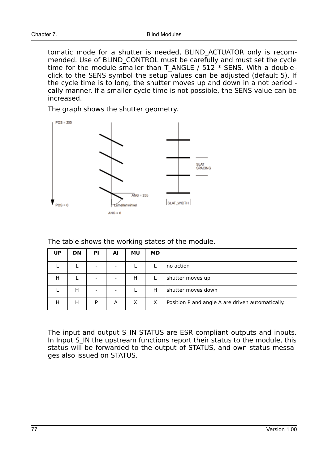tomatic mode for a shutter is needed, BLIND\_ACTUATOR only is recommended. Use of BLIND\_CONTROL must be carefully and must set the cycle time for the module smaller than T\_ANGLE / 512  $*$  SENS. With a doubleclick to the SENS symbol the setup values can be adjusted (default 5). If the cycle time is to long, the shutter moves up and down in a not periodically manner. If a smaller cycle time is not possible, the SENS value can be increased.

The graph shows the shutter geometry.



The table shows the working states of the module.

| UP | <b>DN</b> | ΡI | Al | ΜU | MD |                                                  |
|----|-----------|----|----|----|----|--------------------------------------------------|
|    |           | -  | ٠  |    |    | no action                                        |
| Н  |           |    | ۰  | н  |    | shutter moves up                                 |
|    | н         |    | -  |    | н  | shutter moves down                               |
| H  | н         | P  | A  | X  | X  | Position P and angle A are driven automatically. |

The input and output S IN STATUS are ESR compliant outputs and inputs. In Input S IN the upstream functions report their status to the module, this status will be forwarded to the output of STATUS, and own status messages also issued on STATUS.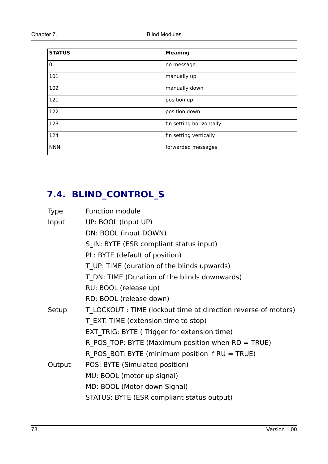| <b>STATUS</b> | <b>Meaning</b>           |
|---------------|--------------------------|
| 0             | no message               |
| 101           | manually up              |
| 102           | manually down            |
| 121           | position up              |
| 122           | position down            |
| 123           | fin setting horizontally |
| 124           | fin setting vertically   |
| <b>NNN</b>    | forwarded messages       |

# **7.4. BLIND\_CONTROL\_S**

| <b>Function module</b>                                         |  |  |
|----------------------------------------------------------------|--|--|
| UP: BOOL (Input UP)                                            |  |  |
| DN: BOOL (input DOWN)                                          |  |  |
| S IN: BYTE (ESR compliant status input)                        |  |  |
| PI : BYTE (default of position)                                |  |  |
| T UP: TIME (duration of the blinds upwards)                    |  |  |
| T DN: TIME (Duration of the blinds downwards)                  |  |  |
| RU: BOOL (release up)                                          |  |  |
| RD: BOOL (release down)                                        |  |  |
| T LOCKOUT : TIME (lockout time at direction reverse of motors) |  |  |
| T EXT: TIME (extension time to stop)                           |  |  |
| EXT TRIG: BYTE (Trigger for extension time)                    |  |  |
| R POS TOP: BYTE (Maximum position when $RD = TRUE$ )           |  |  |
| R POS BOT: BYTE (minimum position if RU = TRUE)                |  |  |
| POS: BYTE (Simulated position)                                 |  |  |
| MU: BOOL (motor up signal)                                     |  |  |
| MD: BOOL (Motor down Signal)                                   |  |  |
| STATUS: BYTE (ESR compliant status output)                     |  |  |
|                                                                |  |  |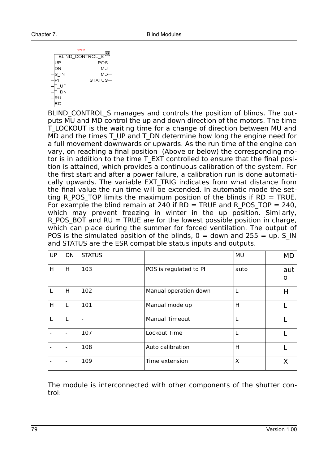| ???             |               |
|-----------------|---------------|
| BLIND_CONTROL_S |               |
| UP              | POS           |
| DN              | MU            |
| S IN            | МD            |
|                 | <b>STATUS</b> |
| UP              |               |
| DN              |               |
| RU              |               |
|                 |               |

BLIND CONTROL 5 manages and controls the position of blinds. The outputs MU and MD control the up and down direction of the motors. The time T\_LOCKOUT is the waiting time for a change of direction between MU and MD and the times T\_UP and T\_DN determine how long the engine need for a full movement downwards or upwards. As the run time of the engine can vary, on reaching a final position (Above or below) the corresponding motor is in addition to the time T\_EXT controlled to ensure that the final position is attained, which provides a continuous calibration of the system. For the frst start and after a power failure, a calibration run is done automatically upwards. The variable EXT\_TRIG indicates from what distance from the final value the run time will be extended. In automatic mode the setting R POS TOP limits the maximum position of the blinds if  $RD = TRUE$ . For example the blind remain at 240 if  $RD = TRUE$  and R POS TOP = 240, which may prevent freezing in winter in the up position. Similarly, R POS BOT and  $RU = TRUE$  are for the lowest possible position in charge, which can place during the summer for forced ventilation. The output of POS is the simulated position of the blinds,  $0 =$  down and 255 = up. S IN and STATUS are the ESR compatible status inputs and outputs.

| UP | DN | <b>STATUS</b>            |                        | <b>MU</b> | <b>MD</b> |
|----|----|--------------------------|------------------------|-----------|-----------|
| H  | H  | 103                      | POS is regulated to PI | auto      | aut<br>0  |
|    | H  | 102                      | Manual operation down  |           | H         |
| H  |    | 101                      | Manual mode up         | H         |           |
|    |    | $\overline{\phantom{0}}$ | <b>Manual Timeout</b>  | L.        |           |
|    |    | 107                      | Lockout Time           |           |           |
|    |    | 108                      | Auto calibration       | H         |           |
|    |    | 109                      | Time extension         | X         | X         |

The module is interconnected with other components of the shutter control: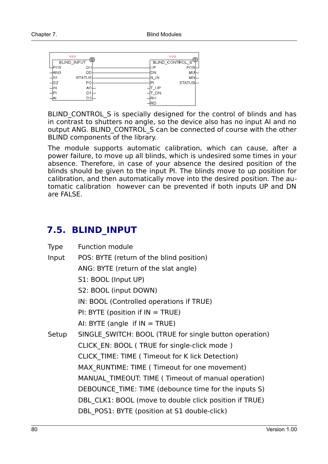|       | 222<br>BLIND_INPUT |      | 222<br>BLIND_CONTROL_S |
|-------|--------------------|------|------------------------|
| 4POS  | QU                 | JΡ   | POS                    |
| -JANG | QD                 | DN   | MU                     |
| lS1   | <b>STATUS</b>      | S IN | MD                     |
| -ls2  | РO                 | P    | <b>STATUS</b>          |
| IN    | AO                 | ∵UP  |                        |
| PI    | D1                 | . DN |                        |
| A     | D2                 | IRL  |                        |
|       |                    | IRC  |                        |

BLIND\_CONTROL\_S is specially designed for the control of blinds and has in contrast to shutters no angle, so the device also has no input AI and no output ANG. BLIND CONTROL S can be connected of course with the other BLIND components of the library.

The module supports automatic calibration, which can cause, after a power failure, to move up all blinds, which is undesired some times in your absence. Therefore, in case of your absence the desired position of the blinds should be given to the input PI. The blinds move to up position for calibration, and then automatically move into the desired position. The automatic calibration however can be prevented if both inputs UP and DN are FALSE.

#### **7.5. BLIND\_INPUT**

| <b>Type</b> | <b>Function module</b>                                 |  |  |
|-------------|--------------------------------------------------------|--|--|
| Input       | POS: BYTE (return of the blind position)               |  |  |
|             | ANG: BYTE (return of the slat angle)                   |  |  |
|             | S1: BOOL (Input UP)                                    |  |  |
|             | S2: BOOL (input DOWN)                                  |  |  |
|             | IN: BOOL (Controlled operations if TRUE)               |  |  |
|             | PI: BYTE (position if $IN = TRUE$ )                    |  |  |
|             | AI: BYTE (angle if $IN = TRUE$ )                       |  |  |
| Setup       | SINGLE SWITCH: BOOL (TRUE for single button operation) |  |  |
|             | CLICK EN: BOOL (TRUE for single-click mode)            |  |  |
|             | CLICK TIME: TIME (Timeout for K lick Detection)        |  |  |
|             | MAX RUNTIME: TIME (Timeout for one movement)           |  |  |
|             | MANUAL TIMEOUT: TIME (Timeout of manual operation)     |  |  |
|             | DEBOUNCE TIME: TIME (debounce time for the inputs S)   |  |  |
|             | DBL CLK1: BOOL (move to double click position if TRUE) |  |  |
|             | DBL POS1: BYTE (position at S1 double-click)           |  |  |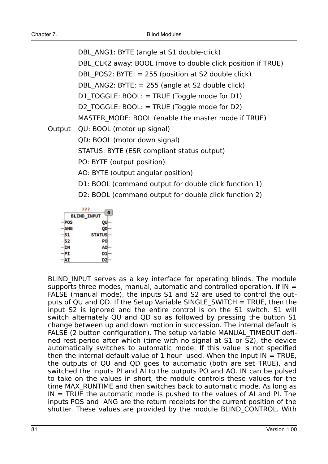DBL\_ANG1: BYTE (angle at S1 double-click) DBL CLK2 away: BOOL (move to double click position if TRUE) DBL POS2: BYTE:  $= 255$  (position at S2 double click) DBL ANG2: BYTE:  $= 255$  (angle at S2 double click) D1 TOGGLE:  $BOOL: = TRUE$  (Toggle mode for D1) D2 TOGGLE:  $BOOL: = TRUE$  (Toggle mode for D2) MASTER MODE: BOOL (enable the master mode if TRUE)

Output QU: BOOL (motor up signal)

QD: BOOL (motor down signal)

STATUS: BYTE (ESR compliant status output)

PO: BYTE (output position)

- AO: BYTE (output angular position)
- D1: BOOL (command output for double click function 1)

D2: BOOL (command output for double click function 2)

|     | ٠<br><b>BLIND INPUT</b> |
|-----|-------------------------|
| POS | ou                      |
| ANG | <b>OD</b>               |
| S1  | <b>STATUS</b>           |
| S2  | PO                      |
| ΙN  | A <sub>O</sub>          |
| PΙ  | D1                      |
|     | D2                      |

BLIND INPUT serves as a key interface for operating blinds. The module supports three modes, manual, automatic and controlled operation. if  $IN =$ FALSE (manual mode), the inputs S1 and S2 are used to control the outputs of QU and QD. If the Setup Variable SINGLE\_SWITCH = TRUE, then the input S2 is ignored and the entire control is on the S1 switch. S1 will switch alternately QU and QD so as followed by pressing the button S1 change between up and down motion in succession. The internal default is FALSE (2 button configuration). The setup variable MANUAL TIMEOUT defined rest period after which (time with no signal at S1 or S2), the device automatically switches to automatic mode. If this value is not specifed then the internal default value of 1 hour used. When the input  $IN = TRUE$ , the outputs of QU and QD goes to automatic (both are set TRUE), and switched the inputs PI and AI to the outputs PO and AO. IN can be pulsed to take on the values in short, the module controls these values for the time MAX\_RUNTIME and then switches back to automatic mode. As long as  $IN = TRUE$  the automatic mode is pushed to the values of AI and PI. The inputs POS and ANG are the return receipts for the current position of the shutter. These values are provided by the module BLIND\_CONTROL. With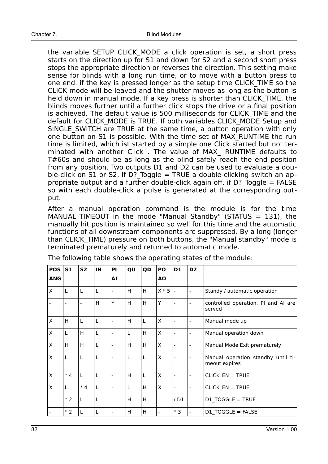the variable SETUP CLICK MODE a click operation is set, a short press starts on the direction up for S1 and down for S2 and a second short press stops the appropriate direction or reverses the direction. This setting make sense for blinds with a long run time, or to move with a button press to one end. if the key is pressed longer as the setup time CLICK\_TIME so the CLICK mode will be leaved and the shutter moves as long as the button is held down in manual mode. If a key press is shorter than CLICK\_TIME, the blinds moves further until a further click stops the drive or a final position is achieved. The default value is 500 milliseconds for CLICK\_TIME and the default for CLICK\_MODE is TRUE. If both variables CLICK\_MODE Setup and SINGLE SWITCH are TRUE at the same time, a button operation with only one button on S1 is possible. With the time set of MAX\_RUNTIME the run time is limited, which ist started by a simple one Click started but not terminated with another Click . The value of MAX\_ RUNTIME defaults to T#60s and should be as long as the blind safely reach the end position from any position. Two outputs D1 and D2 can be used to evaluate a double-click on S1 or S2, if D? Toggle = TRUE a double-clicking switch an appropriate output and a further double-click again off, if  $D$ ? Toggle = FALSE so with each double-click a pulse is generated at the corresponding output.

After a manual operation command is the module is for the time MANUAL\_TIMEOUT in the mode "Manual Standby" (STATUS = 131), the manually hit position is maintained so well for this time and the automatic functions of all downstream components are suppressed. By a long (longer than CLICK\_TIME) pressure on both buttons, the "Manual standby" mode is terminated prematurely and returned to automatic mode.

| <b>POS</b> | S <sub>1</sub> | <b>S2</b> | IN | PI                       | QU | QD | PO                           | D1                       | D <sub>2</sub>           |                                                     |
|------------|----------------|-----------|----|--------------------------|----|----|------------------------------|--------------------------|--------------------------|-----------------------------------------------------|
| <b>ANG</b> |                |           |    | AI                       |    |    | ΑO                           |                          |                          |                                                     |
| X          | L              | L         | L  | $\overline{\phantom{a}}$ | H  | H  | $X * 5$                      |                          |                          | Standy / automatic operation                        |
|            |                |           | н  | Y                        | H  | н  | Y                            |                          |                          | controlled operation, PI and AI are<br>served       |
| X          | н              | L         | L  | $\overline{\phantom{a}}$ | H  | L  | X                            | $\overline{a}$           |                          | Manual mode up                                      |
| Χ          | L              | Н         | L  | $\overline{\phantom{a}}$ | L  | н  | X                            | $\overline{a}$           |                          | Manual operation down                               |
| X          | H              | H         | L  | $\overline{\phantom{a}}$ | H  | H  | X                            | $\overline{a}$           |                          | Manual Mode Exit prematurely                        |
| X          | L              | L         |    | $\overline{\phantom{a}}$ | L  | L  | X                            |                          |                          | Manual operation standby until ti-<br>meout expires |
| Χ          | $*4$           | L         | L  | $\overline{\phantom{a}}$ | H  | L  | X                            | $\overline{\phantom{a}}$ |                          | $CLICK$ $EN = TRUE$                                 |
| X          | L              | $*4$      |    | $\overline{\phantom{a}}$ | L  | H  | X                            | $\overline{\phantom{0}}$ |                          | $CLICK$ $EN = TRUE$                                 |
|            | $*2$           | L         | L  | $\overline{\phantom{a}}$ | H  | H  | $\qquad \qquad \blacksquare$ | $/$ D1                   | $\overline{\phantom{0}}$ | D1 TOGGLE = TRUE                                    |
|            | $*2$           | L         |    | $\overline{\phantom{a}}$ | H  | H  | $\overline{\phantom{0}}$     | $*3$                     |                          | $D1 TOGGLE = FALSE$                                 |

The following table shows the operating states of the module: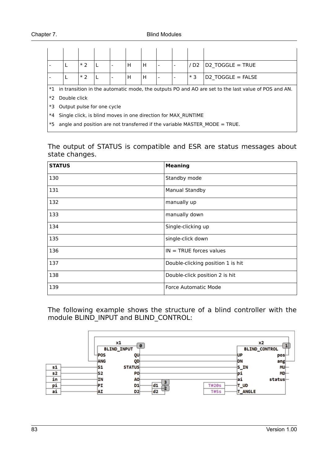|    |                                                                                                        | $*2$ |  |  | Н | н | $\overline{\phantom{a}}$ |  | / D <sub>2</sub> | D2 TOGGLE = TRUE    |
|----|--------------------------------------------------------------------------------------------------------|------|--|--|---|---|--------------------------|--|------------------|---------------------|
|    |                                                                                                        | $*2$ |  |  | Н | н | $\overline{\phantom{a}}$ |  | $*3$             | D2 TOGGLE = $FALSE$ |
|    | *1 in transition in the automatic mode, the outputs PO and AO are set to the last value of POS and AN. |      |  |  |   |   |                          |  |                  |                     |
| *2 | Double click                                                                                           |      |  |  |   |   |                          |  |                  |                     |
| *3 | Output pulse for one cycle                                                                             |      |  |  |   |   |                          |  |                  |                     |
| *4 | Single click, is blind moves in one direction for MAX RUNTIME                                          |      |  |  |   |   |                          |  |                  |                     |

\*5 angle and position are not transferred if the variable MASTER\_MODE = TRUE.

The output of STATUS is compatible and ESR are status messages about state changes.

| <b>STATUS</b> | <b>Meaning</b>                    |
|---------------|-----------------------------------|
| 130           | Standby mode                      |
| 131           | <b>Manual Standby</b>             |
| 132           | manually up                       |
| 133           | manually down                     |
| 134           | Single-clicking up                |
| 135           | single-click down                 |
| 136           | $IN = TRUE$ forces values         |
| 137           | Double-clicking position 1 is hit |
| 138           | Double-click position 2 is hit    |
| 139           | Force Automatic Mode              |

The following example shows the structure of a blind controller with the module BLIND\_INPUT and BLIND\_CONTROL:

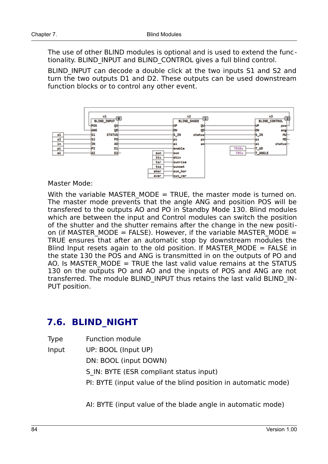The use of other BLIND modules is optional and is used to extend the functionality. BLIND\_INPUT and BLIND\_CONTROL gives a full blind control.

BLIND INPUT can decode a double click at the two inputs S1 and S2 and turn the two outputs D1 and D2. These outputs can be used downstream function blocks or to control any other event.



Master Mode:

With the variable MASTER MODE = TRUE, the master mode is turned on. The master mode prevents that the angle ANG and position POS will be transfered to the outputs AO and PO in Standby Mode 130. Blind modules which are between the input and Control modules can switch the position of the shutter and the shutter remains after the change in the new position (if MASTER MODE = FALSE). However, if the variable MASTER MODE = TRUE ensures that after an automatic stop by downstream modules the Blind Input resets again to the old position. If MASTER MODE = FALSE in the state 130 the POS and ANG is transmitted in on the outputs of PO and AO. Is MASTER MODE = TRUE the last valid value remains at the STATUS 130 on the outputs PO and AO and the inputs of POS and ANG are not transferred. The module BLIND\_INPUT thus retains the last valid BLIND\_IN-PUT position.

#### **7.6. BLIND\_NIGHT**

Type Function module

Input UP: BOOL (Input UP)

DN: BOOL (input DOWN)

S\_IN: BYTE (ESR compliant status input)

PI: BYTE (input value of the blind position in automatic mode)

AI: BYTE (input value of the blade angle in automatic mode)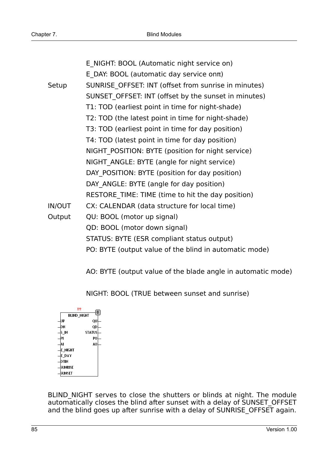|               | E NIGHT: BOOL (Automatic night service on)             |  |  |  |  |  |  |
|---------------|--------------------------------------------------------|--|--|--|--|--|--|
|               | E DAY: BOOL (automatic day service onπ)                |  |  |  |  |  |  |
| Setup         | SUNRISE OFFSET: INT (offset from sunrise in minutes)   |  |  |  |  |  |  |
|               | SUNSET OFFSET: INT (offset by the sunset in minutes)   |  |  |  |  |  |  |
|               | T1: TOD (earliest point in time for night-shade)       |  |  |  |  |  |  |
|               | T2: TOD (the latest point in time for night-shade)     |  |  |  |  |  |  |
|               | T3: TOD (earliest point in time for day position)      |  |  |  |  |  |  |
|               | T4: TOD (latest point in time for day position)        |  |  |  |  |  |  |
|               | NIGHT POSITION: BYTE (position for night service)      |  |  |  |  |  |  |
|               | NIGHT ANGLE: BYTE (angle for night service)            |  |  |  |  |  |  |
|               | DAY POSITION: BYTE (position for day position)         |  |  |  |  |  |  |
|               | DAY ANGLE: BYTE (angle for day position)               |  |  |  |  |  |  |
|               | RESTORE TIME: TIME (time to hit the day position)      |  |  |  |  |  |  |
| <b>IN/OUT</b> | CX: CALENDAR (data structure for local time)           |  |  |  |  |  |  |
| Output        | QU: BOOL (motor up signal)                             |  |  |  |  |  |  |
|               | QD: BOOL (motor down signal)                           |  |  |  |  |  |  |
|               | STATUS: BYTE (ESR compliant status output)             |  |  |  |  |  |  |
|               | PO: BYTE (output value of the blind in automatic mode) |  |  |  |  |  |  |

AO: BYTE (output value of the blade angle in automatic mode)

NIGHT: BOOL (TRUE between sunset and sunrise)

| 0           |               |  |  |  |  |  |  |
|-------------|---------------|--|--|--|--|--|--|
| BLIND NIGHT |               |  |  |  |  |  |  |
| UP          | QU            |  |  |  |  |  |  |
| DΝ          | QD            |  |  |  |  |  |  |
| S IN        | <b>STATUS</b> |  |  |  |  |  |  |
| PI          | P0            |  |  |  |  |  |  |
| A١          | A0            |  |  |  |  |  |  |
| e night     |               |  |  |  |  |  |  |
| E DAY       |               |  |  |  |  |  |  |
| DTIN        |               |  |  |  |  |  |  |
| SUNRISE     |               |  |  |  |  |  |  |
| SUNSET      |               |  |  |  |  |  |  |

BLIND\_NIGHT serves to close the shutters or blinds at night. The module automatically closes the blind after sunset with a delay of SUNSET\_OFFSET and the blind goes up after sunrise with a delay of SUNRISE\_OFFSET again.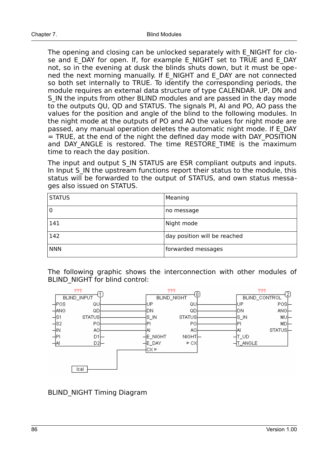The opening and closing can be unlocked separately with E\_NIGHT for close and E\_DAY for open. If, for example E\_NIGHT set to TRUE and E\_DAY not, so in the evening at dusk the blinds shuts down, but it must be opened the next morning manually. If E\_NIGHT and E\_DAY are not connected so both set internally to TRUE. To identify the corresponding periods, the module requires an external data structure of type CALENDAR. UP, DN and S IN the inputs from other BLIND modules and are passed in the day mode to the outputs QU, QD and STATUS. The signals PI, AI and PO, AO pass the values for the position and angle of the blind to the following modules. In the night mode at the outputs of PO and AO the values for night mode are passed, any manual operation deletes the automatic night mode. If E\_DAY = TRUE, at the end of the night the defned day mode with DAY\_POSITION and DAY ANGLE is restored. The time RESTORE TIME is the maximum time to reach the day position.

The input and output S IN STATUS are ESR compliant outputs and inputs. In Input S IN the upstream functions report their status to the module, this status will be forwarded to the output of STATUS, and own status messages also issued on STATUS.

| <b>STATUS</b> | Meaning                      |
|---------------|------------------------------|
| 0             | no message                   |
| 141           | Night mode                   |
| 142           | day position will be reached |
| <b>NNN</b>    | forwarded messages           |

The following graphic shows the interconnection with other modules of BLIND\_NIGHT for blind control:



BLIND\_NIGHT Timing Diagram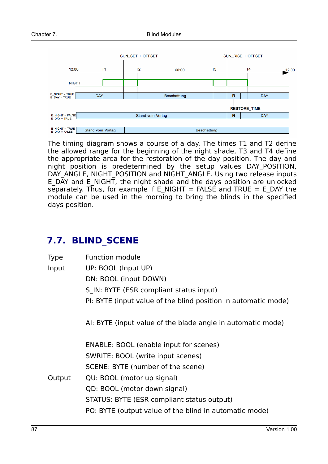

The timing diagram shows a course of a day. The times T1 and T2 defne the allowed range for the beginning of the night shade, T3 and T4 defne the appropriate area for the restoration of the day position. The day and night position is predetermined by the setup values DAY POSITION, DAY\_ANGLE, NIGHT\_POSITION and NIGHT\_ANGLE. Using two release inputs E\_DAY and E\_NIGHT, the night shade and the days position are unlocked separately. Thus, for example if E\_NIGHT = FALSE and TRUE = E\_DAY the module can be used in the morning to bring the blinds in the specifed days position.

#### **7.7. BLIND\_SCENE**

- Type Function module
- Input UP: BOOL (Input UP)
	- DN: BOOL (input DOWN)
	- S IN: BYTE (ESR compliant status input)
	- PI: BYTE (input value of the blind position in automatic mode)

AI: BYTE (input value of the blade angle in automatic mode)

| ENABLE: BOOL (enable input for scenes) |
|----------------------------------------|
| SWRITE: BOOL (write input scenes)      |

SCENE: BYTE (number of the scene)

Output QU: BOOL (motor up signal) QD: BOOL (motor down signal) STATUS: BYTE (ESR compliant status output) PO: BYTE (output value of the blind in automatic mode)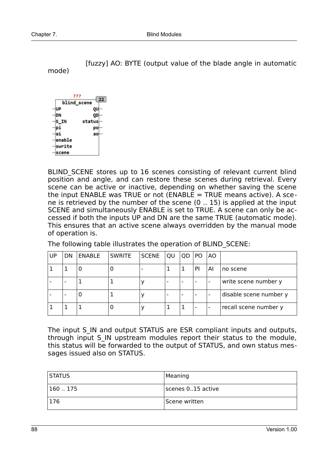[fuzzy] AO: BYTE (output value of the blade angle in automatic mode)



BLIND SCENE stores up to 16 scenes consisting of relevant current blind position and angle, and can restore these scenes during retrieval. Every scene can be active or inactive, depending on whether saving the scene the input ENABLE was TRUE or not (ENABLE  $=$  TRUE means active). A scene is retrieved by the number of the scene (0 .. 15) is applied at the input SCENE and simultaneously ENABLE is set to TRUE. A scene can only be accessed if both the inputs UP and DN are the same TRUE (automatic mode). This ensures that an active scene always overridden by the manual mode of operation is.

The following table illustrates the operation of BLIND\_SCENE:

| UP | <b>DN</b> | <b>ENABLE</b> | <b>SWRITE</b> | <b>SCENE</b> | QU |                          | PO                       | AO                       |                        |
|----|-----------|---------------|---------------|--------------|----|--------------------------|--------------------------|--------------------------|------------------------|
|    |           |               |               |              |    |                          | PI                       | Al                       | no scene               |
|    |           |               |               |              |    | $\overline{\phantom{0}}$ | $\overline{\phantom{0}}$ | $\overline{\phantom{a}}$ | write scene number y   |
|    |           |               |               |              |    | $\overline{\phantom{0}}$ | $\overline{\phantom{0}}$ | $\overline{\phantom{0}}$ | disable scene number y |
|    |           |               |               | v            |    |                          | $\overline{\phantom{a}}$ | $\overline{\phantom{a}}$ | recall scene number y  |

The input S IN and output STATUS are ESR compliant inputs and outputs, through input S\_IN upstream modules report their status to the module, this status will be forwarded to the output of STATUS, and own status messages issued also on STATUS.

| <b>STATUS</b> | Meaning           |
|---------------|-------------------|
| 160175        | scenes 015 active |
| 176           | Scene written     |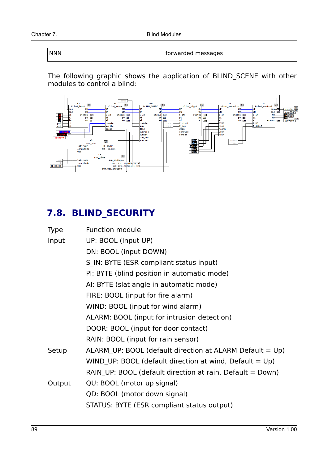Chapter 7. Blind Modules

NNN **forwarded** messages

The following graphic shows the application of BLIND\_SCENE with other modules to control a blind:



## **7.8. BLIND\_SECURITY**

| Type   | <b>Function module</b>                                     |  |  |  |  |  |  |  |
|--------|------------------------------------------------------------|--|--|--|--|--|--|--|
| Input  | UP: BOOL (Input UP)                                        |  |  |  |  |  |  |  |
|        | DN: BOOL (input DOWN)                                      |  |  |  |  |  |  |  |
|        | S IN: BYTE (ESR compliant status input)                    |  |  |  |  |  |  |  |
|        | PI: BYTE (blind position in automatic mode)                |  |  |  |  |  |  |  |
|        | AI: BYTE (slat angle in automatic mode)                    |  |  |  |  |  |  |  |
|        | FIRE: BOOL (input for fire alarm)                          |  |  |  |  |  |  |  |
|        | WIND: BOOL (input for wind alarm)                          |  |  |  |  |  |  |  |
|        | ALARM: BOOL (input for intrusion detection)                |  |  |  |  |  |  |  |
|        | DOOR: BOOL (input for door contact)                        |  |  |  |  |  |  |  |
|        | RAIN: BOOL (input for rain sensor)                         |  |  |  |  |  |  |  |
| Setup  | ALARM UP: BOOL (default direction at ALARM Default $=$ Up) |  |  |  |  |  |  |  |
|        | WIND UP: BOOL (default direction at wind, Default $=$ Up)  |  |  |  |  |  |  |  |
|        | RAIN UP: BOOL (default direction at rain, Default = Down)  |  |  |  |  |  |  |  |
| Output | QU: BOOL (motor up signal)                                 |  |  |  |  |  |  |  |
|        | QD: BOOL (motor down signal)                               |  |  |  |  |  |  |  |
|        | STATUS: BYTE (ESR compliant status output)                 |  |  |  |  |  |  |  |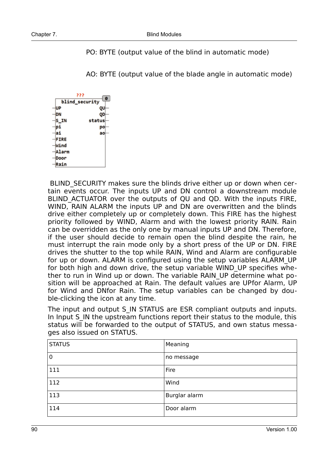PO: BYTE (output value of the blind in automatic mode)

AO: BYTE (output value of the blade angle in automatic mode)

| ???            |        |
|----------------|--------|
| blind_security |        |
| UP             | QU     |
| DN             | QD     |
| S IN           | status |
| pi             | p٥     |
| ai             | ao     |
| <b>FIRE</b>    |        |
| Wind           |        |
| Alarm          |        |
| Door           |        |
| Rain           |        |

BLIND SECURITY makes sure the blinds drive either up or down when certain events occur. The inputs UP and DN control a downstream module BLIND ACTUATOR over the outputs of QU and QD. With the inputs FIRE, WIND, RAIN ALARM the inputs UP and DN are overwritten and the blinds drive either completely up or completely down. This FIRE has the highest priority followed by WIND, Alarm and with the lowest priority RAIN. Rain can be overridden as the only one by manual inputs UP and DN. Therefore, if the user should decide to remain open the blind despite the rain, he must interrupt the rain mode only by a short press of the UP or DN. FIRE drives the shutter to the top while RAIN, Wind and Alarm are confgurable for up or down. ALARM is configured using the setup variables ALARM UP for both high and down drive, the setup variable WIND\_UP specifes whether to run in Wind up or down. The variable RAIN\_UP determine what position will be approached at Rain. The default values are UPfor Alarm, UP for Wind and DNfor Rain. The setup variables can be changed by double-clicking the icon at any time.

The input and output S IN STATUS are ESR compliant outputs and inputs. In Input S IN the upstream functions report their status to the module, this status will be forwarded to the output of STATUS, and own status messages also issued on STATUS.

| <b>STATUS</b> | Meaning       |
|---------------|---------------|
| 0             | no message    |
| 111           | Fire          |
| 112           | Wind          |
| 113           | Burglar alarm |
| 114           | Door alarm    |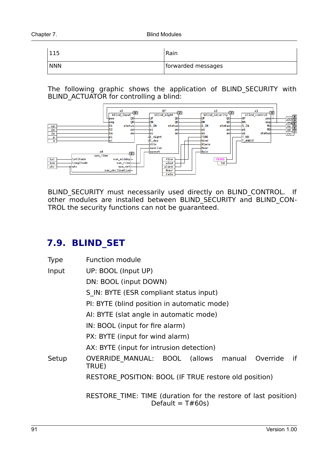Chapter 7. **Blind Modules** 

| 115        | Rain               |
|------------|--------------------|
| <b>NNN</b> | forwarded messages |

#### The following graphic shows the application of BLIND\_SECURITY with BLIND ACTUATOR for controlling a blind:



BLIND SECURITY must necessarily used directly on BLIND CONTROL. If other modules are installed between BLIND\_SECURITY and BLIND\_CON-TROL the security functions can not be guaranteed.

## **7.9. BLIND\_SET**

Type Function module

Input UP: BOOL (Input UP)

DN: BOOL (input DOWN)

S\_IN: BYTE (ESR compliant status input)

PI: BYTE (blind position in automatic mode)

AI: BYTE (slat angle in automatic mode)

IN: BOOL (input for fre alarm)

PX: BYTE (input for wind alarm)

AX: BYTE (input for intrusion detection)

Setup OVERRIDE MANUAL: BOOL (allows manual Override if TRUE)

RESTORE\_POSITION: BOOL (IF TRUE restore old position)

RESTORE TIME: TIME (duration for the restore of last position) Default  $= T#60s$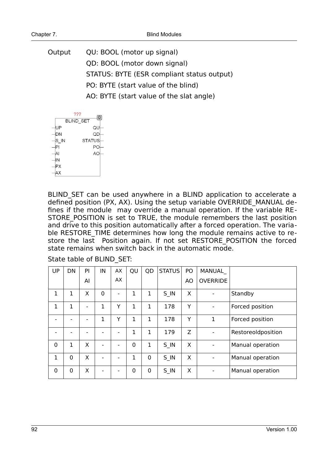Output QU: BOOL (motor up signal) QD: BOOL (motor down signal) STATUS: BYTE (ESR compliant status output) PO: BYTE (start value of the blind) AO: BYTE (start value of the slat angle)

|      | ???<br>Ü      |
|------|---------------|
|      | BLIND_SET     |
| UP   | QU            |
| DN   | QD            |
| S IN | <b>STATUS</b> |
|      | PС            |
|      |               |
| ΙN   |               |
| PХ   |               |
|      |               |

BLIND SET can be used anywhere in a BLIND application to accelerate a defned position (PX, AX). Using the setup variable OVERRIDE\_MANUAL defnes if the module may override a manual operation. If the variable RE-STORE POSITION is set to TRUE, the module remembers the last position and drive to this position automatically after a forced operation. The variable RESTORE TIME determines how long the module remains active to restore the last Position again. If not set RESTORE POSITION the forced state remains when switch back in the automatic mode.

| <b>UP</b>   | <b>DN</b>    | PI                       | IN          | AX                       | QU           | QD          | <b>STATUS</b> | PO             | MANUAL          |                    |
|-------------|--------------|--------------------------|-------------|--------------------------|--------------|-------------|---------------|----------------|-----------------|--------------------|
|             |              | Al                       |             | AX                       |              |             |               | A <sub>O</sub> | <b>OVERRIDE</b> |                    |
| $\mathbf 1$ | 1            | X                        | $\mathbf 0$ | $\overline{\phantom{0}}$ | 1            | 1           | S IN          | X              |                 | Standby            |
| $\mathbf 1$ | 1            | $\overline{\phantom{a}}$ | 1           | Y                        | $\mathbf{1}$ | $\mathbf 1$ | 178           | Y              |                 | Forced position    |
|             |              |                          | 1           | Y                        | 1            | 1           | 178           | Y              | $\mathbf{1}$    | Forced position    |
|             |              |                          |             |                          | $\mathbf{1}$ | 1           | 179           | Z              |                 | Restoreoldposition |
| $\mathbf 0$ | $\mathbf{1}$ | X                        |             |                          | 0            | $\mathbf 1$ | S IN          | X              |                 | Manual operation   |
| $\mathbf 1$ | $\mathbf 0$  | X                        |             |                          | 1            | 0           | S IN          | X              |                 | Manual operation   |
| 0           | $\mathbf 0$  | X                        |             |                          | 0            | $\mathbf 0$ | S IN          | X              |                 | Manual operation   |

State table of BLIND\_SET: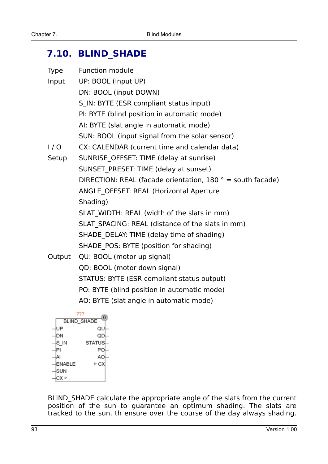#### **7.10. BLIND\_SHADE**

| Type   | <b>Function module</b>                                           |
|--------|------------------------------------------------------------------|
| Input  | UP: BOOL (Input UP)                                              |
|        | DN: BOOL (input DOWN)                                            |
|        | S IN: BYTE (ESR compliant status input)                          |
|        | PI: BYTE (blind position in automatic mode)                      |
|        | AI: BYTE (slat angle in automatic mode)                          |
|        | SUN: BOOL (input signal from the solar sensor)                   |
| 1/0    | CX: CALENDAR (current time and calendar data)                    |
| Setup  | SUNRISE OFFSET: TIME (delay at sunrise)                          |
|        | SUNSET PRESET: TIME (delay at sunset)                            |
|        | DIRECTION: REAL (facade orientation, $180^\circ$ = south facade) |
|        | ANGLE_OFFSET: REAL (Horizontal Aperture                          |
|        | Shading)                                                         |
|        | SLAT WIDTH: REAL (width of the slats in mm)                      |
|        | SLAT_SPACING: REAL (distance of the slats in mm)                 |
|        | SHADE DELAY: TIME (delay time of shading)                        |
|        | SHADE POS: BYTE (position for shading)                           |
| Output | QU: BOOL (motor up signal)                                       |
|        | QD: BOOL (motor down signal)                                     |
|        | STATUS: BYTE (ESR compliant status output)                       |
|        | PO: BYTE (blind position in automatic mode)                      |
|        | AO: BYTE (slat angle in automatic mode)                          |

| 222<br><b>BLIND_SHADE</b> |        |
|---------------------------|--------|
| UP                        | QU     |
| DN                        | QD     |
| S IN                      | STATUS |
| PI                        | РÕ     |
| AI                        | AO     |
| ENABLE                    | ⊵ CX   |
| SUN                       |        |
| CX ⊵                      |        |

BLIND\_SHADE calculate the appropriate angle of the slats from the current position of the sun to guarantee an optimum shading. The slats are tracked to the sun, th ensure over the course of the day always shading.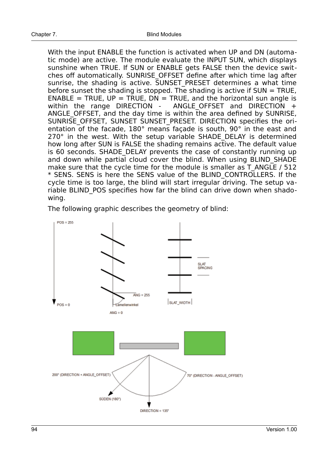With the input ENABLE the function is activated when UP and DN (automatic mode) are active. The module evaluate the INPUT SUN, which displays sunshine when TRUE. If SUN or ENABLE gets FALSE then the device switches off automatically. SUNRISE OFFSET define after which time lag after sunrise, the shading is active. SUNSET PRESET determines a what time before sunset the shading is stopped. The shading is active if  $SUM = TRUE$ ,  $ENABLE = TRUE$ ,  $UP = TRUE$ ,  $DN = TRUE$ , and the horizontal sun angle is within the range DIRECTION - ANGLE\_OFFSET and DIRECTION + ANGLE OFFSET, and the day time is within the area defined by SUNRISE, SUNRISE OFFSET, SUNSET SUNSET PRESET. DIRECTION specifies the orientation of the facade, 180° means façade is south, 90° in the east and 270° in the west. With the setup variable SHADE DELAY is determined how long after SUN is FALSE the shading remains active. The default value is 60 seconds. SHADE DELAY prevents the case of constantly running up and down while partial cloud cover the blind. When using BLIND\_SHADE make sure that the cycle time for the module is smaller as T\_ANGLE / 512 \* SENS. SENS is here the SENS value of the BLIND\_CONTROLLERS. If the cycle time is too large, the blind will start irregular driving. The setup variable BLIND POS specifies how far the blind can drive down when shadowing.

The following graphic describes the geometry of blind:

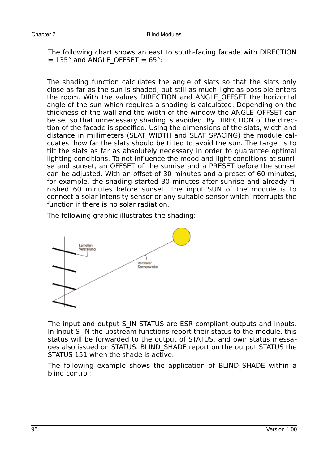The following chart shows an east to south-facing facade with DIRECTION  $= 135^\circ$  and ANGLE OFFSET = 65°:

The shading function calculates the angle of slats so that the slats only close as far as the sun is shaded, but still as much light as possible enters the room. With the values DIRECTION and ANGLE\_OFFSET the horizontal angle of the sun which requires a shading is calculated. Depending on the thickness of the wall and the width of the window the ANGLE\_OFFSET can be set so that unnecessary shading is avoided. By DIRECTION of the direction of the facade is specifed. Using the dimensions of the slats, width and distance in millimeters (SLAT\_WIDTH and SLAT\_SPACING) the module calcuates how far the slats should be tilted to avoid the sun. The target is to tilt the slats as far as absolutely necessary in order to guarantee optimal lighting conditions. To not infuence the mood and light conditions at sunrise and sunset, an OFFSET of the sunrise and a PRESET before the sunset can be adjusted. With an offset of 30 minutes and a preset of 60 minutes, for example, the shading started 30 minutes after sunrise and already finished 60 minutes before sunset. The input SUN of the module is to connect a solar intensity sensor or any suitable sensor which interrupts the function if there is no solar radiation.

The following graphic illustrates the shading:



The input and output S IN STATUS are ESR compliant outputs and inputs. In Input S IN the upstream functions report their status to the module, this status will be forwarded to the output of STATUS, and own status messages also issued on STATUS. BLIND\_SHADE report on the output STATUS the STATUS 151 when the shade is active.

The following example shows the application of BLIND\_SHADE within a blind control: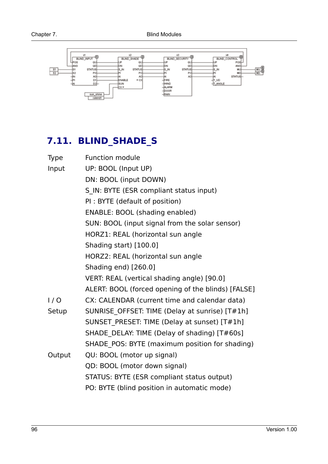

# **7.11. BLIND\_SHADE\_S**

| <b>Type</b> | <b>Function module</b>                             |  |  |  |  |
|-------------|----------------------------------------------------|--|--|--|--|
| Input       | UP: BOOL (Input UP)                                |  |  |  |  |
|             | DN: BOOL (input DOWN)                              |  |  |  |  |
|             | S IN: BYTE (ESR compliant status input)            |  |  |  |  |
|             | PI : BYTE (default of position)                    |  |  |  |  |
|             | ENABLE: BOOL (shading enabled)                     |  |  |  |  |
|             | SUN: BOOL (input signal from the solar sensor)     |  |  |  |  |
|             | HORZ1: REAL (horizontal sun angle                  |  |  |  |  |
|             | Shading start) [100.0]                             |  |  |  |  |
|             | HORZ2: REAL (horizontal sun angle                  |  |  |  |  |
|             | Shading end) [260.0]                               |  |  |  |  |
|             | VERT: REAL (vertical shading angle) [90.0]         |  |  |  |  |
|             | ALERT: BOOL (forced opening of the blinds) [FALSE] |  |  |  |  |
| 1/0         | CX: CALENDAR (current time and calendar data)      |  |  |  |  |
| Setup       | SUNRISE OFFSET: TIME (Delay at sunrise) [T#1h]     |  |  |  |  |
|             | SUNSET PRESET: TIME (Delay at sunset) [T#1h]       |  |  |  |  |
|             | SHADE DELAY: TIME (Delay of shading) [T#60s]       |  |  |  |  |
|             | SHADE POS: BYTE (maximum position for shading)     |  |  |  |  |
| Output      | QU: BOOL (motor up signal)                         |  |  |  |  |
|             | QD: BOOL (motor down signal)                       |  |  |  |  |
|             | STATUS: BYTE (ESR compliant status output)         |  |  |  |  |
|             | PO: BYTE (blind position in automatic mode)        |  |  |  |  |
|             |                                                    |  |  |  |  |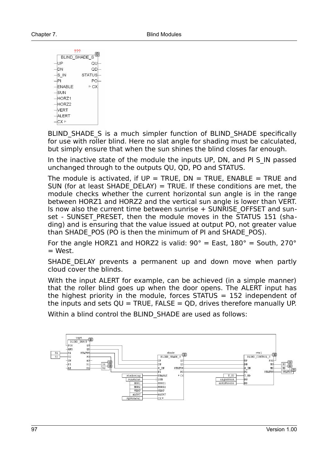|               | ???<br>i Oi   |  |  |  |  |  |
|---------------|---------------|--|--|--|--|--|
| BLIND_SHADE S |               |  |  |  |  |  |
| UP            | QU            |  |  |  |  |  |
| DN            | QD            |  |  |  |  |  |
| S IN          | <b>STATUS</b> |  |  |  |  |  |
| PI            | PΟ            |  |  |  |  |  |
| ENABLE        | ⊳ CX          |  |  |  |  |  |
| SUN           |               |  |  |  |  |  |
| HORZ1         |               |  |  |  |  |  |
| HORZ2         |               |  |  |  |  |  |
| VERT          |               |  |  |  |  |  |
| ALERT         |               |  |  |  |  |  |
| CX ⊵          |               |  |  |  |  |  |

BLIND SHADE S is a much simpler function of BLIND SHADE specifically for use with roller blind. Here no slat angle for shading must be calculated, but simply ensure that when the sun shines the blind closes far enough.

In the inactive state of the module the inputs UP, DN, and PI S IN passed unchanged through to the outputs QU, QD, PO and STATUS.

The module is activated, if  $UP = TRUE$ ,  $DN = TRUE$ ,  $ENABLE = TRUE$  and SUN (for at least SHADE DELAY) = TRUE. If these conditions are met, the module checks whether the current horizontal sun angle is in the range between HORZ1 and HORZ2 and the vertical sun angle is lower than VERT. Is now also the current time between sunrise + SUNRISE\_OFFSET and sunset - SUNSET PRESET, then the module moves in the STATUS 151 (shading) and is ensuring that the value issued at output PO, not greater value than SHADE\_POS (PO is then the minimum of PI and SHADE\_POS).

For the angle HORZ1 and HORZ2 is valid:  $90^\circ$  = East,  $180^\circ$  = South, 270°  $=$  West.

SHADE DELAY prevents a permanent up and down move when partly cloud cover the blinds.

With the input ALERT for example, can be achieved (in a simple manner) that the roller blind goes up when the door opens. The ALERT input has the highest priority in the module, forces  $STATUS = 152$  independent of the inputs and sets  $QU = TRUE$ , FALSE = QD, drives therefore manually UP.

Within a blind control the BLIND SHADE are used as follows: